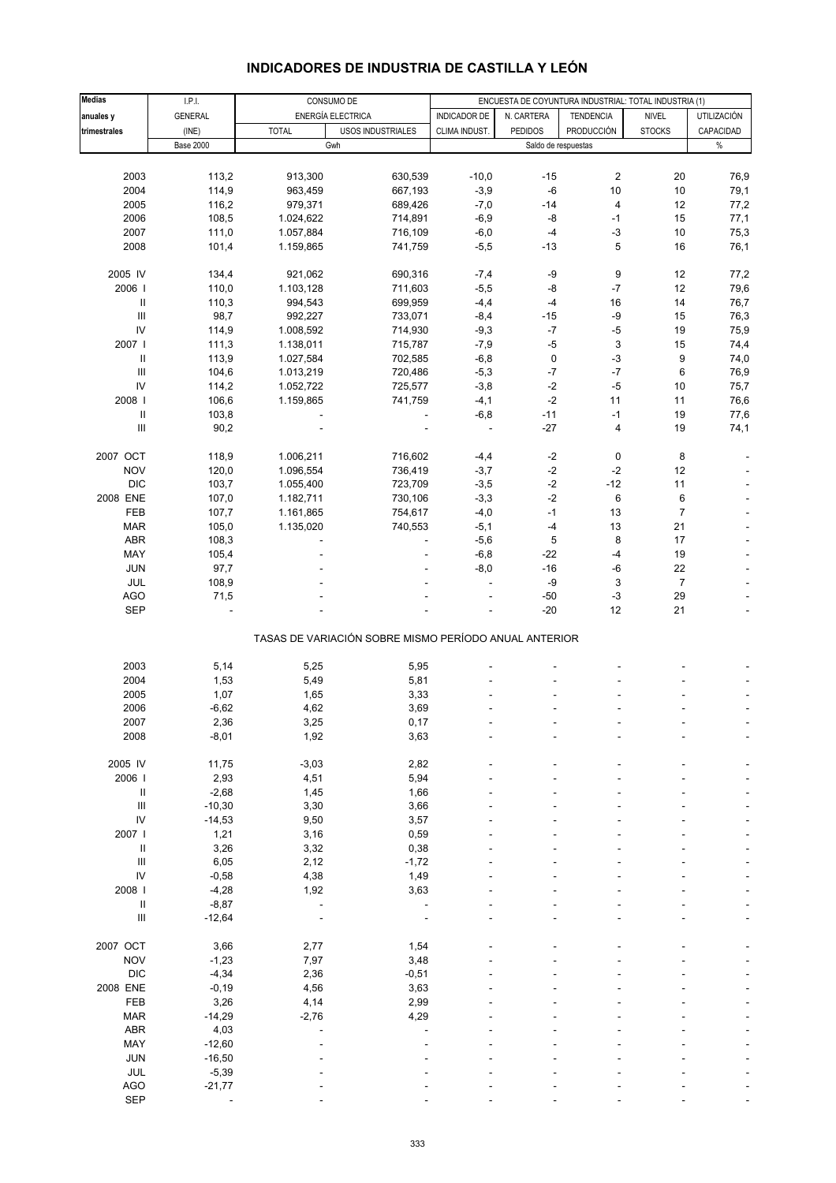| INDICADORES DE INDUSTRIA DE CASTILLA Y LEON |
|---------------------------------------------|
|---------------------------------------------|

| <b>Medias</b>                      | I.P.I.           |              | CONSUMO DE                                            |                          |                | ENCUESTA DE COYUNTURA INDUSTRIAL: TOTAL INDUSTRIA (1) |                |                    |
|------------------------------------|------------------|--------------|-------------------------------------------------------|--------------------------|----------------|-------------------------------------------------------|----------------|--------------------|
| anuales y                          | <b>GENERAL</b>   |              | ENERGÍA ELECTRICA                                     | <b>INDICADOR DE</b>      | N. CARTERA     | <b>TENDENCIA</b>                                      | <b>NIVEL</b>   | <b>UTILIZACIÓN</b> |
| trimestrales                       | (INE)            | <b>TOTAL</b> | USOS INDUSTRIALES                                     | CLIMA INDUST.            | <b>PEDIDOS</b> | <b>PRODUCCIÓN</b>                                     | <b>STOCKS</b>  | CAPACIDAD          |
|                                    | <b>Base 2000</b> |              | Gwh                                                   |                          |                | Saldo de respuestas                                   |                | $\%$               |
|                                    |                  |              |                                                       |                          |                |                                                       |                |                    |
| 2003                               | 113,2            | 913,300      | 630,539                                               | $-10,0$                  | $-15$          | $\overline{\mathbf{c}}$                               | 20             | 76,9               |
| 2004                               | 114,9            | 963,459      | 667,193                                               | $-3,9$                   | -6             | 10                                                    | 10             | 79,1               |
| 2005                               | 116,2            | 979,371      | 689,426                                               | $-7,0$                   | $-14$          | $\overline{\mathbf{4}}$                               | 12             | 77,2               |
|                                    |                  |              |                                                       |                          |                |                                                       |                |                    |
| 2006                               | 108,5            | 1.024,622    | 714,891                                               | $-6,9$                   | -8             | $-1$                                                  | 15             | 77,1               |
| 2007                               | 111,0            | 1.057,884    | 716,109                                               | $-6,0$                   | $-4$           | $-3$                                                  | 10             | 75,3               |
| 2008                               | 101,4            | 1.159,865    | 741,759                                               | $-5,5$                   | $-13$          | 5                                                     | 16             | 76,1               |
| 2005 IV                            | 134,4            | 921,062      | 690,316                                               | $-7,4$                   | -9             | 9                                                     | 12             | 77,2               |
| 2006                               | 110,0            | 1.103,128    | 711,603                                               | $-5,5$                   | -8             | $-7$                                                  | 12             | 79,6               |
| $\ensuremath{\mathsf{II}}$         |                  |              |                                                       |                          | $-4$           | 16                                                    | 14             |                    |
|                                    | 110,3            | 994,543      | 699,959                                               | $-4,4$                   |                |                                                       |                | 76,7               |
| $\ensuremath{\mathsf{III}}\xspace$ | 98,7             | 992,227      | 733,071                                               | $-8,4$                   | $-15$          | -9                                                    | 15             | 76,3               |
| IV                                 | 114,9            | 1.008,592    | 714,930                                               | $-9,3$                   | $-7$           | $-5$                                                  | 19             | 75,9               |
| 2007                               | 111,3            | 1.138,011    | 715,787                                               | $-7,9$                   | $-5$           | 3                                                     | 15             | 74,4               |
| Ш                                  | 113,9            | 1.027,584    | 702,585                                               | $-6,8$                   | 0              | $-3$                                                  | 9              | 74,0               |
| $\ensuremath{\mathsf{III}}\xspace$ | 104,6            | 1.013,219    | 720,486                                               | $-5,3$                   | $-7$           | $-7$                                                  | 6              | 76,9               |
| IV                                 | 114,2            | 1.052,722    | 725,577                                               | $-3,8$                   | $-2$           | $-5$                                                  | 10             | 75,7               |
| 2008                               | 106,6            | 1.159,865    | 741,759                                               | $-4,1$                   | $-2$           | 11                                                    | 11             | 76,6               |
|                                    |                  |              |                                                       |                          |                |                                                       |                |                    |
| $\mathsf{I}$                       | 103,8            |              |                                                       | $-6,8$                   | $-11$          | $-1$                                                  | 19             | 77,6               |
| $\ensuremath{\mathsf{III}}\xspace$ | 90,2             |              |                                                       | $\overline{\phantom{a}}$ | $-27$          | $\overline{4}$                                        | 19             | 74,1               |
| 2007 OCT                           | 118,9            | 1.006,211    | 716,602                                               | $-4,4$                   | $-2$           | $\pmb{0}$                                             | 8              |                    |
| <b>NOV</b>                         | 120,0            | 1.096,554    | 736,419                                               | $-3,7$                   | $-2$           | $-2$                                                  | 12             |                    |
| <b>DIC</b>                         | 103,7            | 1.055,400    | 723,709                                               | $-3,5$                   | $\text{-}2$    | $-12$                                                 | 11             |                    |
|                                    |                  |              |                                                       |                          |                |                                                       |                |                    |
| 2008 ENE                           | 107,0            | 1.182,711    | 730,106                                               | $-3,3$                   | $-2$           | 6                                                     | 6              |                    |
| <b>FEB</b>                         | 107,7            | 1.161,865    | 754,617                                               | $-4,0$                   | $-1$           | 13                                                    | $\overline{7}$ |                    |
| <b>MAR</b>                         | 105,0            | 1.135,020    | 740,553                                               | $-5,1$                   | $-4$           | 13                                                    | 21             |                    |
| ABR                                | 108,3            |              |                                                       | $-5,6$                   | 5              | 8                                                     | 17             |                    |
| MAY                                | 105,4            |              |                                                       | $-6,8$                   | $-22$          | $-4$                                                  | 19             |                    |
| <b>JUN</b>                         | 97,7             |              |                                                       | $-8,0$                   | $-16$          | -6                                                    | 22             |                    |
| JUL                                | 108,9            |              |                                                       | ÷,                       | -9             | 3                                                     | $\overline{7}$ |                    |
| <b>AGO</b>                         |                  |              |                                                       |                          | $-50$          | $-3$                                                  | 29             |                    |
|                                    | 71,5             |              |                                                       |                          |                |                                                       |                |                    |
| <b>SEP</b>                         |                  |              |                                                       |                          | $-20$          | 12                                                    | 21             |                    |
|                                    |                  |              | TASAS DE VARIACIÓN SOBRE MISMO PERÍODO ANUAL ANTERIOR |                          |                |                                                       |                |                    |
|                                    |                  |              |                                                       |                          |                |                                                       |                |                    |
| 2003                               | 5,14             | 5,25         | 5,95                                                  |                          |                |                                                       |                |                    |
| 2004                               | 1,53             | 5,49         | 5,81                                                  |                          |                |                                                       |                |                    |
| 2005                               | 1,07             | 1,65         | 3,33                                                  |                          |                |                                                       |                |                    |
| 2006                               | $-6,62$          | 4,62         | 3,69                                                  |                          |                |                                                       |                |                    |
| 2007                               | 2,36             | 3,25         | 0,17                                                  | ÷,                       |                |                                                       |                |                    |
| 2008                               | $-8,01$          | 1,92         | 3,63                                                  |                          |                |                                                       |                |                    |
|                                    |                  |              |                                                       |                          |                |                                                       |                |                    |
| 2005 IV                            | 11,75            | $-3,03$      | 2,82                                                  |                          |                |                                                       |                |                    |
| 2006                               | 2,93             | 4,51         | 5,94                                                  |                          |                |                                                       |                |                    |
| $\mathsf{I}$                       | $-2,68$          | 1,45         | 1,66                                                  |                          |                |                                                       |                |                    |
| $\ensuremath{\mathsf{III}}\xspace$ | $-10,30$         | 3,30         | 3,66                                                  |                          |                |                                                       |                |                    |
| IV                                 | $-14,53$         | 9,50         | 3,57                                                  |                          |                |                                                       |                |                    |
| 2007                               | 1,21             | 3,16         | 0,59                                                  |                          |                |                                                       |                |                    |
| Ш                                  | 3,26             | 3,32         | 0,38                                                  |                          |                |                                                       |                |                    |
|                                    |                  |              |                                                       |                          |                |                                                       |                |                    |
| Ш                                  | 6,05             | 2,12         | $-1,72$                                               |                          |                |                                                       |                |                    |
| $\mathsf{IV}$                      | $-0,58$          | 4,38         | 1,49                                                  |                          |                |                                                       |                |                    |
| 2008                               | $-4,28$          | 1,92         | 3,63                                                  |                          |                |                                                       |                |                    |
| $\ensuremath{\mathsf{II}}$         | $-8,87$          | ä,           | $\overline{\phantom{a}}$                              |                          |                |                                                       |                |                    |
| $\ensuremath{\mathsf{III}}\xspace$ | $-12,64$         |              |                                                       |                          |                |                                                       |                |                    |
|                                    |                  |              |                                                       |                          |                |                                                       |                |                    |
| 2007 OCT                           | 3,66             | 2,77         | 1,54                                                  |                          |                |                                                       |                |                    |
| <b>NOV</b>                         | $-1,23$          | 7,97         | 3,48                                                  |                          |                |                                                       |                |                    |
| <b>DIC</b>                         | $-4,34$          | 2,36         | $-0,51$                                               |                          |                |                                                       |                |                    |
| 2008 ENE                           | $-0,19$          | 4,56         | 3,63                                                  |                          |                |                                                       |                |                    |
| FEB                                | 3,26             | 4,14         | 2,99                                                  |                          |                |                                                       |                |                    |
| <b>MAR</b>                         | $-14,29$         | $-2,76$      | 4,29                                                  |                          |                |                                                       |                |                    |
| ABR                                | 4,03             |              |                                                       |                          |                |                                                       |                |                    |
| MAY                                | $-12,60$         |              |                                                       |                          |                |                                                       |                |                    |
| <b>JUN</b>                         | $-16,50$         |              |                                                       |                          |                |                                                       |                |                    |
|                                    |                  |              |                                                       |                          |                |                                                       |                |                    |
| JUL                                | $-5,39$          |              |                                                       |                          |                |                                                       |                |                    |
| <b>AGO</b>                         | $-21,77$         |              |                                                       |                          |                |                                                       |                |                    |
| <b>SEP</b>                         |                  |              |                                                       |                          |                |                                                       |                |                    |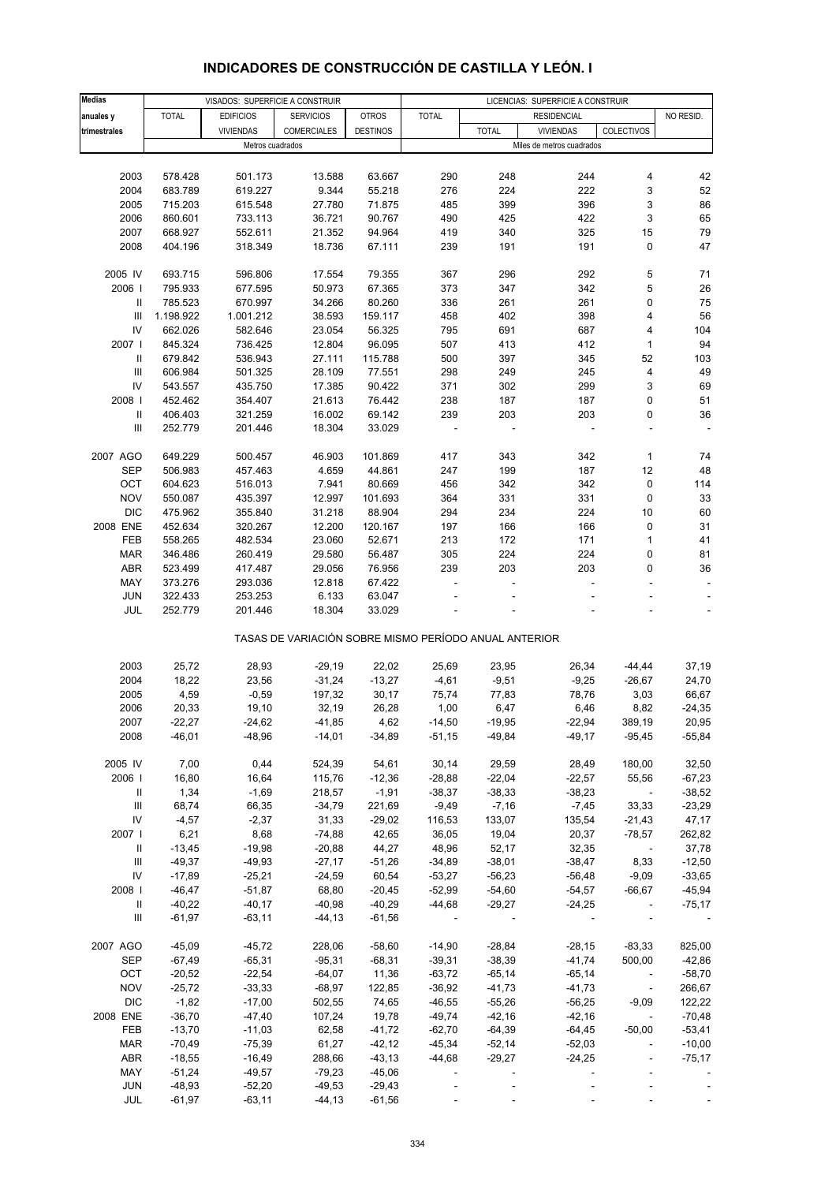# **INDICADORES DE CONSTRUCCIÓN DE CASTILLA Y LEÓN. I**

| <b>Medias</b>                      |              | VISADOS: SUPERFICIE A CONSTRUIR |                                                       |                 |              |              | LICENCIAS: SUPERFICIE A CONSTRUIR |            |           |
|------------------------------------|--------------|---------------------------------|-------------------------------------------------------|-----------------|--------------|--------------|-----------------------------------|------------|-----------|
|                                    |              |                                 |                                                       |                 |              |              |                                   |            |           |
| anuales y                          | <b>TOTAL</b> | <b>EDIFICIOS</b>                | <b>SERVICIOS</b>                                      | <b>OTROS</b>    | <b>TOTAL</b> |              | <b>RESIDENCIAL</b>                |            | NO RESID. |
| trimestrales                       |              | <b>VIVIENDAS</b>                | COMERCIALES                                           | <b>DESTINOS</b> |              | <b>TOTAL</b> | <b>VIVIENDAS</b>                  | COLECTIVOS |           |
|                                    |              | Metros cuadrados                |                                                       |                 |              |              | Miles de metros cuadrados         |            |           |
|                                    |              |                                 |                                                       |                 |              |              |                                   |            |           |
|                                    |              |                                 |                                                       |                 |              |              |                                   |            |           |
| 2003                               | 578.428      | 501.173                         | 13.588                                                | 63.667          | 290          | 248          | 244                               | 4          | 42        |
| 2004                               | 683.789      | 619.227                         | 9.344                                                 | 55.218          | 276          | 224          | 222                               | 3          | 52        |
| 2005                               | 715.203      | 615.548                         | 27.780                                                | 71.875          | 485          | 399          | 396                               | 3          | 86        |
| 2006                               | 860.601      | 733.113                         | 36.721                                                | 90.767          | 490          | 425          | 422                               | 3          | 65        |
|                                    |              |                                 |                                                       |                 |              |              |                                   |            |           |
| 2007                               | 668.927      | 552.611                         | 21.352                                                | 94.964          | 419          | 340          | 325                               | 15         | 79        |
| 2008                               | 404.196      | 318.349                         | 18.736                                                | 67.111          | 239          | 191          | 191                               | 0          | 47        |
|                                    |              |                                 |                                                       |                 |              |              |                                   |            |           |
| 2005 IV                            | 693.715      | 596.806                         | 17.554                                                | 79.355          | 367          | 296          | 292                               | 5          | 71        |
| 2006                               | 795.933      | 677.595                         | 50.973                                                | 67.365          | 373          | 347          | 342                               | 5          | 26        |
|                                    |              |                                 |                                                       |                 |              |              |                                   |            |           |
| Ш                                  | 785.523      | 670.997                         | 34.266                                                | 80.260          | 336          | 261          | 261                               | 0          | 75        |
| Ш                                  | 1.198.922    | 1.001.212                       | 38.593                                                | 159.117         | 458          | 402          | 398                               | 4          | 56        |
| IV                                 | 662.026      | 582.646                         | 23.054                                                | 56.325          | 795          | 691          | 687                               | 4          | 104       |
| 2007                               | 845.324      | 736.425                         | 12.804                                                | 96.095          | 507          | 413          | 412                               | 1          | 94        |
| Ш                                  | 679.842      | 536.943                         | 27.111                                                | 115.788         | 500          | 397          | 345                               | 52         | 103       |
|                                    |              |                                 |                                                       |                 |              |              |                                   |            |           |
| Ш                                  | 606.984      | 501.325                         | 28.109                                                | 77.551          | 298          | 249          | 245                               | 4          | 49        |
| IV                                 | 543.557      | 435.750                         | 17.385                                                | 90.422          | 371          | 302          | 299                               | 3          | 69        |
| 2008                               | 452.462      | 354.407                         | 21.613                                                | 76.442          | 238          | 187          | 187                               | 0          | 51        |
| $\ensuremath{\mathsf{II}}$         | 406.403      | 321.259                         | 16.002                                                | 69.142          | 239          | 203          | 203                               | 0          | 36        |
| Ш                                  | 252.779      | 201.446                         | 18.304                                                | 33.029          |              |              |                                   |            |           |
|                                    |              |                                 |                                                       |                 |              |              |                                   |            |           |
|                                    |              |                                 |                                                       |                 |              |              |                                   |            |           |
| 2007 AGO                           | 649.229      | 500.457                         | 46.903                                                | 101.869         | 417          | 343          | 342                               | 1          | 74        |
| <b>SEP</b>                         | 506.983      | 457.463                         | 4.659                                                 | 44.861          | 247          | 199          | 187                               | 12         | 48        |
| OCT                                | 604.623      | 516.013                         | 7.941                                                 | 80.669          | 456          | 342          | 342                               | $\pmb{0}$  | 114       |
| <b>NOV</b>                         | 550.087      | 435.397                         | 12.997                                                | 101.693         | 364          | 331          | 331                               | 0          | 33        |
|                                    |              |                                 |                                                       |                 |              |              |                                   |            |           |
| <b>DIC</b>                         | 475.962      | 355.840                         | 31.218                                                | 88.904          | 294          | 234          | 224                               | 10         | 60        |
| 2008 ENE                           | 452.634      | 320.267                         | 12.200                                                | 120.167         | 197          | 166          | 166                               | 0          | 31        |
| FEB                                | 558.265      | 482.534                         | 23.060                                                | 52.671          | 213          | 172          | 171                               | 1          | 41        |
| <b>MAR</b>                         | 346.486      | 260.419                         | 29.580                                                | 56.487          | 305          | 224          | 224                               | 0          | 81        |
| ABR                                | 523.499      | 417.487                         | 29.056                                                | 76.956          | 239          | 203          | 203                               | 0          | 36        |
|                                    |              |                                 |                                                       |                 |              |              |                                   |            |           |
| MAY                                | 373.276      | 293.036                         | 12.818                                                | 67.422          |              |              |                                   |            |           |
| JUN                                | 322.433      | 253.253                         | 6.133                                                 | 63.047          |              |              |                                   |            |           |
| JUL                                | 252.779      | 201.446                         | 18.304                                                | 33.029          |              |              |                                   |            |           |
|                                    |              |                                 |                                                       |                 |              |              |                                   |            |           |
|                                    |              |                                 | TASAS DE VARIACIÓN SOBRE MISMO PERÍODO ANUAL ANTERIOR |                 |              |              |                                   |            |           |
|                                    |              |                                 |                                                       |                 |              |              |                                   |            |           |
| 2003                               | 25,72        | 28,93                           | $-29,19$                                              | 22,02           | 25,69        | 23,95        | 26,34                             | $-44, 44$  | 37,19     |
| 2004                               | 18,22        | 23,56                           | $-31,24$                                              | $-13,27$        | $-4,61$      | $-9,51$      | $-9,25$                           | $-26,67$   | 24,70     |
| 2005                               | 4,59         | $-0,59$                         | 197,32                                                | 30,17           | 75,74        | 77,83        | 78,76                             | 3,03       | 66,67     |
| 2006                               | 20,33        | 19,10                           | 32,19                                                 | 26,28           | 1,00         | 6,47         | 6,46                              | 8,82       | $-24,35$  |
|                                    |              |                                 |                                                       |                 |              |              |                                   |            |           |
| 2007                               | $-22,27$     | $-24,62$                        | $-41,85$                                              | 4,62            | $-14,50$     | $-19,95$     | $-22,94$                          | 389,19     | 20,95     |
| 2008                               | $-46,01$     | $-48,96$                        | $-14,01$                                              | $-34,89$        | $-51,15$     | $-49,84$     | $-49,17$                          | $-95,45$   | $-55,84$  |
|                                    |              |                                 |                                                       |                 |              |              |                                   |            |           |
| 2005 IV                            | 7,00         | 0,44                            | 524,39                                                | 54,61           | 30,14        | 29,59        | 28,49                             | 180,00     | 32,50     |
| 2006                               | 16,80        | 16,64                           | 115,76                                                | $-12,36$        | $-28,88$     | $-22,04$     | $-22,57$                          | 55,56      | $-67,23$  |
|                                    |              |                                 |                                                       |                 |              |              |                                   |            |           |
| Ш                                  | 1,34         | $-1,69$                         | 218,57                                                | $-1,91$         | $-38,37$     | $-38,33$     | $-38,23$                          |            | $-38,52$  |
| $\ensuremath{\mathsf{III}}\xspace$ | 68,74        | 66,35                           | $-34,79$                                              | 221,69          | $-9,49$      | $-7,16$      | $-7,45$                           | 33,33      | $-23,29$  |
| IV                                 | $-4,57$      | $-2,37$                         | 31,33                                                 | $-29,02$        | 116,53       | 133,07       | 135,54                            | $-21,43$   | 47,17     |
| 2007 l                             | 6,21         | 8,68                            | $-74,88$                                              | 42,65           | 36,05        | 19,04        | 20,37                             | $-78,57$   | 262,82    |
| Ш                                  | $-13,45$     | $-19,98$                        | $-20,88$                                              | 44,27           | 48,96        | 52,17        | 32,35                             |            | 37,78     |
| Ш                                  | $-49,37$     | $-49,93$                        | $-27,17$                                              | $-51,26$        | $-34,89$     | $-38,01$     | $-38,47$                          | 8,33       | $-12,50$  |
|                                    |              |                                 |                                                       |                 |              |              |                                   |            |           |
| IV                                 | $-17,89$     | $-25,21$                        | $-24,59$                                              | 60,54           | $-53,27$     | $-56,23$     | $-56,48$                          | $-9,09$    | $-33,65$  |
| 2008                               | $-46,47$     | $-51,87$                        | 68,80                                                 | $-20,45$        | $-52,99$     | $-54,60$     | $-54,57$                          | $-66,67$   | $-45,94$  |
| Ш                                  | $-40,22$     | $-40,17$                        | $-40,98$                                              | $-40,29$        | $-44,68$     | $-29,27$     | $-24,25$                          | $\sim$     | $-75,17$  |
| Ш                                  | $-61,97$     | $-63,11$                        | $-44, 13$                                             | $-61,56$        |              |              | $\sim$                            |            |           |
|                                    |              |                                 |                                                       |                 |              |              |                                   |            |           |
| 2007 AGO                           | $-45,09$     | $-45,72$                        | 228,06                                                | $-58,60$        | $-14,90$     | $-28,84$     |                                   | $-83,33$   | 825,00    |
|                                    |              |                                 |                                                       |                 |              |              | $-28,15$                          |            |           |
| <b>SEP</b>                         | $-67,49$     | $-65,31$                        | $-95,31$                                              | $-68,31$        | $-39,31$     | $-38,39$     | $-41,74$                          | 500,00     | $-42,86$  |
| OCT                                | $-20,52$     | $-22,54$                        | $-64,07$                                              | 11,36           | $-63,72$     | $-65,14$     | $-65,14$                          |            | $-58,70$  |
| <b>NOV</b>                         | $-25,72$     | $-33,33$                        | $-68,97$                                              | 122,85          | $-36,92$     | $-41,73$     | $-41,73$                          | $\sim$     | 266,67    |
| <b>DIC</b>                         | $-1,82$      | $-17,00$                        | 502,55                                                | 74,65           | $-46,55$     | $-55,26$     | $-56,25$                          | $-9,09$    | 122,22    |
| 2008 ENE                           | $-36,70$     | $-47,40$                        | 107,24                                                | 19,78           | $-49,74$     | $-42,16$     | $-42,16$                          |            | $-70,48$  |
|                                    |              |                                 |                                                       |                 |              |              |                                   |            |           |
| FEB                                | $-13,70$     | $-11,03$                        | 62,58                                                 | $-41,72$        | $-62,70$     | $-64,39$     | $-64,45$                          | $-50,00$   | $-53,41$  |
| <b>MAR</b>                         | $-70,49$     | $-75,39$                        | 61,27                                                 | $-42, 12$       | $-45,34$     | $-52,14$     | $-52,03$                          |            | $-10,00$  |
| ABR                                | $-18,55$     | $-16,49$                        | 288,66                                                | $-43,13$        | $-44,68$     | $-29,27$     | $-24,25$                          |            | $-75,17$  |
| MAY                                | $-51,24$     | $-49,57$                        | $-79,23$                                              | $-45,06$        |              |              |                                   |            |           |
| JUN                                | $-48,93$     | $-52,20$                        | $-49,53$                                              | $-29,43$        |              |              |                                   |            |           |
| JUL                                | $-61,97$     | $-63,11$                        | $-44, 13$                                             | $-61,56$        |              |              |                                   |            |           |
|                                    |              |                                 |                                                       |                 |              |              |                                   |            |           |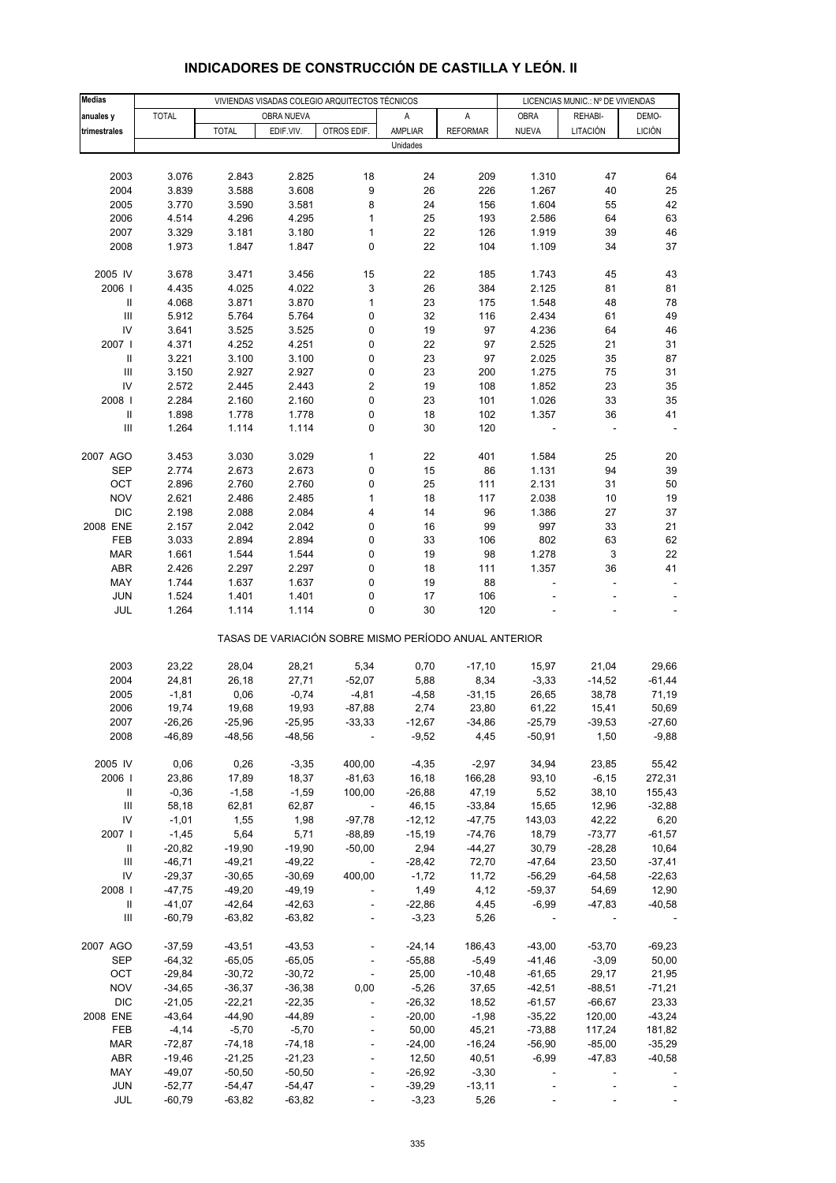| <b>Medias</b>                      |                      |                      | VIVIENDAS VISADAS COLEGIO ARQUITECTOS TÉCNICOS |                                                       | LICENCIAS MUNIC.: Nº DE VIVIENDAS |                  |                |                |               |
|------------------------------------|----------------------|----------------------|------------------------------------------------|-------------------------------------------------------|-----------------------------------|------------------|----------------|----------------|---------------|
| anuales y                          | <b>TOTAL</b>         |                      | OBRA NUEVA                                     |                                                       | Α                                 | Α                | <b>OBRA</b>    | REHABI-        | DEMO-         |
| trimestrales                       |                      | <b>TOTAL</b>         | EDIF.VIV.                                      | OTROS EDIF.                                           | AMPLIAR                           | <b>REFORMAR</b>  | <b>NUEVA</b>   | LITACIÓN       | <b>LICIÓN</b> |
|                                    |                      |                      |                                                |                                                       | Unidades                          |                  |                |                |               |
|                                    |                      |                      |                                                |                                                       |                                   |                  |                |                |               |
| 2003                               | 3.076                | 2.843                | 2.825                                          | 18                                                    | 24                                | 209              | 1.310          | 47             | 64            |
| 2004                               | 3.839                | 3.588                | 3.608                                          | 9                                                     | 26                                | 226              | 1.267          | 40             | 25            |
| 2005                               | 3.770                | 3.590                | 3.581                                          | 8                                                     | 24                                | 156              | 1.604          | 55             | 42            |
| 2006                               | 4.514                | 4.296                | 4.295                                          | 1                                                     | 25                                | 193              | 2.586          | 64             | 63            |
| 2007                               | 3.329                | 3.181                | 3.180                                          | $\mathbf{1}$                                          | 22                                | 126              | 1.919          | 39             | 46            |
| 2008                               | 1.973                | 1.847                | 1.847                                          | 0                                                     | 22                                | 104              | 1.109          | 34             | 37            |
|                                    |                      |                      |                                                |                                                       |                                   |                  |                |                |               |
| 2005 IV                            | 3.678                | 3.471                | 3.456                                          | 15                                                    | 22                                | 185              | 1.743          | 45             | 43            |
| 2006                               | 4.435                | 4.025                | 4.022                                          | 3                                                     | 26                                | 384              | 2.125          | 81             | 81            |
| Ш                                  | 4.068                | 3.871                | 3.870                                          | $\mathbf{1}$                                          | 23                                | 175              | 1.548          | 48             | 78            |
| $\ensuremath{\mathsf{III}}\xspace$ | 5.912                | 5.764                | 5.764                                          | 0                                                     | 32                                | 116              | 2.434          | 61             | 49            |
| IV                                 | 3.641                | 3.525                | 3.525                                          | 0                                                     | 19                                | 97               | 4.236          | 64             | 46            |
| 2007 l                             | 4.371                | 4.252                | 4.251                                          | 0                                                     | 22                                | 97               | 2.525          | 21             | 31            |
| $\ensuremath{\mathsf{II}}$         | 3.221                | 3.100                | 3.100                                          | 0                                                     | 23                                | 97               | 2.025          | 35             | 87            |
| $\ensuremath{\mathsf{III}}\xspace$ | 3.150                | 2.927                | 2.927                                          | 0                                                     | 23                                | 200              | 1.275          | 75             | 31            |
| IV                                 | 2.572                | 2.445                | 2.443                                          | 2                                                     | 19                                | 108              | 1.852          | 23             | 35            |
| 2008                               | 2.284                | 2.160                | 2.160                                          | 0                                                     | 23                                | 101              | 1.026          | 33             | 35            |
| $\sf II$                           | 1.898                | 1.778                | 1.778                                          | 0                                                     | 18                                | 102              | 1.357          | 36             | 41            |
| $\ensuremath{\mathsf{III}}\xspace$ | 1.264                | 1.114                | 1.114                                          | 0                                                     | 30                                | 120              |                |                |               |
|                                    |                      |                      |                                                |                                                       |                                   |                  |                |                |               |
| 2007 AGO                           | 3.453                | 3.030                | 3.029                                          | 1                                                     | 22                                | 401              | 1.584          | 25             | 20            |
| <b>SEP</b><br>OCT                  | 2.774                | 2.673                | 2.673<br>2.760                                 | 0                                                     | 15<br>25                          | 86<br>111        | 1.131<br>2.131 | 94<br>31       | 39<br>50      |
| <b>NOV</b>                         | 2.896                | 2.760                | 2.485                                          | 0                                                     |                                   |                  |                |                |               |
| <b>DIC</b>                         | 2.621                | 2.486                |                                                | 1                                                     | 18<br>14                          | 117              | 2.038          | 10             | 19<br>37      |
| 2008 ENE                           | 2.198<br>2.157       | 2.088<br>2.042       | 2.084<br>2.042                                 | 4<br>0                                                | 16                                | 96<br>99         | 1.386<br>997   | 27<br>33       | 21            |
| FEB                                | 3.033                | 2.894                | 2.894                                          | 0                                                     | 33                                | 106              | 802            | 63             | 62            |
| <b>MAR</b>                         | 1.661                | 1.544                | 1.544                                          | 0                                                     | 19                                | 98               | 1.278          | 3              | 22            |
| <b>ABR</b>                         | 2.426                | 2.297                | 2.297                                          | 0                                                     | 18                                | 111              | 1.357          | 36             | 41            |
| MAY                                | 1.744                | 1.637                | 1.637                                          | 0                                                     | 19                                | 88               | $\overline{a}$ | $\overline{a}$ |               |
| <b>JUN</b>                         | 1.524                | 1.401                | 1.401                                          | 0                                                     | 17                                | 106              |                |                |               |
| JUL                                | 1.264                | 1.114                | 1.114                                          | 0                                                     | 30                                | 120              |                |                |               |
|                                    |                      |                      |                                                |                                                       |                                   |                  |                |                |               |
|                                    |                      |                      |                                                | TASAS DE VARIACIÓN SOBRE MISMO PERÍODO ANUAL ANTERIOR |                                   |                  |                |                |               |
|                                    |                      |                      |                                                |                                                       |                                   |                  |                |                |               |
| 2003                               | 23,22                | 28,04                | 28,21                                          | 5,34                                                  | 0,70                              | $-17,10$         | 15,97          | 21,04          | 29,66         |
| 2004                               | 24,81                | 26,18                | 27,71                                          | $-52,07$                                              | 5,88                              | 8,34             | $-3,33$        | $-14,52$       | $-61,44$      |
| 2005                               | $-1,81$              | 0,06                 | $-0,74$                                        | $-4,81$                                               | $-4,58$                           | $-31,15$         | 26,65          | 38,78          | 71,19         |
| 2006                               | 19,74                | 19,68                | 19,93                                          | $-87,88$                                              | 2,74                              | 23,80            | 61,22          | 15,41          | 50,69         |
| 2007                               | -26,26               | -25,96               | -25,95                                         | -33,33                                                | -12,67                            | -34,86           | $-25,79$       | -39,53         | -27,60        |
| 2008                               | $-46,89$             | $-48,56$             | $-48,56$                                       |                                                       | $-9,52$                           | 4,45             | $-50,91$       | 1,50           | $-9,88$       |
| 2005 IV                            | 0,06                 | 0,26                 | $-3,35$                                        | 400,00                                                | $-4,35$                           | $-2,97$          | 34,94          | 23,85          | 55,42         |
| 2006                               | 23,86                | 17,89                | 18,37                                          | $-81,63$                                              | 16,18                             | 166,28           | 93,10          | $-6, 15$       | 272,31        |
| Ш                                  | $-0,36$              | $-1,58$              | $-1,59$                                        | 100,00                                                | $-26,88$                          | 47,19            | 5,52           | 38,10          | 155,43        |
| Ш                                  | 58,18                | 62,81                | 62,87                                          | $\overline{\phantom{a}}$                              | 46,15                             | $-33,84$         | 15,65          | 12,96          | $-32,88$      |
| IV                                 | $-1,01$              | 1,55                 | 1,98                                           | $-97,78$                                              | $-12,12$                          | $-47,75$         | 143,03         | 42,22          | 6,20          |
| 2007 l                             | $-1,45$              | 5,64                 | 5,71                                           | $-88,89$                                              | $-15,19$                          | $-74,76$         | 18,79          | $-73,77$       | $-61,57$      |
| Ш                                  | $-20,82$             | $-19,90$             | $-19,90$                                       | $-50,00$                                              | 2,94                              | $-44,27$         | 30,79          | $-28,28$       | 10,64         |
| $\ensuremath{\mathsf{III}}\xspace$ | $-46,71$             | $-49,21$             | $-49,22$                                       | $\overline{\phantom{a}}$                              | $-28,42$                          | 72,70            | $-47,64$       | 23,50          | $-37,41$      |
| IV                                 | $-29,37$             | $-30,65$             | $-30,69$                                       | 400,00                                                | $-1,72$                           | 11,72            | $-56,29$       | $-64,58$       | $-22,63$      |
| 2008                               | $-47,75$             | $-49,20$             | $-49,19$                                       | $\overline{\phantom{a}}$                              | 1,49                              | 4,12             | $-59,37$       | 54,69          | 12,90         |
| $\ensuremath{\mathsf{II}}$         | $-41,07$             | $-42,64$             | $-42,63$                                       | $\blacksquare$                                        | $-22,86$                          | 4,45             | $-6,99$        | $-47,83$       | $-40,58$      |
| Ш                                  | $-60,79$             | $-63,82$             | $-63,82$                                       |                                                       | $-3,23$                           | 5,26             |                |                |               |
|                                    |                      |                      |                                                |                                                       |                                   |                  |                |                |               |
| 2007 AGO                           | $-37,59$             | $-43,51$             | $-43,53$                                       | $\blacksquare$                                        | $-24,14$                          | 186,43           | $-43,00$       | $-53,70$       | $-69,23$      |
| SEP                                | $-64,32$             | $-65,05$             | $-65,05$                                       | $\overline{\phantom{a}}$                              | $-55,88$                          | $-5,49$          | $-41,46$       | $-3,09$        | 50,00         |
| OCT                                | $-29,84$             | $-30,72$             | $-30,72$                                       | $\overline{\phantom{a}}$                              | 25,00                             | $-10,48$         | $-61,65$       | 29,17          | 21,95         |
| <b>NOV</b>                         | $-34,65$             | $-36,37$             | $-36,38$                                       | 0,00                                                  | $-5,26$                           | 37,65            | $-42,51$       | $-88,51$       | $-71,21$      |
| <b>DIC</b>                         | $-21,05$             | $-22,21$             | $-22,35$                                       | $\blacksquare$                                        | $-26,32$                          | 18,52            | $-61,57$       | $-66,67$       | 23,33         |
| 2008 ENE                           | $-43,64$             | $-44,90$             | $-44,89$                                       |                                                       | $-20,00$                          | $-1,98$          | $-35,22$       | 120,00         | $-43,24$      |
| FEB                                | $-4,14$              | $-5,70$              | $-5,70$                                        | $\overline{a}$                                        | 50,00                             | 45,21            | $-73,88$       | 117,24         | 181,82        |
| <b>MAR</b>                         | $-72,87$             | $-74,18$             | $-74,18$                                       |                                                       | $-24,00$                          | $-16,24$         | $-56,90$       | $-85,00$       | $-35,29$      |
| ABR<br>MAY                         | $-19,46$<br>$-49,07$ | $-21,25$<br>$-50,50$ | $-21,23$<br>$-50,50$                           | $\blacksquare$                                        | 12,50<br>$-26,92$                 | 40,51<br>$-3,30$ | $-6,99$        | $-47,83$       | $-40,58$      |
| <b>JUN</b>                         | $-52,77$             | $-54,47$             | $-54,47$                                       |                                                       | $-39,29$                          | $-13,11$         |                |                |               |
| JUL                                | $-60,79$             | $-63,82$             | $-63,82$                                       |                                                       | $-3,23$                           | 5,26             |                |                |               |
|                                    |                      |                      |                                                |                                                       |                                   |                  |                |                |               |

# **INDICADORES DE CONSTRUCCIÓN DE CASTILLA Y LEÓN. II**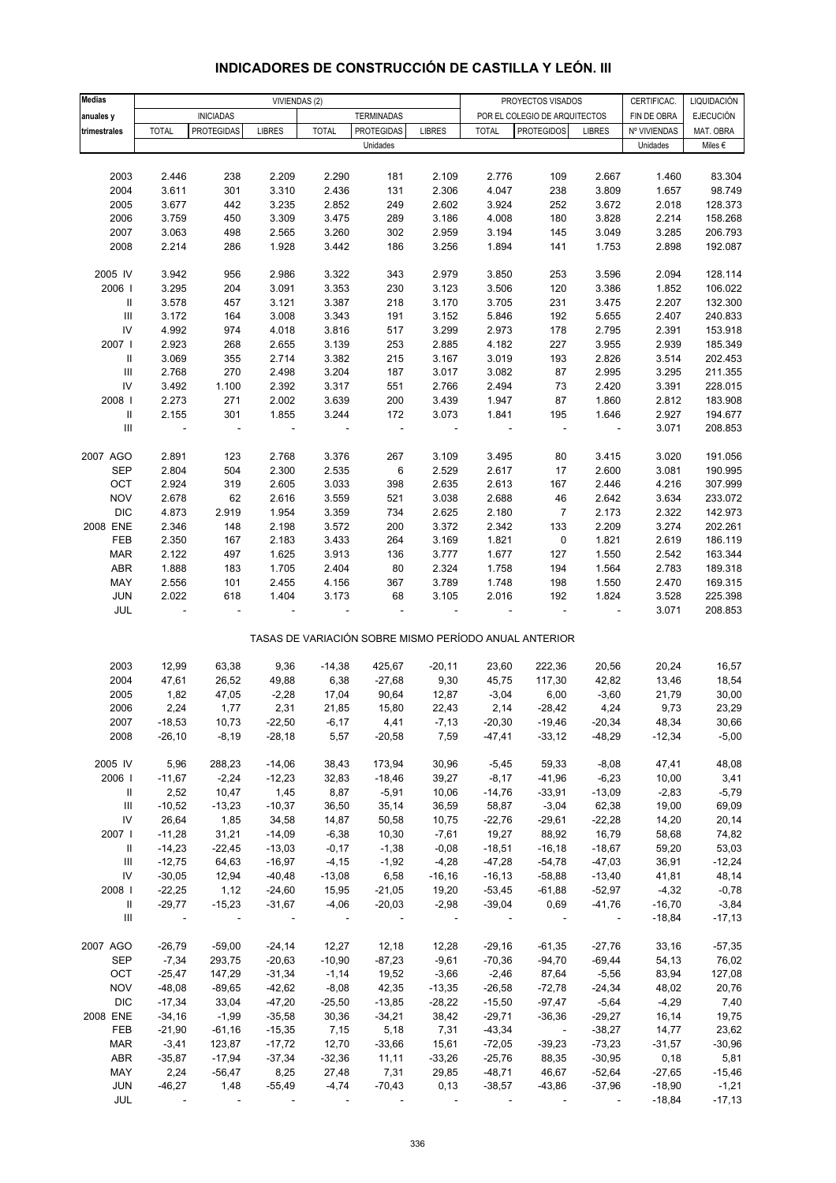| <b>Medias</b>                      |                          |                          |                          | VIVIENDAS (2) |                   |               |              | PROYECTOS VISADOS                                     |                | CERTIFICAC.  | LIQUIDACIÓN      |
|------------------------------------|--------------------------|--------------------------|--------------------------|---------------|-------------------|---------------|--------------|-------------------------------------------------------|----------------|--------------|------------------|
| anuales y                          |                          | <b>INICIADAS</b>         |                          |               | <b>TERMINADAS</b> |               |              | POR EL COLEGIO DE ARQUITECTOS                         |                | FIN DE OBRA  | <b>EJECUCIÓN</b> |
| trimestrales                       | <b>TOTAL</b>             | <b>PROTEGIDAS</b>        | <b>LIBRES</b>            | <b>TOTAL</b>  | <b>PROTEGIDAS</b> | <b>LIBRES</b> | <b>TOTAL</b> | <b>PROTEGIDOS</b>                                     | <b>LIBRES</b>  | Nº VIVIENDAS | MAT. OBRA        |
|                                    |                          |                          |                          |               | Unidades          |               |              |                                                       |                | Unidades     | Miles €          |
|                                    |                          |                          |                          |               |                   |               |              |                                                       |                |              |                  |
| 2003                               | 2.446                    | 238                      | 2.209                    | 2.290         | 181               | 2.109         | 2.776        | 109                                                   | 2.667          | 1.460        | 83.304           |
| 2004                               | 3.611                    | 301                      | 3.310                    | 2.436         | 131               | 2.306         | 4.047        | 238                                                   | 3.809          | 1.657        | 98.749           |
| 2005                               | 3.677                    | 442                      | 3.235                    | 2.852         | 249               | 2.602         | 3.924        | 252                                                   | 3.672          | 2.018        | 128.373          |
| 2006                               | 3.759                    | 450                      | 3.309                    | 3.475         | 289               | 3.186         | 4.008        | 180                                                   | 3.828          | 2.214        | 158.268          |
| 2007                               | 3.063                    | 498                      | 2.565                    | 3.260         | 302               | 2.959         | 3.194        | 145                                                   | 3.049          | 3.285        | 206.793          |
| 2008                               | 2.214                    | 286                      | 1.928                    | 3.442         | 186               | 3.256         | 1.894        | 141                                                   | 1.753          | 2.898        | 192.087          |
|                                    |                          |                          |                          |               |                   |               |              |                                                       |                |              |                  |
| 2005 IV                            | 3.942                    | 956                      | 2.986                    | 3.322         | 343               | 2.979         | 3.850        | 253                                                   | 3.596          | 2.094        | 128.114          |
| 2006                               | 3.295                    | 204                      | 3.091                    | 3.353         | 230               | 3.123         | 3.506        | 120                                                   | 3.386          | 1.852        | 106.022          |
| $\ensuremath{\mathsf{II}}$         | 3.578                    | 457                      | 3.121                    | 3.387         | 218               | 3.170         | 3.705        | 231                                                   | 3.475          | 2.207        | 132.300          |
| $\ensuremath{\mathsf{III}}\xspace$ | 3.172                    | 164                      | 3.008                    | 3.343         | 191               | 3.152         | 5.846        | 192                                                   | 5.655          | 2.407        | 240.833          |
| ${\sf IV}$                         | 4.992                    | 974                      | 4.018                    | 3.816         | 517               | 3.299         | 2.973        | 178                                                   | 2.795          | 2.391        | 153.918          |
| 2007                               | 2.923                    | 268                      | 2.655                    | 3.139         | 253               | 2.885         | 4.182        | 227                                                   | 3.955          | 2.939        | 185.349          |
| $\mathbf{II}$                      | 3.069                    | 355                      | 2.714                    | 3.382         | 215               | 3.167         | 3.019        | 193                                                   | 2.826          | 3.514        | 202.453          |
| Ш                                  | 2.768                    | 270                      | 2.498                    | 3.204         | 187               | 3.017         | 3.082        | 87                                                    | 2.995          | 3.295        | 211.355          |
| $\mathsf{IV}$                      | 3.492                    | 1.100                    | 2.392                    | 3.317         | 551               | 2.766         | 2.494        | 73                                                    | 2.420          | 3.391        | 228.015          |
| 2008 l                             | 2.273                    | 271                      | 2.002                    | 3.639         | 200               | 3.439         | 1.947        | 87                                                    | 1.860          | 2.812        | 183.908          |
| $\ensuremath{\mathsf{II}}$         | 2.155                    | 301                      | 1.855                    | 3.244         | 172               | 3.073         | 1.841        | 195                                                   | 1.646          | 2.927        | 194.677          |
| $\ensuremath{\mathsf{III}}\xspace$ | $\blacksquare$           | Ĭ.                       |                          |               | ÷,                | ÷,            |              | $\blacksquare$                                        | $\blacksquare$ | 3.071        | 208.853          |
|                                    |                          |                          |                          |               |                   |               |              |                                                       |                |              |                  |
| 2007 AGO                           | 2.891                    | 123                      | 2.768                    | 3.376         | 267               | 3.109         | 3.495        | 80                                                    | 3.415          | 3.020        | 191.056          |
| <b>SEP</b>                         | 2.804                    | 504                      | 2.300                    | 2.535         | 6                 | 2.529         | 2.617        | 17                                                    | 2.600          | 3.081        | 190.995          |
| OCT                                | 2.924                    | 319                      | 2.605                    | 3.033         | 398               | 2.635         | 2.613        | 167                                                   | 2.446          | 4.216        | 307.999          |
| <b>NOV</b>                         | 2.678                    | 62                       | 2.616                    | 3.559         | 521               | 3.038         | 2.688        | 46                                                    | 2.642          | 3.634        | 233.072          |
| <b>DIC</b>                         | 4.873                    | 2.919                    | 1.954                    | 3.359         | 734               | 2.625         | 2.180        | 7                                                     | 2.173          | 2.322        | 142.973          |
| 2008 ENE                           | 2.346                    | 148                      | 2.198                    | 3.572         | 200               | 3.372         | 2.342        | 133                                                   | 2.209          | 3.274        | 202.261          |
| FEB                                | 2.350                    | 167                      | 2.183                    | 3.433         | 264               | 3.169         | 1.821        | $\pmb{0}$                                             | 1.821          | 2.619        | 186.119          |
| <b>MAR</b>                         | 2.122                    | 497                      | 1.625                    | 3.913         | 136               | 3.777         | 1.677        | 127                                                   | 1.550          | 2.542        | 163.344          |
| ABR                                | 1.888                    | 183                      | 1.705                    | 2.404         | 80                | 2.324         | 1.758        | 194                                                   | 1.564          | 2.783        | 189.318          |
| MAY                                | 2.556                    | 101                      | 2.455                    | 4.156         | 367               | 3.789         | 1.748        | 198                                                   | 1.550          | 2.470        | 169.315          |
| JUN                                | 2.022                    | 618                      | 1.404                    | 3.173         | 68                | 3.105         | 2.016        | 192                                                   | 1.824          | 3.528        | 225.398          |
| JUL                                |                          |                          |                          |               |                   |               |              |                                                       |                | 3.071        | 208.853          |
|                                    |                          |                          |                          |               |                   |               |              | TASAS DE VARIACIÓN SOBRE MISMO PERÍODO ANUAL ANTERIOR |                |              |                  |
|                                    |                          |                          |                          |               |                   |               |              |                                                       |                |              |                  |
| 2003                               | 12,99                    | 63,38                    | 9,36                     | $-14,38$      | 425,67            | $-20,11$      | 23,60        | 222,36                                                | 20,56          | 20,24        | 16,57            |
| 2004                               | 47,61                    | 26,52                    | 49,88                    | 6,38          | $-27,68$          | 9,30          | 45,75        | 117,30                                                | 42,82          | 13,46        | 18,54            |
| 2005                               | 1,82                     | 47,05                    | $-2,28$                  | 17,04         | 90,64             | 12,87         | $-3,04$      | 6,00                                                  | $-3,60$        | 21,79        | 30,00            |
| 2006                               | 2,24                     | 1,77                     | 2,31                     | 21,85         | 15,80             | 22,43         | 2,14         | $-28,42$                                              | 4,24           | 9,73         | 23,29            |
| 2007                               | $-18,53$                 | 10,73                    | $-22,50$                 | $-6,17$       | 4,41              | $-7,13$       | $-20,30$     | $-19,46$                                              | $-20,34$       | 48,34        | 30,66            |
| 2008                               | $-26,10$                 | $-8,19$                  | $-28,18$                 | 5,57          | $-20,58$          | 7,59          | -47,41       | $-33,12$                                              | $-48,29$       | $-12,34$     | $-5,00$          |
|                                    |                          |                          |                          |               |                   |               |              |                                                       |                |              |                  |
| 2005 IV                            | 5,96                     | 288,23                   | $-14,06$                 | 38,43         | 173,94            | 30,96         | $-5,45$      | 59,33                                                 | $-8,08$        | 47,41        | 48,08            |
| 2006                               | $-11,67$                 | $-2,24$                  | $-12,23$                 | 32,83         | $-18,46$          | 39,27         | $-8,17$      | $-41,96$                                              | $-6,23$        | 10,00        | 3,41             |
| Ш                                  | 2,52                     | 10,47                    | 1,45                     | 8,87          | $-5,91$           | 10,06         | $-14,76$     | $-33,91$                                              | $-13,09$       | $-2,83$      | $-5,79$          |
| Ш                                  | $-10,52$                 | $-13,23$                 | $-10,37$                 | 36,50         | 35,14             | 36,59         | 58,87        | $-3,04$                                               | 62,38          | 19,00        | 69,09            |
| ${\sf IV}$                         | 26,64                    | 1,85                     | 34,58                    | 14,87         | 50,58             | 10,75         | $-22,76$     | $-29,61$                                              | $-22,28$       | 14,20        | 20,14            |
| 2007                               | $-11,28$                 | 31,21                    | $-14,09$                 | $-6,38$       | 10,30             | $-7,61$       | 19,27        | 88,92                                                 | 16,79          | 58,68        | 74,82            |
| Ш                                  | $-14,23$                 | $-22,45$                 | $-13,03$                 | $-0,17$       | $-1,38$           | $-0,08$       | $-18,51$     | $-16,18$                                              | $-18,67$       | 59,20        | 53,03            |
| Ш                                  | $-12,75$                 | 64,63                    | $-16,97$                 | $-4,15$       | $-1,92$           | $-4,28$       | $-47,28$     | $-54,78$                                              | $-47,03$       | 36,91        | $-12,24$         |
| ${\sf IV}$                         | $-30,05$                 | 12,94                    | $-40,48$                 | $-13,08$      | 6,58              | $-16, 16$     | $-16, 13$    | $-58,88$                                              | $-13,40$       | 41,81        | 48,14            |
| 2008                               | $-22,25$                 | 1,12                     | $-24,60$                 | 15,95         | $-21,05$          | 19,20         | $-53,45$     | $-61,88$                                              | $-52,97$       | $-4,32$      | $-0,78$          |
| $\mathbf{II}$                      | $-29,77$                 | $-15,23$                 | $-31,67$                 | $-4,06$       | $-20,03$          | $-2,98$       | $-39,04$     | 0,69                                                  | $-41,76$       | $-16,70$     | $-3,84$          |
| Ш                                  | $\overline{\phantom{a}}$ | $\overline{\phantom{a}}$ | $\overline{\phantom{a}}$ | $\sim$        |                   |               |              |                                                       | $\sim$         | $-18,84$     | $-17,13$         |
|                                    |                          |                          |                          |               |                   |               |              |                                                       |                |              |                  |
| 2007 AGO                           | $-26,79$                 | $-59,00$                 | $-24,14$                 | 12,27         | 12,18             | 12,28         | $-29,16$     | $-61,35$                                              | $-27,76$       | 33,16        | $-57,35$         |
| SEP                                | $-7,34$                  | 293,75                   | $-20,63$                 | $-10,90$      | $-87,23$          | $-9,61$       | $-70,36$     | $-94,70$                                              | $-69,44$       | 54,13        | 76,02            |
| OCT                                | $-25,47$                 | 147,29                   | $-31,34$                 | $-1,14$       | 19,52             | $-3,66$       | $-2,46$      | 87,64                                                 | $-5,56$        | 83,94        | 127,08           |
| <b>NOV</b>                         | $-48,08$                 | $-89,65$                 | $-42,62$                 | $-8,08$       | 42,35             | $-13,35$      | $-26,58$     | $-72,78$                                              | $-24,34$       | 48,02        | 20,76            |
| <b>DIC</b>                         | $-17,34$                 | 33,04                    | $-47,20$                 | $-25,50$      | $-13,85$          | $-28,22$      | $-15,50$     | $-97,47$                                              | $-5,64$        | $-4,29$      | 7,40             |
| 2008 ENE                           | $-34,16$                 | $-1,99$                  | $-35,58$                 | 30,36         | $-34,21$          | 38,42         | $-29,71$     | $-36,36$                                              | $-29,27$       | 16,14        | 19,75            |
| FEB                                | $-21,90$                 | $-61,16$                 | $-15,35$                 | 7,15          | 5,18              | 7,31          | $-43,34$     | $\sim$ $-$                                            | $-38,27$       | 14,77        | 23,62            |
| <b>MAR</b>                         | $-3,41$                  | 123,87                   | $-17,72$                 | 12,70         | $-33,66$          | 15,61         | $-72,05$     | $-39,23$                                              | $-73,23$       | $-31,57$     | $-30,96$         |
| ABR                                | $-35,87$                 | $-17,94$                 | $-37,34$                 | $-32,36$      | 11,11             | $-33,26$      | $-25,76$     | 88,35                                                 | $-30,95$       | 0, 18        | 5,81             |
| MAY                                | 2,24                     | $-56,47$                 | 8,25                     | 27,48         | 7,31              | 29,85         | $-48,71$     | 46,67                                                 | $-52,64$       | $-27,65$     | $-15,46$         |
| JUN                                | $-46,27$                 | 1,48                     | $-55,49$                 | $-4,74$       | $-70,43$          | 0,13          | $-38,57$     | $-43,86$                                              | $-37,96$       | $-18,90$     | $-1,21$          |
| JUL                                |                          |                          |                          |               |                   |               |              |                                                       |                | $-18,84$     | $-17,13$         |

### **INDICADORES DE CONSTRUCCIÓN DE CASTILLA Y LEÓN. III**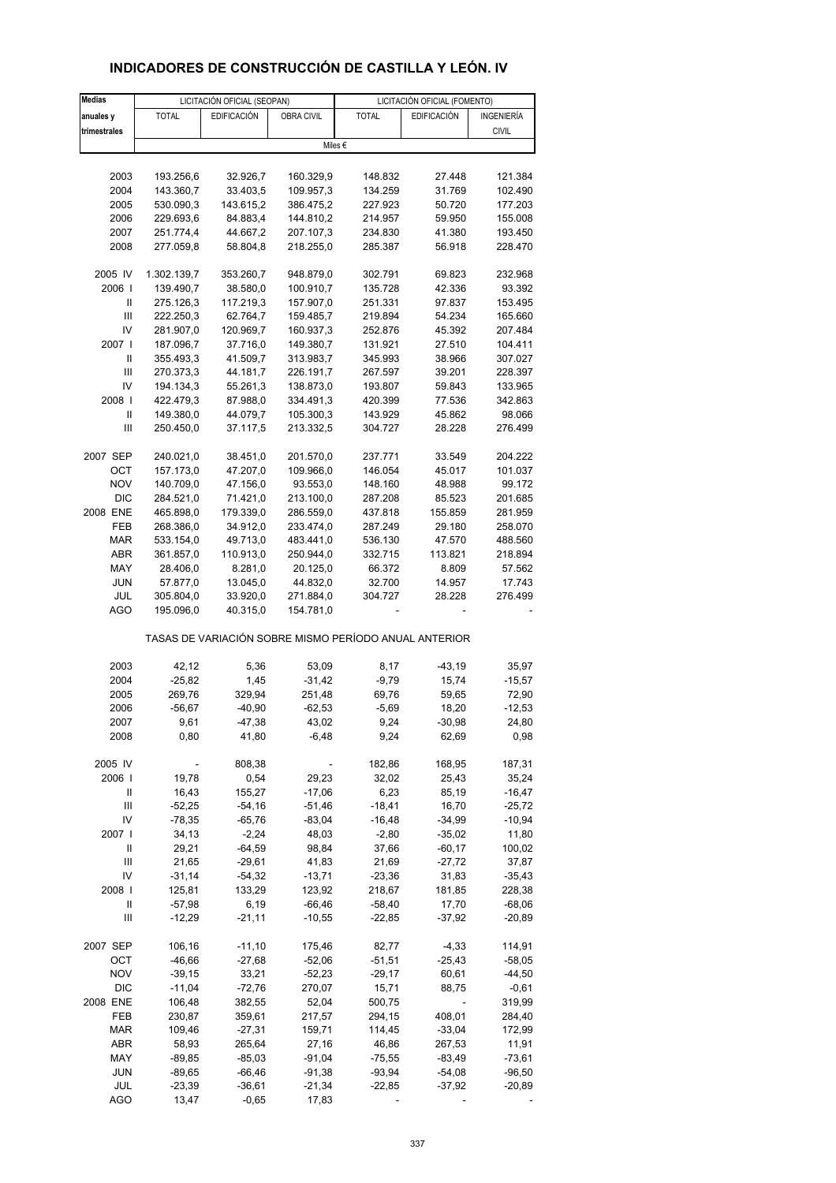#### **Medias** LICITACIÓN OFICIAL (SEOPAN) LICITACIÓN OFICIAL (FOMENTO) **anuales y** TOTAL EDIFICACIÓN OBRA CIVIL TOTAL EDIFICACIÓN INGENIERÍA trimestrales **different to the city of the city of the city of the city of the city of the city of the city of t** 2003 193.256,6 32.926,7 160.329,9 148.832 27.448 121.384 2004 143.360,7 33.403,5 109.957,3 134.259 31.769 102.490 2005 530.090,3 143.615,2 386.475,2 227.923 50.720 177.203 2006 229.693,6 84.883,4 144.810,2 214.957 59.950 155.008 2007 251.774,4 44.667,2 207.107,3 234.830 41.380 193.450 2008 277.059,8 58.804,8 218.255,0 285.387 56.918 228.470 2005 IV 1.302.139,7 353.260,7 948.879,0 302.791 69.823 232.968 2006 I 139.490,7 38.580,0 100.910,7 135.728 42.336 93.392 II 275.126,3 117.219,3 157.907,0 251.331 97.837 153.495 III 222.250,3 62.764,7 159.485,7 219.894 54.234 165.660 IV 281.907,0 120.969,7 160.937,3 252.876 45.392 207.484 2007 I 187.096,7 37.716,0 149.380,7 131.921 27.510 104.411 II 355.493,3 41.509,7 313.983,7 345.993 38.966 307.027 III 270.373,3 44.181,7 226.191,7 267.597 39.201 228.397 IV 194.134,3 55.261,3 138.873,0 193.807 59.843 133.965 2008 I 422.479,3 87.988,0 334.491,3 420.399 77.536 342.863 II 149.380,0 44.079,7 105.300,3 143.929 45.862 98.066 III 250.450,0 37.117,5 213.332,5 304.727 28.228 276.499 2007 SEP 240.021,0 38.451,0 201.570,0 237.771 33.549 204.222 OCT 157.173,0 47.207,0 109.966,0 146.054 45.017 101.037 NOV 140.709,0 47.156,0 93.553,0 148.160 48.988 99.172 DIC 284.521,0 71.421,0 213.100,0 287.208 85.523 201.685 2008 ENE 465.898,0 179.339,0 286.559,0 437.818 155.859 281.959 FEB 268.386,0 34.912,0 233.474,0 287.249 29.180 258.070 MAR 533.154,0 49.713,0 483.441,0 536.130 47.570 488.560 ABR 361.857,0 110.913,0 250.944,0 332.715 113.821 218.894 MAY 28.406,0 8.281,0 20.125,0 66.372 8.809 57.562 JUN 57.877,0 13.045,0 44.832,0 32.700 14.957 17.743 JUL 305.804,0 33.920,0 271.884,0 304.727 28.228 276.499 AGO 195.096,0 40.315,0 154.781,0 TASAS DE VARIACIÓN SOBRE MISMO PERÍODO ANUAL ANTERIOR 2003 42,12 5,36 53,09 8,17 -43,19 35,97 2004 -25,82 1,45 -31,42 -9,79 15,74 -15,57 2005 269,76 329,94 251,48 69,76 59,65 72,90 2006 -56,67 -40,90 -62,53 -5,69 18,20 -12,53 2007 9,61 -47,38 43,02 9,24 -30,98 24,80 2008 0,80 41,80 -6,48 9,24 62,69 0,98 2005 IV - 808,38 - 182,86 168,95 187,31 2006 I 19,78 0,54 29,23 32,02 25,43 35,24 II 16,43 155,27 -17,06 6,23 85,19 -16,47 III -52,25 -54,16 -51,46 -18,41 16,70 -25,72 IV -78,35 -65,76 -83,04 -16,48 -34,99 -10,94 2007 I 34,13 -2,24 48,03 -2,80 -35,02 11,80 II 29,21 -64,59 98,84 37,66 -60,17 100,02 III 21,65 -29,61 41,83 21,69 -27,72 37,87 IV -31,14 -54,32 -13,71 -23,36 31,83 -35,43 2008 I 125,81 133,29 123,92 218,67 181,85 228,38 II -57,98 6,19 -66,46 -58,40 17,70 -68,06 III -12,29 -21,11 -10,55 -22,85 -37,92 -20,89 2007 SEP 106,16 -11,10 175,46 82,77 -4,33 114,91 OCT -46,66 -27,68 -52,06 -51,51 -25,43 -58,05 NOV -39,15 33,21 -52,23 -29,17 60,61 -44,50 DIC -11,04 -72,76 270,07 15,71 88,75 -0,61 2008 ENE 106,48 382,55 52,04 500,75 - 319,99 FEB 230,87 359,61 217,57 294,15 408,01 284,40 MAR 109,46 -27,31 159,71 114,45 -33,04 172,99 ABR 58,93 265,64 27,16 46,86 267,53 11,91 MAY -89,85 -85,03 -91,04 -75,55 -83,49 -73,61 JUN -89,65 -66,46 -91,38 -93,94 -54,08 -96,50 Miles €

#### **INDICADORES DE CONSTRUCCIÓN DE CASTILLA Y LEÓN. IV**

 JUL -23,39 -36,61 -21,34 -22,85 -37,92 -20,89 AGO 13,47 -0,65 17,83 - - - - -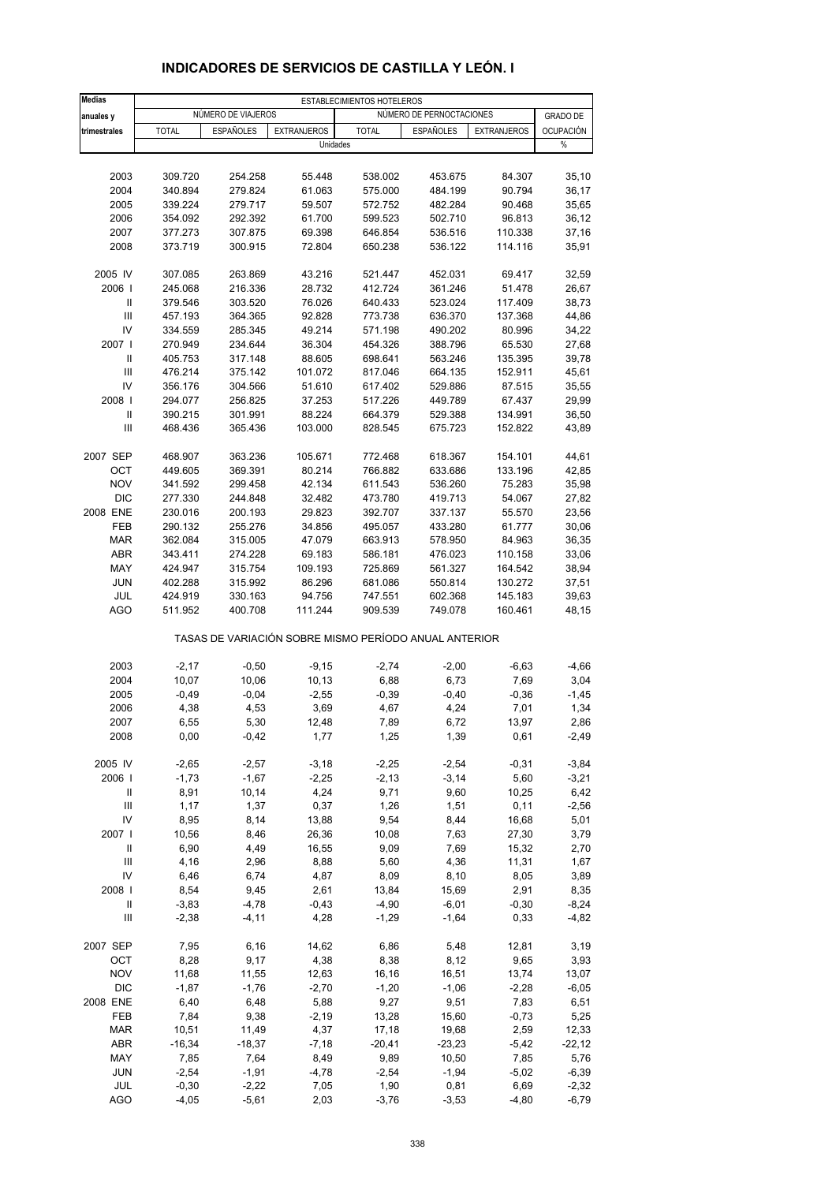| <b>Medias</b>       |                    |                    |                                                       | ESTABLECIMIENTOS HOTELEROS |                          |                    |                  |
|---------------------|--------------------|--------------------|-------------------------------------------------------|----------------------------|--------------------------|--------------------|------------------|
| anuales y           |                    | NÚMERO DE VIAJEROS |                                                       |                            | NÚMERO DE PERNOCTACIONES |                    | <b>GRADO DE</b>  |
| trimestrales        | <b>TOTAL</b>       | <b>ESPAÑOLES</b>   | <b>EXTRANJEROS</b>                                    | <b>TOTAL</b>               | <b>ESPAÑOLES</b>         | <b>EXTRANJEROS</b> | <b>OCUPACIÓN</b> |
|                     |                    |                    | Unidades                                              |                            |                          |                    | %                |
|                     |                    |                    |                                                       |                            |                          |                    |                  |
| 2003                | 309.720            | 254.258            | 55.448                                                | 538.002                    | 453.675                  | 84.307             | 35,10            |
| 2004                | 340.894            | 279.824            | 61.063                                                | 575.000                    | 484.199                  | 90.794             | 36,17            |
| 2005                | 339.224            | 279.717            | 59.507                                                | 572.752                    | 482.284                  | 90.468             | 35,65            |
| 2006                | 354.092            | 292.392            | 61.700                                                | 599.523                    | 502.710                  | 96.813             | 36,12            |
| 2007                | 377.273            | 307.875            | 69.398                                                | 646.854                    | 536.516                  | 110.338            | 37,16            |
| 2008                | 373.719            | 300.915            | 72.804                                                | 650.238                    | 536.122                  | 114.116            | 35,91            |
| 2005 IV             | 307.085            | 263.869            | 43.216                                                | 521.447                    | 452.031                  | 69.417             | 32,59            |
| 2006                | 245.068            | 216.336            | 28.732                                                | 412.724                    | 361.246                  | 51.478             | 26,67            |
| Ш                   | 379.546            | 303.520            | 76.026                                                | 640.433                    | 523.024                  | 117.409            | 38,73            |
| $\mathbf{III}$      | 457.193            | 364.365            | 92.828                                                | 773.738                    | 636.370                  | 137.368            | 44,86            |
| IV                  | 334.559            | 285.345            | 49.214                                                | 571.198                    | 490.202                  | 80.996             | 34,22            |
| 2007 l              | 270.949            | 234.644            | 36.304                                                | 454.326                    | 388.796                  | 65.530             | 27,68            |
| Ш                   | 405.753            | 317.148            | 88.605                                                | 698.641                    | 563.246                  | 135.395            | 39,78            |
| III                 | 476.214            | 375.142            | 101.072                                               | 817.046                    | 664.135                  | 152.911            | 45,61            |
| IV                  | 356.176            | 304.566            | 51.610                                                | 617.402                    | 529.886                  | 87.515             | 35,55            |
| 2008                | 294.077            | 256.825            | 37.253                                                | 517.226                    | 449.789                  | 67.437             | 29,99            |
| $\sf II$            | 390.215            | 301.991            | 88.224                                                | 664.379                    | 529.388                  | 134.991            | 36,50            |
| Ш                   | 468.436            | 365.436            | 103.000                                               | 828.545                    | 675.723                  | 152.822            | 43,89            |
| 2007 SEP            | 468.907            | 363.236            | 105.671                                               | 772.468                    | 618.367                  | 154.101            | 44,61            |
| OCT                 | 449.605            | 369.391            | 80.214                                                | 766.882                    | 633.686                  | 133.196            | 42,85            |
| <b>NOV</b>          | 341.592            | 299.458            | 42.134                                                | 611.543                    | 536.260                  | 75.283             | 35,98            |
| <b>DIC</b>          | 277.330            | 244.848            | 32.482                                                | 473.780                    | 419.713                  | 54.067             | 27,82            |
| 2008 ENE            | 230.016            | 200.193            | 29.823                                                | 392.707                    | 337.137                  | 55.570             | 23,56            |
| FEB                 | 290.132            | 255.276            | 34.856                                                | 495.057                    | 433.280                  | 61.777             | 30,06            |
| <b>MAR</b>          | 362.084            | 315.005            | 47.079                                                | 663.913                    | 578.950                  | 84.963             | 36,35            |
| ABR                 | 343.411            | 274.228            | 69.183                                                | 586.181                    | 476.023                  | 110.158            | 33,06            |
| <b>MAY</b>          | 424.947            | 315.754            | 109.193                                               | 725.869                    | 561.327                  | 164.542            | 38,94            |
| <b>JUN</b>          | 402.288            | 315.992            | 86.296                                                | 681.086                    | 550.814                  | 130.272            | 37,51            |
| JUL<br><b>AGO</b>   | 424.919<br>511.952 | 330.163<br>400.708 | 94.756<br>111.244                                     | 747.551<br>909.539         | 602.368<br>749.078       | 145.183<br>160.461 | 39,63<br>48,15   |
|                     |                    |                    | TASAS DE VARIACIÓN SOBRE MISMO PERÍODO ANUAL ANTERIOR |                            |                          |                    |                  |
|                     |                    |                    |                                                       |                            |                          |                    |                  |
| 2003                | $-2,17$            | $-0,50$            | $-9,15$                                               | $-2,74$                    | $-2,00$                  | $-6,63$            | $-4,66$          |
| 2004                | 10,07              | 10,06              | 10,13                                                 | 6,88                       | 6,73                     | 7,69               | 3,04             |
| 2005                | $-0,49$            | $-0,04$            | $-2,55$                                               | $-0,39$                    | $-0,40$                  | $-0,36$            | $-1,45$          |
| 2006                | 4,38               | 4,53               | 3,69                                                  | 4,67                       | 4,24                     | 7,01               | 1,34             |
| 2007<br>2008        | 6,55<br>0,00       | 5,30<br>$-0,42$    | 12,48<br>1,77                                         | 7,89<br>1,25               | 6,72<br>1,39             | 13,97<br>0,61      | 2,86<br>$-2,49$  |
|                     |                    |                    |                                                       |                            |                          |                    |                  |
| 2005 IV             | $-2,65$<br>$-1,73$ | $-2,57$            | $-3,18$                                               | $-2,25$                    | $-2,54$                  | $-0,31$            | $-3,84$          |
| 2006                |                    | $-1,67$            | $-2,25$                                               | $-2,13$                    | $-3,14$                  | 5,60               | $-3,21$          |
| Ш<br>$\mathbf{III}$ | 8,91<br>1,17       | 10,14<br>1,37      | 4,24<br>0,37                                          | 9,71<br>1,26               | 9,60<br>1,51             | 10,25<br>0,11      | 6,42<br>$-2,56$  |
| IV                  | 8,95               | 8,14               | 13,88                                                 | 9,54                       | 8,44                     | 16,68              | 5,01             |
| 2007 l              | 10,56              | 8,46               | 26,36                                                 | 10,08                      | 7,63                     | 27,30              | 3,79             |
| Ш                   | 6,90               | 4,49               | 16,55                                                 | 9,09                       | 7,69                     | 15,32              | 2,70             |
| $\mathbf{III}$      | 4,16               | 2,96               | 8,88                                                  | 5,60                       | 4,36                     | 11,31              | 1,67             |
| IV                  | 6,46               | 6,74               | 4,87                                                  | 8,09                       | 8,10                     | 8,05               | 3,89             |
| 2008                | 8,54               | 9,45               | 2,61                                                  | 13,84                      | 15,69                    | 2,91               | 8,35             |
| Ш                   | $-3,83$            | $-4,78$            | $-0,43$                                               | $-4,90$                    | $-6,01$                  | $-0,30$            | $-8,24$          |
| Ш                   | $-2,38$            | $-4, 11$           | 4,28                                                  | $-1,29$                    | $-1,64$                  | 0,33               | $-4,82$          |
| 2007 SEP            | 7,95               | 6,16               | 14,62                                                 | 6,86                       | 5,48                     | 12,81              | 3,19             |
| OCT                 | 8,28               | 9,17               | 4,38                                                  | 8,38                       | 8,12                     | 9,65               | 3,93             |
| <b>NOV</b>          | 11,68              | 11,55              | 12,63                                                 | 16,16                      | 16,51                    | 13,74              | 13,07            |
| <b>DIC</b>          | $-1,87$            | $-1,76$            | $-2,70$                                               | $-1,20$                    | $-1,06$                  | $-2,28$            | $-6,05$          |
| 2008 ENE            | 6,40               | 6,48               | 5,88                                                  | 9,27                       | 9,51                     | 7,83               | 6,51             |
| FEB                 | 7,84               | 9,38               | $-2,19$                                               | 13,28                      | 15,60                    | $-0,73$            | 5,25             |
| <b>MAR</b>          | 10,51              | 11,49              | 4,37                                                  | 17,18                      | 19,68                    | 2,59               | 12,33            |
| ABR                 | $-16,34$           | $-18,37$           | $-7,18$                                               | $-20,41$                   | $-23,23$                 | $-5,42$            | $-22,12$         |
| MAY                 | 7,85               | 7,64               | 8,49                                                  | 9,89                       | 10,50                    | 7,85               | 5,76             |
| JUN                 | $-2,54$            | $-1,91$            | $-4,78$                                               | $-2,54$                    | $-1,94$                  | $-5,02$            | $-6,39$          |
| JUL                 | $-0,30$            | $-2,22$            | 7,05                                                  | 1,90                       | 0,81                     | 6,69               | $-2,32$          |
| <b>AGO</b>          | $-4,05$            | $-5,61$            | 2,03                                                  | $-3,76$                    | $-3,53$                  | $-4,80$            | $-6,79$          |

### **INDICADORES DE SERVICIOS DE CASTILLA Y LEÓN. I**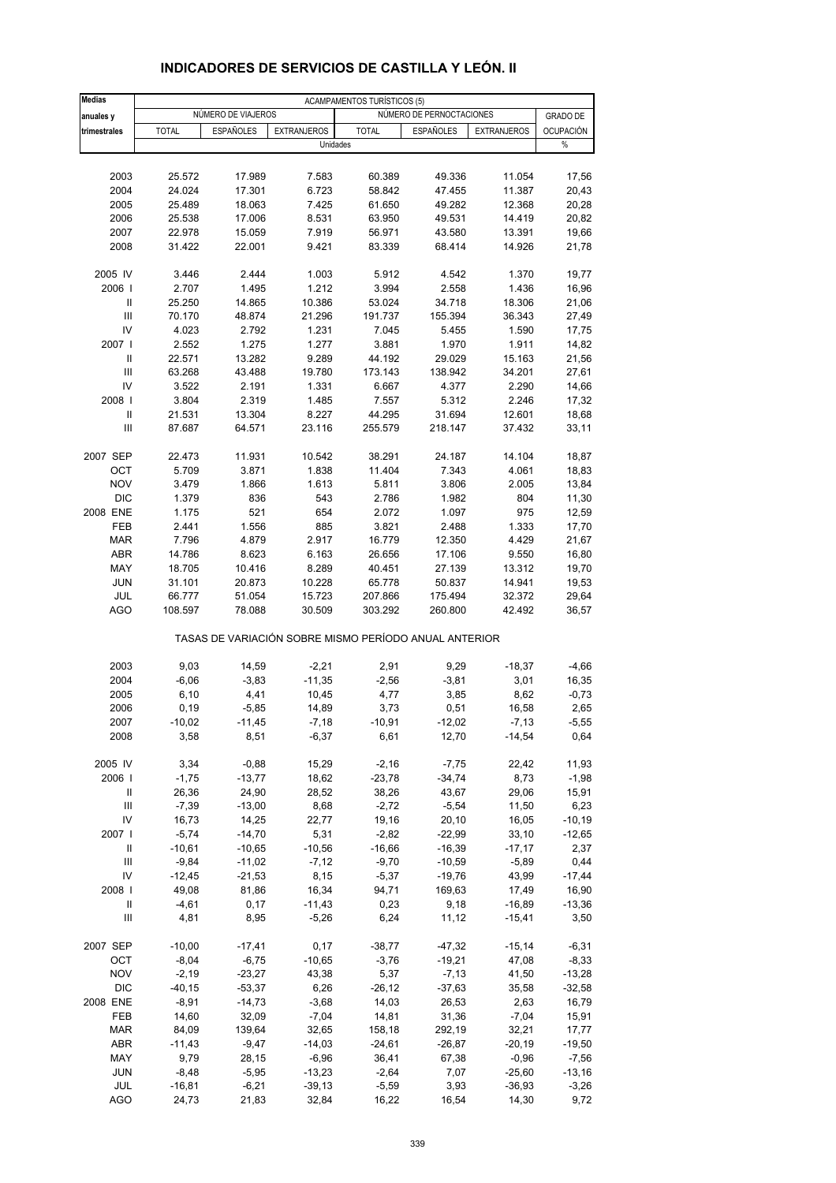| <b>Medias</b>                      | <b>ACAMPAMENTOS TURÍSTICOS (5)</b>             |                  |                    |                                                       |                  |                    |                                     |
|------------------------------------|------------------------------------------------|------------------|--------------------|-------------------------------------------------------|------------------|--------------------|-------------------------------------|
| anuales y                          | NÚMERO DE PERNOCTACIONES<br>NÚMERO DE VIAJEROS |                  |                    |                                                       |                  |                    |                                     |
| trimestrales                       | <b>TOTAL</b>                                   | <b>ESPAÑOLES</b> | <b>EXTRANJEROS</b> | <b>TOTAL</b>                                          | <b>ESPAÑOLES</b> | <b>EXTRANJEROS</b> | <b>GRADO DE</b><br><b>OCUPACIÓN</b> |
|                                    |                                                |                  |                    | Unidades                                              |                  |                    | %                                   |
|                                    |                                                |                  |                    |                                                       |                  |                    |                                     |
| 2003                               | 25.572                                         | 17.989           | 7.583              | 60.389                                                | 49.336           | 11.054             | 17,56                               |
| 2004                               | 24.024                                         | 17.301           | 6.723              | 58.842                                                | 47.455           | 11.387             | 20,43                               |
| 2005                               | 25.489                                         | 18.063           | 7.425              | 61.650                                                | 49.282           | 12.368             | 20,28                               |
| 2006                               | 25.538                                         | 17.006           | 8.531              | 63.950                                                | 49.531           | 14.419             | 20,82                               |
| 2007                               | 22.978                                         | 15.059           | 7.919              | 56.971                                                | 43.580           | 13.391             | 19,66                               |
| 2008                               | 31.422                                         | 22.001           | 9.421              | 83.339                                                | 68.414           | 14.926             | 21,78                               |
|                                    |                                                |                  |                    |                                                       |                  |                    |                                     |
| 2005 IV                            | 3.446                                          | 2.444            | 1.003              | 5.912                                                 | 4.542            | 1.370              | 19,77                               |
| 2006                               | 2.707                                          | 1.495            | 1.212              | 3.994                                                 | 2.558            | 1.436              | 16,96                               |
| $\ensuremath{\mathsf{II}}$         | 25.250                                         | 14.865           | 10.386             | 53.024                                                | 34.718           | 18.306             | 21,06                               |
| Ш                                  | 70.170                                         | 48.874           | 21.296             | 191.737                                               | 155.394          | 36.343             | 27,49                               |
| IV                                 | 4.023                                          | 2.792            | 1.231              | 7.045                                                 | 5.455            | 1.590              | 17,75                               |
| 2007 l                             | 2.552                                          | 1.275            | 1.277              | 3.881                                                 | 1.970            | 1.911              | 14,82                               |
| $\mathbf{I}$                       | 22.571                                         | 13.282           | 9.289              | 44.192                                                | 29.029           | 15.163             | 21,56                               |
| Ш                                  | 63.268                                         | 43.488           | 19.780             | 173.143                                               | 138.942          | 34.201             | 27,61                               |
| IV                                 | 3.522                                          | 2.191            | 1.331              | 6.667                                                 | 4.377            | 2.290              | 14,66                               |
| 2008                               | 3.804                                          | 2.319            | 1.485              | 7.557                                                 | 5.312            | 2.246              | 17,32                               |
| $\mathbf{I}$                       | 21.531                                         | 13.304           | 8.227              | 44.295                                                | 31.694           | 12.601             | 18,68                               |
| Ш                                  | 87.687                                         | 64.571           | 23.116             | 255.579                                               | 218.147          | 37.432             | 33,11                               |
|                                    |                                                |                  |                    |                                                       |                  |                    |                                     |
| 2007 SEP                           | 22.473                                         | 11.931           | 10.542             | 38.291                                                | 24.187           | 14.104             | 18,87                               |
| OCT                                | 5.709                                          | 3.871            | 1.838              | 11.404                                                | 7.343            | 4.061              | 18,83                               |
| <b>NOV</b>                         | 3.479                                          | 1.866            | 1.613              | 5.811                                                 | 3.806            | 2.005              | 13,84                               |
| <b>DIC</b>                         | 1.379                                          | 836              | 543                | 2.786                                                 | 1.982            | 804                | 11,30                               |
| 2008 ENE                           | 1.175                                          | 521              | 654                | 2.072                                                 | 1.097            | 975                | 12,59                               |
| FEB                                | 2.441                                          | 1.556            | 885                | 3.821                                                 | 2.488            | 1.333              | 17,70                               |
| <b>MAR</b>                         | 7.796                                          | 4.879            | 2.917              | 16.779                                                | 12.350           | 4.429              | 21,67                               |
| <b>ABR</b>                         | 14.786                                         | 8.623            | 6.163              | 26.656                                                | 17.106           | 9.550              | 16,80                               |
| MAY                                | 18.705                                         | 10.416           | 8.289              | 40.451                                                | 27.139           | 13.312             | 19,70                               |
| <b>JUN</b>                         | 31.101                                         | 20.873           | 10.228             | 65.778                                                | 50.837           | 14.941             | 19,53                               |
| JUL                                | 66.777                                         | 51.054           | 15.723             | 207.866                                               | 175.494          | 32.372             | 29,64                               |
| <b>AGO</b>                         | 108.597                                        | 78.088           | 30.509             | 303.292                                               | 260.800          | 42.492             | 36,57                               |
|                                    |                                                |                  |                    | TASAS DE VARIACIÓN SOBRE MISMO PERÍODO ANUAL ANTERIOR |                  |                    |                                     |
| 2003                               | 9,03                                           | 14,59            | $-2,21$            | 2,91                                                  | 9,29             | $-18,37$           | -4,66                               |
| 2004                               | $-6,06$                                        | $-3,83$          | $-11,35$           | $-2,56$                                               | $-3,81$          | 3,01               | 16,35                               |
| 2005                               | 6,10                                           | 4,41             | 10,45              | 4,77                                                  | 3,85             | 8,62               | $-0,73$                             |
| 2006                               | 0, 19                                          | $-5,85$          | 14,89              | 3,73                                                  | 0,51             | 16,58              | 2,65                                |
| 2007                               | $-10,02$                                       | $-11,45$         | $-7,18$            | $-10,91$                                              | $-12,02$         | $-7,13$            | $-5,55$                             |
| 2008                               | 3,58                                           | 8,51             | $-6,37$            | 6,61                                                  | 12,70            | $-14,54$           | 0,64                                |
|                                    |                                                |                  |                    |                                                       |                  |                    |                                     |
| 2005 IV                            | 3,34                                           | $-0,88$          | 15,29              | $-2,16$                                               | $-7,75$          | 22,42              | 11,93                               |
| 2006                               | $-1,75$                                        | $-13,77$         | 18,62              | $-23,78$                                              | $-34,74$         | 8,73               | $-1,98$                             |
| Ш                                  | 26,36                                          | 24,90            | 28,52              | 38,26                                                 | 43,67            | 29,06              | 15,91                               |
| $\mathsf{III}$                     | $-7,39$                                        | $-13,00$         | 8,68               | $-2,72$                                               | $-5,54$          | 11,50              | 6,23                                |
| IV                                 | 16,73                                          | 14,25            | 22,77              | 19,16                                                 | 20,10            | 16,05              | $-10,19$                            |
| 2007 l                             | $-5,74$                                        | $-14,70$         | 5,31               | $-2,82$                                               | $-22,99$         | 33,10              | $-12,65$                            |
| Ш                                  | $-10,61$                                       | $-10,65$         | $-10,56$           | $-16,66$                                              | $-16,39$         | $-17,17$           | 2,37                                |
| Ш                                  | $-9,84$                                        | $-11,02$         | $-7,12$            | $-9,70$                                               | $-10,59$         | $-5,89$            | 0,44                                |
| IV                                 | $-12,45$                                       | $-21,53$         | 8,15               | $-5,37$                                               | $-19,76$         | 43,99              | $-17,44$                            |
| 2008                               | 49,08                                          | 81,86            | 16,34              | 94,71                                                 | 169,63           | 17,49              | 16,90                               |
| Ш                                  | $-4,61$                                        | 0,17             | $-11,43$           | 0,23                                                  | 9,18             | $-16,89$           | $-13,36$                            |
| $\ensuremath{\mathsf{III}}\xspace$ | 4,81                                           | 8,95             | $-5,26$            | 6,24                                                  | 11,12            | $-15,41$           | 3,50                                |
| 2007 SEP                           | $-10,00$                                       | $-17,41$         | 0,17               | $-38,77$                                              | $-47,32$         | $-15,14$           | $-6,31$                             |
| OCT                                | $-8,04$                                        | $-6,75$          | $-10,65$           | $-3,76$                                               | $-19,21$         | 47,08              | $-8,33$                             |
| <b>NOV</b>                         | $-2,19$                                        | $-23,27$         | 43,38              | 5,37                                                  | $-7,13$          | 41,50              | $-13,28$                            |
| <b>DIC</b>                         | $-40, 15$                                      | $-53,37$         | 6,26               | $-26, 12$                                             | $-37,63$         | 35,58              | $-32,58$                            |
| 2008 ENE                           | $-8,91$                                        | $-14,73$         | $-3,68$            | 14,03                                                 | 26,53            | 2,63               | 16,79                               |
| FEB                                | 14,60                                          | 32,09            | $-7,04$            | 14,81                                                 | 31,36            | $-7,04$            | 15,91                               |
| <b>MAR</b>                         | 84,09                                          | 139,64           | 32,65              | 158,18                                                | 292,19           | 32,21              | 17,77                               |
| <b>ABR</b>                         | $-11,43$                                       | $-9,47$          | $-14,03$           | $-24,61$                                              | $-26,87$         | $-20,19$           | $-19,50$                            |
| MAY                                | 9,79                                           | 28,15            | $-6,96$            | 36,41                                                 | 67,38            | $-0,96$            | $-7,56$                             |
| <b>JUN</b>                         | $-8,48$                                        | $-5,95$          | $-13,23$           | $-2,64$                                               | 7,07             | $-25,60$           | $-13,16$                            |
| JUL                                | $-16,81$                                       | $-6,21$          | $-39,13$           | $-5,59$                                               | 3,93             | $-36,93$           | $-3,26$                             |
| <b>AGO</b>                         | 24,73                                          | 21,83            | 32,84              | 16,22                                                 | 16,54            | 14,30              | 9,72                                |

### **INDICADORES DE SERVICIOS DE CASTILLA Y LEÓN. II**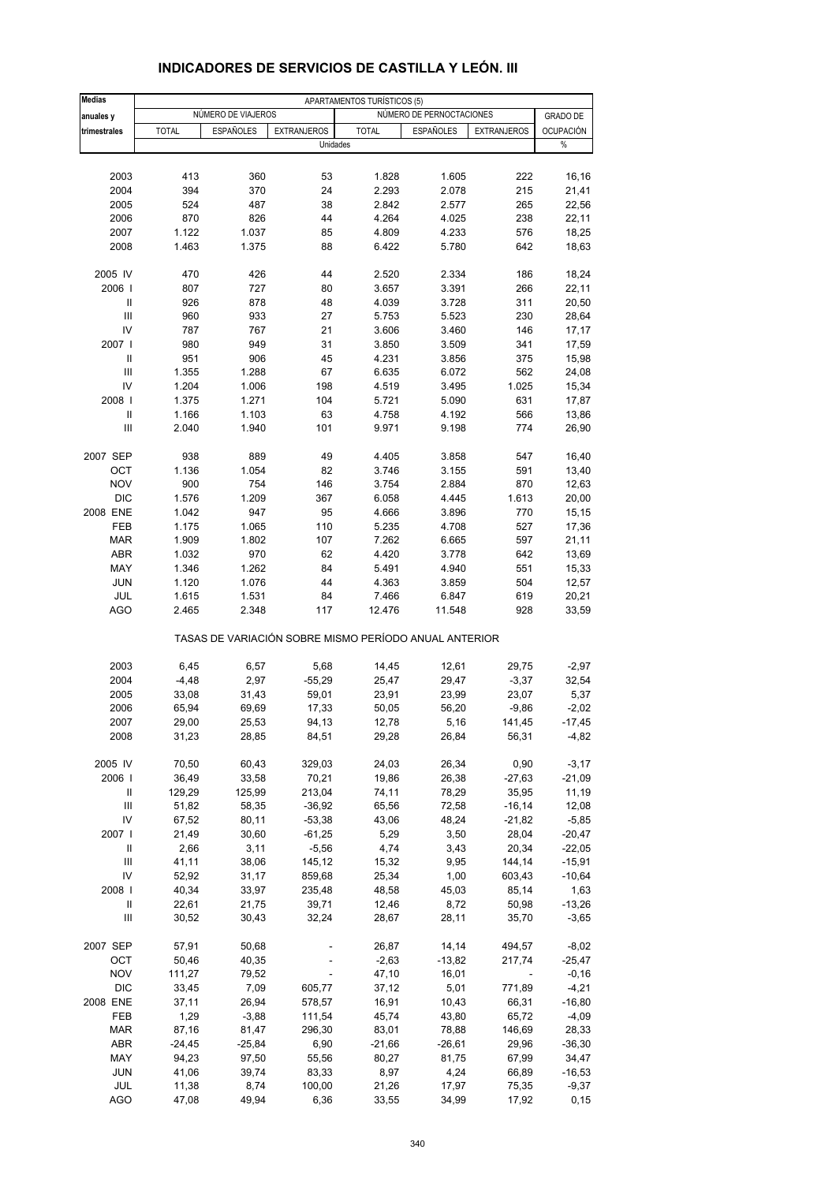| <b>Medias</b>     | APARTAMENTOS TURÍSTICOS (5) |                    |                                                       |                |                          |                    |                  |  |
|-------------------|-----------------------------|--------------------|-------------------------------------------------------|----------------|--------------------------|--------------------|------------------|--|
| anuales y         |                             | NÚMERO DE VIAJEROS |                                                       |                | NÚMERO DE PERNOCTACIONES |                    | <b>GRADO DE</b>  |  |
| trimestrales      | <b>TOTAL</b>                | <b>ESPAÑOLES</b>   | <b>EXTRANJEROS</b>                                    | <b>TOTAL</b>   | <b>ESPAÑOLES</b>         | <b>EXTRANJEROS</b> | <b>OCUPACIÓN</b> |  |
|                   |                             |                    | Unidades                                              |                |                          |                    | %                |  |
|                   |                             |                    |                                                       |                |                          |                    |                  |  |
| 2003              | 413                         | 360                | 53                                                    | 1.828          | 1.605                    | 222                | 16,16            |  |
| 2004              | 394                         | 370                | 24                                                    | 2.293          | 2.078                    | 215                | 21,41            |  |
| 2005              | 524                         | 487                | 38                                                    | 2.842          | 2.577                    | 265                | 22,56            |  |
| 2006              | 870                         | 826                | 44                                                    | 4.264<br>4.809 | 4.025                    | 238                | 22,11            |  |
| 2007<br>2008      | 1.122<br>1.463              | 1.037<br>1.375     | 85<br>88                                              | 6.422          | 4.233<br>5.780           | 576<br>642         | 18,25<br>18,63   |  |
|                   |                             |                    |                                                       |                |                          |                    |                  |  |
| 2005 IV           | 470                         | 426                | 44                                                    | 2.520          | 2.334                    | 186                | 18,24            |  |
| 2006              | 807                         | 727                | 80                                                    | 3.657          | 3.391                    | 266                | 22,11            |  |
| $\mathbf{II}$     | 926                         | 878                | 48                                                    | 4.039          | 3.728                    | 311                | 20,50            |  |
| III               | 960                         | 933                | 27                                                    | 5.753          | 5.523                    | 230                | 28,64            |  |
| IV                | 787                         | 767                | 21                                                    | 3.606          | 3.460                    | 146                | 17,17            |  |
| 2007 l            | 980                         | 949                | 31                                                    | 3.850          | 3.509                    | 341                | 17,59            |  |
| Ш                 | 951                         | 906                | 45                                                    | 4.231          | 3.856                    | 375                | 15,98            |  |
| Ш<br>IV           | 1.355                       | 1.288              | 67                                                    | 6.635          | 6.072                    | 562                | 24,08            |  |
| 2008              | 1.204<br>1.375              | 1.006<br>1.271     | 198<br>104                                            | 4.519<br>5.721 | 3.495<br>5.090           | 1.025<br>631       | 15,34            |  |
| Ш                 | 1.166                       | 1.103              | 63                                                    | 4.758          | 4.192                    | 566                | 17,87<br>13,86   |  |
| III               | 2.040                       | 1.940              | 101                                                   | 9.971          | 9.198                    | 774                | 26,90            |  |
|                   |                             |                    |                                                       |                |                          |                    |                  |  |
| 2007 SEP          | 938                         | 889                | 49                                                    | 4.405          | 3.858                    | 547                | 16,40            |  |
| OCT               | 1.136                       | 1.054              | 82                                                    | 3.746          | 3.155                    | 591                | 13,40            |  |
| <b>NOV</b>        | 900                         | 754                | 146                                                   | 3.754          | 2.884                    | 870                | 12,63            |  |
| <b>DIC</b>        | 1.576                       | 1.209              | 367                                                   | 6.058          | 4.445                    | 1.613              | 20,00            |  |
| 2008 ENE          | 1.042                       | 947                | 95                                                    | 4.666          | 3.896                    | 770                | 15,15            |  |
| FEB               | 1.175                       | 1.065              | 110                                                   | 5.235          | 4.708                    | 527                | 17,36            |  |
| <b>MAR</b>        | 1.909                       | 1.802              | 107                                                   | 7.262          | 6.665                    | 597                | 21,11            |  |
| ABR               | 1.032                       | 970                | 62                                                    | 4.420          | 3.778                    | 642                | 13,69            |  |
| MAY               | 1.346                       | 1.262              | 84                                                    | 5.491          | 4.940                    | 551                | 15,33            |  |
| <b>JUN</b><br>JUL | 1.120<br>1.615              | 1.076<br>1.531     | 44<br>84                                              | 4.363<br>7.466 | 3.859<br>6.847           | 504<br>619         | 12,57<br>20,21   |  |
| <b>AGO</b>        | 2.465                       | 2.348              | 117                                                   | 12.476         | 11.548                   | 928                | 33,59            |  |
|                   |                             |                    | TASAS DE VARIACIÓN SOBRE MISMO PERÍODO ANUAL ANTERIOR |                |                          |                    |                  |  |
| 2003              | 6,45                        | 6,57               | 5,68                                                  | 14,45          | 12,61                    | 29,75              | $-2,97$          |  |
| 2004              | $-4,48$                     | 2,97               | $-55,29$                                              | 25,47          | 29,47                    | $-3,37$            | 32,54            |  |
| 2005              | 33,08                       | 31,43              | 59,01                                                 | 23,91          | 23,99                    | 23,07              | 5,37             |  |
| 2006              | 65,94                       | 69,69              | 17,33                                                 | 50,05          | 56,20                    | $-9,86$            | $-2,02$          |  |
| 2007              | 29,00                       | 25,53              | 94,13                                                 | 12,78          | 5,16                     | 141,45             | -17,45           |  |
| 2008              | 31,23                       | 28,85              | 84,51                                                 | 29,28          | 26,84                    | 56,31              | $-4,82$          |  |
| 2005 IV           | 70,50                       | 60,43              | 329,03                                                | 24,03          | 26,34                    | 0,90               | $-3,17$          |  |
| 2006              | 36,49                       | 33,58              | 70,21                                                 | 19,86          | 26,38                    | $-27,63$           | $-21,09$         |  |
| Ш                 | 129,29                      | 125,99             | 213,04                                                | 74,11          | 78,29                    | 35,95              | 11,19            |  |
| Ш                 | 51,82                       | 58,35              | $-36,92$                                              | 65,56          | 72,58                    | $-16,14$           | 12,08            |  |
| IV                | 67,52                       | 80,11              | $-53,38$                                              | 43,06          | 48,24                    | $-21,82$           | $-5,85$          |  |
| 2007              | 21,49                       | 30,60              | $-61,25$                                              | 5,29           | 3,50                     | 28,04              | $-20,47$         |  |
| Ш                 | 2,66                        | 3,11               | $-5,56$                                               | 4,74           | 3,43                     | 20,34              | $-22,05$         |  |
| $\mathsf{III}$    | 41,11                       | 38,06              | 145,12                                                | 15,32          | 9,95                     | 144,14             | $-15,91$         |  |
| IV                | 52,92                       | 31,17              | 859,68                                                | 25,34          | 1,00                     | 603,43             | $-10,64$         |  |
| 2008              | 40,34                       | 33,97              | 235,48                                                | 48,58          | 45,03                    | 85,14              | 1,63             |  |
| Ш                 | 22,61                       | 21,75              | 39,71                                                 | 12,46          | 8,72                     | 50,98              | $-13,26$         |  |
| Ш                 | 30,52                       | 30,43              | 32,24                                                 | 28,67          | 28,11                    | 35,70              | $-3,65$          |  |
| 2007 SEP          | 57,91                       | 50,68              |                                                       | 26,87          | 14,14                    | 494,57             | $-8,02$          |  |
| OCT               | 50,46                       | 40,35              |                                                       | $-2,63$        | $-13,82$                 | 217,74             | $-25,47$         |  |
| <b>NOV</b>        | 111,27                      | 79,52              |                                                       | 47,10          | 16,01                    |                    | $-0,16$          |  |
| <b>DIC</b>        | 33,45                       | 7,09               | 605,77                                                | 37,12          | 5,01                     | 771,89             | $-4,21$          |  |
| 2008 ENE          | 37,11                       | 26,94              | 578,57                                                | 16,91          | 10,43                    | 66,31              | $-16,80$         |  |
| FEB               | 1,29                        | $-3,88$            | 111,54                                                | 45,74          | 43,80                    | 65,72              | -4,09            |  |
| <b>MAR</b>        | 87,16                       | 81,47              | 296,30                                                | 83,01          | 78,88                    | 146,69             | 28,33            |  |
| ABR               | $-24,45$                    | $-25,84$           | 6,90                                                  | $-21,66$       | -26,61                   | 29,96              | $-36,30$         |  |
| MAY               | 94,23                       | 97,50              | 55,56                                                 | 80,27          | 81,75                    | 67,99              | 34,47            |  |
| <b>JUN</b>        | 41,06                       | 39,74              | 83,33                                                 | 8,97           | 4,24                     | 66,89              | $-16,53$         |  |
| JUL               | 11,38                       | 8,74               | 100,00                                                | 21,26          | 17,97                    | 75,35              | -9,37            |  |
| <b>AGO</b>        | 47,08                       | 49,94              | 6,36                                                  | 33,55          | 34,99                    | 17,92              | 0, 15            |  |

# **INDICADORES DE SERVICIOS DE CASTILLA Y LEÓN. III**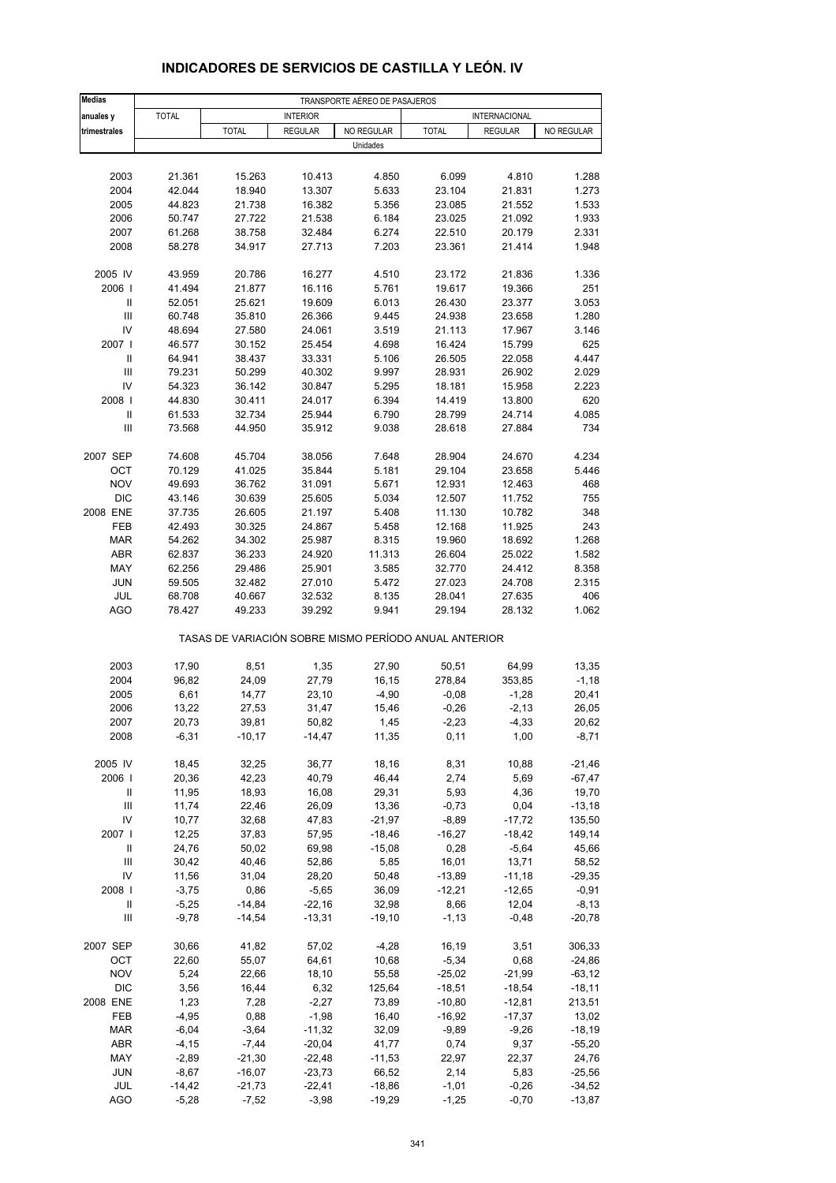| <b>Medias</b>              | TRANSPORTE AÉREO DE PASAJEROS |              |                 |            |                                                       |                |            |  |
|----------------------------|-------------------------------|--------------|-----------------|------------|-------------------------------------------------------|----------------|------------|--|
| anuales y                  | <b>TOTAL</b>                  |              | <b>INTERIOR</b> |            |                                                       | INTERNACIONAL  |            |  |
| trimestrales               |                               | <b>TOTAL</b> | <b>REGULAR</b>  | NO REGULAR | <b>TOTAL</b>                                          | <b>REGULAR</b> | NO REGULAR |  |
|                            |                               |              |                 | Unidades   |                                                       |                |            |  |
|                            |                               |              |                 |            |                                                       |                |            |  |
| 2003                       | 21.361                        | 15.263       | 10.413          | 4.850      | 6.099                                                 | 4.810          | 1.288      |  |
| 2004                       | 42.044                        | 18.940       | 13.307          | 5.633      | 23.104                                                | 21.831         | 1.273      |  |
| 2005                       | 44.823                        | 21.738       | 16.382          | 5.356      | 23.085                                                | 21.552         | 1.533      |  |
| 2006                       | 50.747                        | 27.722       | 21.538          | 6.184      | 23.025                                                | 21.092         | 1.933      |  |
| 2007                       | 61.268                        | 38.758       | 32.484          | 6.274      | 22.510                                                | 20.179         | 2.331      |  |
| 2008                       | 58.278                        | 34.917       | 27.713          | 7.203      | 23.361                                                | 21.414         | 1.948      |  |
|                            |                               |              |                 |            |                                                       |                |            |  |
| 2005 IV                    | 43.959                        | 20.786       | 16.277          | 4.510      | 23.172                                                | 21.836         | 1.336      |  |
| 2006                       | 41.494                        | 21.877       | 16.116          | 5.761      | 19.617                                                | 19.366         | 251        |  |
| Ш                          | 52.051                        | 25.621       | 19.609          | 6.013      | 26.430                                                | 23.377         | 3.053      |  |
| $\mathsf{III}$             | 60.748                        | 35.810       | 26.366          | 9.445      | 24.938                                                | 23.658         | 1.280      |  |
| IV                         | 48.694                        | 27.580       | 24.061          | 3.519      | 21.113                                                | 17.967         | 3.146      |  |
| 2007 l                     | 46.577                        | 30.152       | 25.454          | 4.698      | 16.424                                                | 15.799         | 625        |  |
| Ш                          | 64.941                        | 38.437       | 33.331          | 5.106      | 26.505                                                | 22.058         | 4.447      |  |
| Ш                          | 79.231                        | 50.299       | 40.302          | 9.997      | 28.931                                                | 26.902         | 2.029      |  |
| IV                         | 54.323                        | 36.142       | 30.847          | 5.295      | 18.181                                                | 15.958         | 2.223      |  |
| 2008                       | 44.830                        | 30.411       | 24.017          | 6.394      | 14.419                                                | 13.800         | 620        |  |
| $\ensuremath{\mathsf{II}}$ | 61.533                        | 32.734       | 25.944          | 6.790      | 28.799                                                | 24.714         | 4.085      |  |
| Ш                          | 73.568                        | 44.950       | 35.912          | 9.038      | 28.618                                                | 27.884         | 734        |  |
|                            |                               |              |                 |            |                                                       |                |            |  |
| 2007 SEP                   | 74.608                        | 45.704       | 38.056          | 7.648      | 28.904                                                | 24.670         | 4.234      |  |
| OCT                        | 70.129                        | 41.025       | 35.844          | 5.181      | 29.104                                                | 23.658         | 5.446      |  |
| <b>NOV</b>                 | 49.693                        | 36.762       | 31.091          | 5.671      | 12.931                                                | 12.463         | 468        |  |
| <b>DIC</b>                 | 43.146                        | 30.639       | 25.605          | 5.034      | 12.507                                                | 11.752         | 755        |  |
| 2008 ENE                   | 37.735                        | 26.605       | 21.197          | 5.408      | 11.130                                                | 10.782         | 348        |  |
| FEB                        | 42.493                        | 30.325       | 24.867          | 5.458      | 12.168                                                | 11.925         | 243        |  |
| <b>MAR</b>                 | 54.262                        | 34.302       | 25.987          | 8.315      | 19.960                                                | 18.692         | 1.268      |  |
| <b>ABR</b>                 | 62.837                        | 36.233       | 24.920          | 11.313     | 26.604                                                | 25.022         | 1.582      |  |
| MAY                        | 62.256                        | 29.486       | 25.901          | 3.585      | 32.770                                                | 24.412         | 8.358      |  |
| <b>JUN</b>                 | 59.505                        | 32.482       | 27.010          | 5.472      | 27.023                                                | 24.708         | 2.315      |  |
| JUL                        | 68.708                        | 40.667       | 32.532          | 8.135      | 28.041                                                | 27.635         | 406        |  |
| <b>AGO</b>                 | 78.427                        | 49.233       | 39.292          | 9.941      | 29.194                                                | 28.132         | 1.062      |  |
|                            |                               |              |                 |            | TASAS DE VARIACIÓN SOBRE MISMO PERÍODO ANUAL ANTERIOR |                |            |  |
| 2003                       | 17,90                         | 8,51         | 1,35            | 27,90      | 50,51                                                 | 64,99          | 13,35      |  |
| 2004                       | 96,82                         | 24,09        | 27,79           | 16,15      | 278,84                                                | 353,85         | $-1,18$    |  |
| 2005                       | 6,61                          | 14,77        | 23,10           | $-4,90$    | $-0,08$                                               | $-1,28$        | 20,41      |  |
| 2006                       | 13,22                         | 27,53        | 31,47           | 15,46      | $-0,26$                                               | $-2,13$        | 26,05      |  |
| 2007                       | 20,73                         | 39,81        | 50,82           | 1,45       | -2,23                                                 | -4,33          | 20,62      |  |
| 2008                       | $-6,31$                       | $-10,17$     | $-14,47$        | 11,35      | 0,11                                                  | 1,00           | $-8,71$    |  |
|                            |                               |              |                 |            |                                                       |                |            |  |
| 2005 IV                    | 18,45                         | 32,25        | 36,77           | 18,16      | 8,31                                                  | 10,88          | $-21,46$   |  |
| 2006                       | 20,36                         | 42,23        | 40,79           | 46,44      | 2,74                                                  | 5,69           | $-67,47$   |  |
| Ш                          | 11,95                         | 18,93        | 16,08           | 29,31      | 5,93                                                  | 4,36           | 19,70      |  |
| $\mathsf{III}$             | 11,74                         | 22,46        | 26,09           | 13,36      | $-0,73$                                               | 0,04           | $-13,18$   |  |
| IV                         | 10,77                         | 32,68        | 47,83           | $-21,97$   | $-8,89$                                               | $-17,72$       | 135,50     |  |
| 2007 l                     | 12,25                         | 37,83        | 57,95           | $-18,46$   | $-16,27$                                              | $-18,42$       | 149,14     |  |
| Ш                          | 24,76                         | 50,02        | 69,98           | $-15,08$   | 0,28                                                  | $-5,64$        | 45,66      |  |
| III                        | 30,42                         | 40,46        | 52,86           | 5,85       | 16,01                                                 | 13,71          | 58,52      |  |
| IV                         | 11,56                         | 31,04        | 28,20           | 50,48      | $-13,89$                                              | $-11,18$       | $-29,35$   |  |
| 2008                       | $-3,75$                       | 0,86         | $-5,65$         | 36,09      | $-12,21$                                              | $-12,65$       | $-0,91$    |  |
| Ш                          | $-5,25$                       | $-14,84$     | $-22,16$        | 32,98      | 8,66                                                  | 12,04          | $-8,13$    |  |
| $\mathsf{III}$             | $-9,78$                       | $-14,54$     | $-13,31$        | $-19,10$   | $-1, 13$                                              | $-0,48$        | $-20,78$   |  |
| 2007 SEP                   | 30,66                         | 41,82        | 57,02           | $-4,28$    | 16,19                                                 | 3,51           | 306,33     |  |
| OCT                        | 22,60                         | 55,07        | 64,61           | 10,68      | $-5,34$                                               | 0,68           | $-24,86$   |  |
| <b>NOV</b>                 | 5,24                          | 22,66        | 18,10           | 55,58      | $-25,02$                                              | $-21,99$       | $-63, 12$  |  |
| <b>DIC</b>                 | 3,56                          | 16,44        | 6,32            | 125,64     | $-18,51$                                              | $-18,54$       | $-18,11$   |  |
| 2008 ENE                   | 1,23                          | 7,28         | $-2,27$         | 73,89      | $-10,80$                                              | $-12,81$       | 213,51     |  |
| FEB                        | $-4,95$                       | 0,88         | $-1,98$         | 16,40      | $-16,92$                                              | $-17,37$       | 13,02      |  |
| <b>MAR</b>                 | $-6,04$                       | $-3,64$      | $-11,32$        | 32,09      | $-9,89$                                               | $-9,26$        | $-18,19$   |  |
| <b>ABR</b>                 | $-4, 15$                      | $-7,44$      | $-20,04$        | 41,77      | 0,74                                                  | 9,37           | $-55,20$   |  |
| MAY                        | $-2,89$                       | $-21,30$     | $-22,48$        | $-11,53$   | 22,97                                                 | 22,37          | 24,76      |  |
| JUN                        | $-8,67$                       | $-16,07$     | $-23,73$        | 66,52      | 2,14                                                  | 5,83           | $-25,56$   |  |
| JUL                        | $-14,42$                      | $-21,73$     | $-22,41$        | $-18,86$   | $-1,01$                                               | $-0,26$        | -34,52     |  |
| <b>AGO</b>                 | $-5,28$                       | $-7,52$      | $-3,98$         | $-19,29$   | $-1,25$                                               | $-0,70$        | $-13,87$   |  |

# **INDICADORES DE SERVICIOS DE CASTILLA Y LEÓN. IV**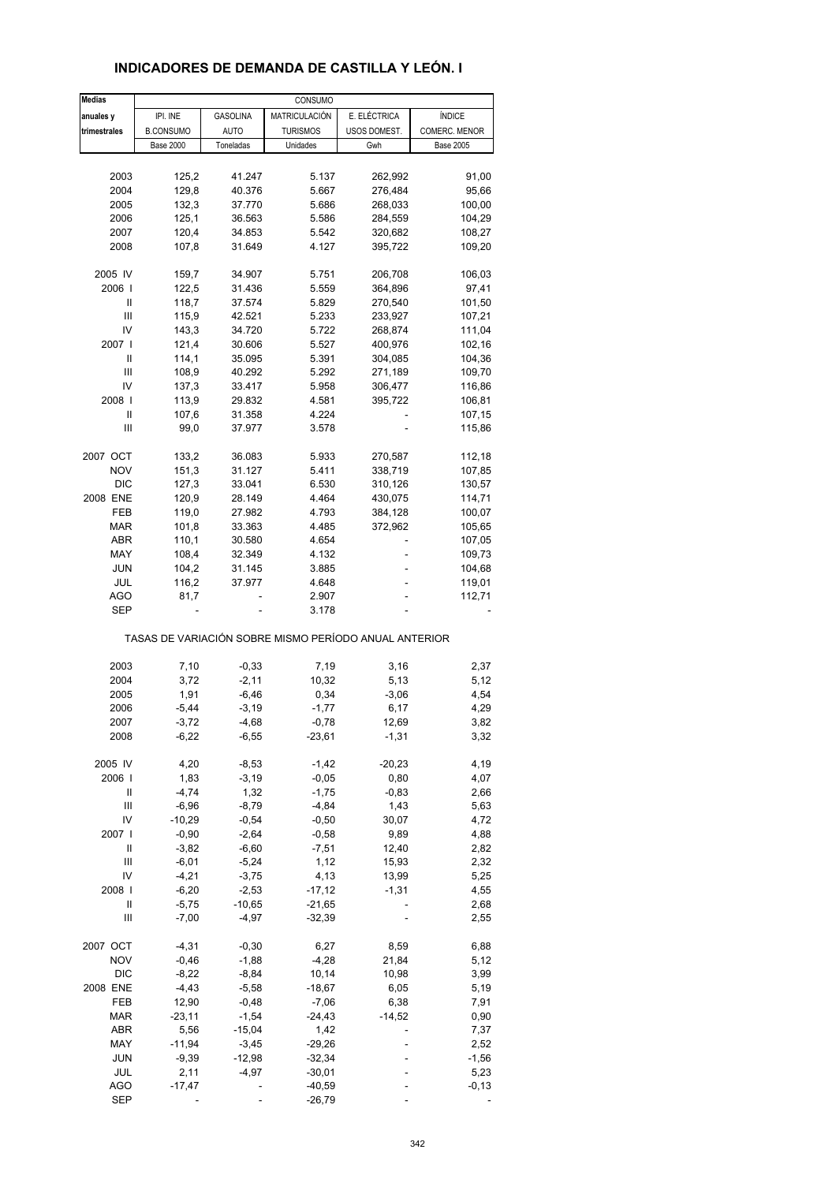| <b>Medias</b> |                  |                 | CONSUMO         |                                                       |                  |
|---------------|------------------|-----------------|-----------------|-------------------------------------------------------|------------------|
| anuales y     | IPI. INE         | <b>GASOLINA</b> | MATRICULACIÓN   | E. ELÉCTRICA                                          | ÍNDICE           |
| trimestrales  | <b>B.CONSUMO</b> | <b>AUTO</b>     | <b>TURISMOS</b> | USOS DOMEST.                                          | COMERC. MENOR    |
|               | <b>Base 2000</b> | Toneladas       | Unidades        | Gwh                                                   | <b>Base 2005</b> |
|               |                  |                 |                 |                                                       |                  |
|               |                  |                 |                 |                                                       |                  |
| 2003          | 125,2            | 41.247          | 5.137           | 262,992                                               | 91,00            |
| 2004          | 129,8            | 40.376          | 5.667           | 276,484                                               | 95,66            |
| 2005          | 132,3            | 37.770          | 5.686           | 268,033                                               | 100,00           |
| 2006          | 125,1            | 36.563          | 5.586           | 284,559                                               | 104,29           |
| 2007          | 120,4            | 34.853          | 5.542           | 320,682                                               | 108,27           |
| 2008          | 107,8            | 31.649          | 4.127           | 395,722                                               | 109,20           |
|               |                  |                 |                 |                                                       |                  |
| 2005 IV       | 159,7            | 34.907          | 5.751           | 206,708                                               | 106,03           |
| 2006          | 122,5            | 31.436          | 5.559           | 364,896                                               | 97,41            |
| Ш             | 118,7            | 37.574          | 5.829           | 270,540                                               |                  |
|               |                  |                 |                 |                                                       | 101,50           |
| Ш             | 115,9            | 42.521          | 5.233           | 233,927                                               | 107,21           |
| IV            | 143,3            | 34.720          | 5.722           | 268,874                                               | 111,04           |
| 2007 I        | 121,4            | 30.606          | 5.527           | 400,976                                               | 102,16           |
| Ш             | 114,1            | 35.095          | 5.391           | 304,085                                               | 104,36           |
| Ш             | 108,9            | 40.292          | 5.292           | 271,189                                               | 109,70           |
| IV            | 137,3            | 33.417          | 5.958           |                                                       |                  |
|               |                  |                 |                 | 306,477                                               | 116,86           |
| 2008          | 113,9            | 29.832          | 4.581           | 395,722                                               | 106,81           |
| Ш             | 107,6            | 31.358          | 4.224           |                                                       | 107,15           |
| Ш             | 99,0             | 37.977          | 3.578           |                                                       | 115,86           |
|               |                  |                 |                 |                                                       |                  |
| 2007 OCT      | 133,2            | 36.083          | 5.933           | 270,587                                               | 112,18           |
| <b>NOV</b>    | 151,3            | 31.127          | 5.411           | 338,719                                               | 107,85           |
| <b>DIC</b>    | 127,3            | 33.041          | 6.530           | 310,126                                               | 130,57           |
| 2008 ENE      | 120,9            | 28.149          | 4.464           | 430,075                                               | 114,71           |
| FEB           | 119,0            | 27.982          | 4.793           | 384,128                                               | 100,07           |
| <b>MAR</b>    | 101,8            | 33.363          | 4.485           | 372,962                                               | 105,65           |
|               |                  |                 |                 |                                                       |                  |
| ABR           | 110,1            | 30.580          | 4.654           |                                                       | 107,05           |
| MAY           | 108,4            | 32.349          | 4.132           |                                                       | 109,73           |
| JUN           | 104,2            | 31.145          | 3.885           |                                                       | 104,68           |
| JUL           | 116,2            | 37.977          | 4.648           |                                                       | 119,01           |
| AGO           | 81,7             |                 | 2.907           |                                                       | 112,71           |
| SEP           |                  |                 | 3.178           |                                                       |                  |
|               |                  |                 |                 | TASAS DE VARIACIÓN SOBRE MISMO PERÍODO ANUAL ANTERIOR |                  |
|               |                  |                 |                 |                                                       |                  |
| 2003          | 7,10             | $-0,33$         | 7,19            | 3,16                                                  | 2,37             |
| 2004          | 3,72             | $-2,11$         | 10,32           | 5,13                                                  | 5,12             |
| 2005          | 1,91             | $-6,46$         | 0,34            | $-3,06$                                               | 4,54             |
| 2006          | $-5,44$          | $-3,19$         | $-1,77$         | 6,17                                                  | 4,29             |
| 2007          | $-3,72$          | $-4,68$         | $-0,78$         | 12,69                                                 | 3,82             |
| 2008          | $-6,22$          | $-6,55$         | $-23,61$        | $-1,31$                                               | 3,32             |
|               |                  |                 |                 |                                                       |                  |
| 2005 IV       | 4,20             | $-8,53$         | $-1,42$         | $-20,23$                                              | 4,19             |
| 2006          | 1,83             | $-3,19$         | $-0,05$         | 0,80                                                  | 4,07             |
| Ш             | $-4,74$          | 1,32            | $-1,75$         | $-0,83$                                               | 2,66             |
| Ш             | $-6,96$          | $-8,79$         | $-4,84$         | 1,43                                                  | 5,63             |
| IV            | $-10,29$         | $-0,54$         | $-0,50$         | 30,07                                                 | 4,72             |
|               |                  |                 |                 |                                                       |                  |
| 2007          | $-0,90$          | $-2,64$         | $-0,58$         | 9,89                                                  | 4,88             |
| Ш             | $-3,82$          | $-6,60$         | $-7,51$         | 12,40                                                 | 2,82             |
| Ш             | $-6,01$          | $-5,24$         | 1,12            | 15,93                                                 | 2,32             |
| IV            | $-4,21$          | $-3,75$         | 4,13            | 13,99                                                 | 5,25             |
| 2008          | $-6,20$          | $-2,53$         | $-17,12$        | $-1,31$                                               | 4,55             |
| Ш             | $-5,75$          | $-10,65$        | $-21,65$        |                                                       |                  |
|               |                  |                 |                 |                                                       | 2,68             |
| Ш             | $-7,00$          | $-4,97$         | $-32,39$        |                                                       | 2,55             |
| 2007 OCT      | $-4,31$          | $-0,30$         | 6,27            | 8,59                                                  | 6,88             |
| <b>NOV</b>    | $-0,46$          | $-1,88$         | $-4,28$         | 21,84                                                 | 5,12             |
|               |                  |                 |                 |                                                       |                  |
| <b>DIC</b>    | $-8,22$          | $-8,84$         | 10,14           | 10,98                                                 | 3,99             |
| 2008 ENE      | $-4,43$          | $-5,58$         | $-18,67$        | 6,05                                                  | 5,19             |
| FEB           | 12,90            | $-0,48$         | $-7,06$         | 6,38                                                  | 7,91             |
| <b>MAR</b>    | $-23,11$         | $-1,54$         | $-24,43$        | $-14,52$                                              | 0,90             |
| ABR           | 5,56             | $-15,04$        | 1,42            |                                                       | 7,37             |
|               |                  |                 |                 |                                                       |                  |
| MAY           | $-11,94$         | $-3,45$         | $-29,26$        |                                                       | 2,52             |
| JUN           | $-9,39$          | $-12,98$        | $-32,34$        |                                                       | $-1,56$          |
| JUL           | 2,11             | $-4,97$         | $-30,01$        |                                                       | 5,23             |
| <b>AGO</b>    | $-17,47$         |                 | $-40,59$        |                                                       | $-0,13$          |
| SEP           |                  |                 | $-26,79$        |                                                       |                  |

### **INDICADORES DE DEMANDA DE CASTILLA Y LEÓN. I**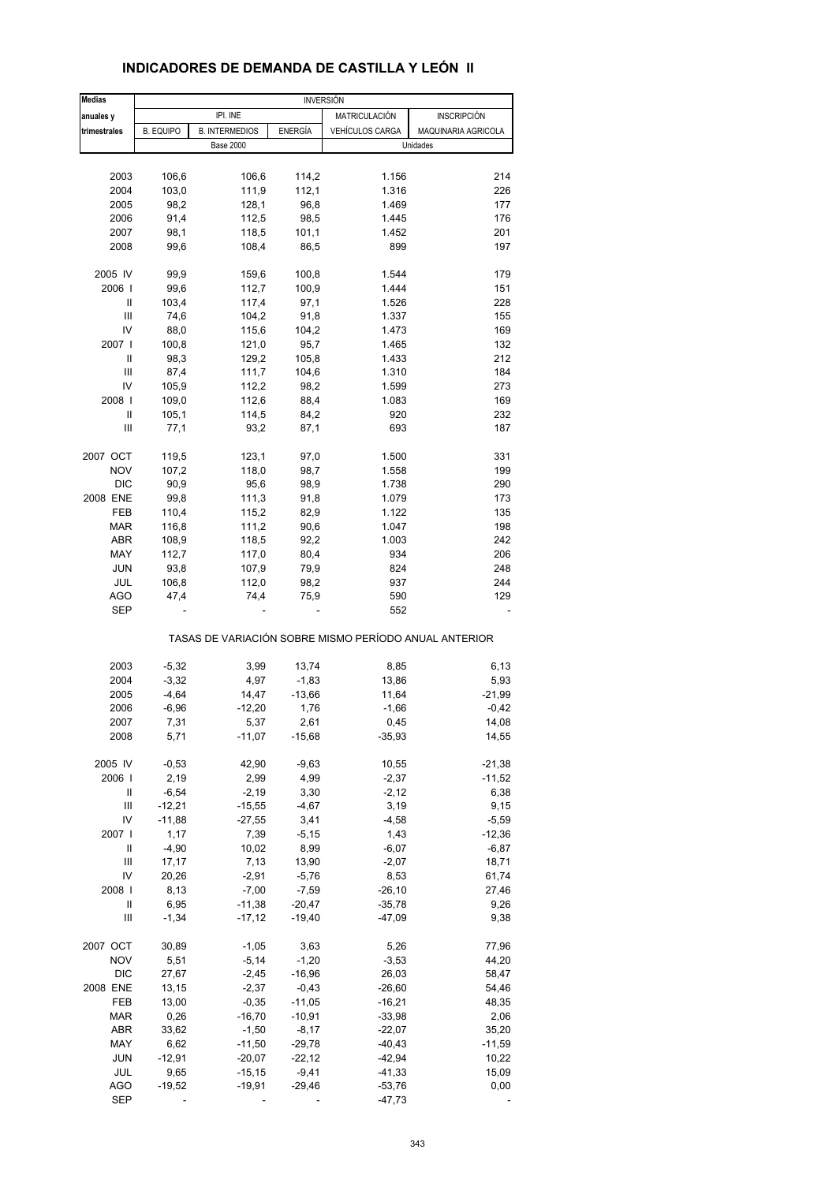| <b>Medias</b> |                  |                       |          | <b>INVERSIÓN</b> |                                                       |
|---------------|------------------|-----------------------|----------|------------------|-------------------------------------------------------|
| anuales y     |                  | IPI. INE              |          | MATRICULACIÓN    | <b>INSCRIPCIÓN</b>                                    |
| trimestrales  | <b>B. EQUIPO</b> | <b>B. INTERMEDIOS</b> | ENERGÍA  | VEHÍCULOS CARGA  | MAQUINARIA AGRICOLA                                   |
|               |                  | <b>Base 2000</b>      |          |                  | Unidades                                              |
|               |                  |                       |          |                  |                                                       |
|               |                  |                       |          |                  |                                                       |
| 2003          | 106,6            | 106,6                 | 114,2    | 1.156            | 214                                                   |
| 2004          | 103,0            | 111,9                 | 112,1    | 1.316            | 226                                                   |
| 2005          | 98,2             | 128,1                 | 96,8     | 1.469            | 177                                                   |
| 2006          | 91,4             | 112,5                 | 98,5     | 1.445            | 176                                                   |
| 2007          | 98,1             | 118,5                 | 101,1    | 1.452            | 201                                                   |
|               |                  |                       |          |                  |                                                       |
| 2008          | 99,6             | 108,4                 | 86,5     | 899              | 197                                                   |
| 2005 IV       | 99,9             | 159,6                 | 100,8    | 1.544            | 179                                                   |
| 2006          | 99,6             | 112,7                 | 100,9    | 1.444            | 151                                                   |
|               |                  |                       |          |                  |                                                       |
| Ш             | 103,4            | 117,4                 | 97,1     | 1.526            | 228                                                   |
| Ш             | 74,6             | 104,2                 | 91,8     | 1.337            | 155                                                   |
| IV            | 88,0             | 115,6                 | 104,2    | 1.473            | 169                                                   |
| 2007          | 100,8            | 121,0                 | 95,7     | 1.465            | 132                                                   |
| Ш             |                  |                       |          |                  |                                                       |
|               | 98,3             | 129,2                 | 105,8    | 1.433            | 212                                                   |
| Ш             | 87,4             | 111,7                 | 104,6    | 1.310            | 184                                                   |
| IV            | 105,9            | 112,2                 | 98,2     | 1.599            | 273                                                   |
| 2008          | 109,0            | 112,6                 | 88,4     | 1.083            | 169                                                   |
| Ш             | 105,1            | 114,5                 | 84,2     | 920              | 232                                                   |
| Ш             | 77,1             | 93,2                  | 87,1     | 693              | 187                                                   |
|               |                  |                       |          |                  |                                                       |
| 2007 OCT      | 119,5            | 123,1                 | 97,0     | 1.500            | 331                                                   |
| <b>NOV</b>    | 107,2            | 118,0                 | 98,7     | 1.558            | 199                                                   |
|               |                  |                       |          |                  |                                                       |
| <b>DIC</b>    | 90,9             | 95,6                  | 98,9     | 1.738            | 290                                                   |
| 2008 ENE      | 99,8             | 111,3                 | 91,8     | 1.079            | 173                                                   |
| FEB           | 110,4            | 115,2                 | 82,9     | 1.122            | 135                                                   |
| <b>MAR</b>    | 116,8            | 111,2                 | 90,6     | 1.047            | 198                                                   |
|               |                  |                       |          |                  |                                                       |
| <b>ABR</b>    | 108,9            | 118,5                 | 92,2     | 1.003            | 242                                                   |
| MAY           | 112,7            | 117,0                 | 80,4     | 934              | 206                                                   |
| <b>JUN</b>    | 93,8             | 107,9                 | 79,9     | 824              | 248                                                   |
| JUL           | 106,8            | 112,0                 | 98,2     | 937              | 244                                                   |
| <b>AGO</b>    | 47,4             | 74,4                  | 75,9     | 590              | 129                                                   |
|               |                  |                       |          |                  |                                                       |
| <b>SEP</b>    |                  |                       |          | 552              |                                                       |
|               |                  |                       |          |                  | TASAS DE VARIACIÓN SOBRE MISMO PERÍODO ANUAL ANTERIOR |
|               |                  |                       |          |                  |                                                       |
| 2003          | $-5,32$          | 3,99                  | 13,74    | 8,85             | 6,13                                                  |
| 2004          | $-3,32$          | 4,97                  | $-1,83$  | 13,86            | 5,93                                                  |
| 2005          | $-4,64$          | 14,47                 | $-13,66$ | 11,64            | $-21,99$                                              |
| 2006          | $-6,96$          | $-12,20$              | 1,76     | $-1,66$          | $-0,42$                                               |
|               |                  |                       |          |                  |                                                       |
| 2007          | 7,31             | 5,37                  | 2,61     | 0,45             | 14,08                                                 |
| 2008          | 5,71             | $-11,07$              | $-15,68$ | $-35,93$         | 14,55                                                 |
|               |                  |                       |          |                  |                                                       |
| 2005 IV       | $-0,53$          | 42,90                 | $-9,63$  | 10,55            | $-21,38$                                              |
| 2006          | 2,19             | 2,99                  | 4,99     | $-2,37$          | $-11,52$                                              |
| Ш             | $-6,54$          | $-2,19$               | 3,30     | $-2,12$          | 6,38                                                  |
| Ш             | $-12,21$         | $-15,55$              | $-4,67$  | 3,19             | 9,15                                                  |
| IV            | $-11,88$         | $-27,55$              | 3,41     | $-4,58$          | $-5,59$                                               |
|               |                  |                       |          |                  |                                                       |
| 2007 l        | 1,17             | 7,39                  | $-5,15$  | 1,43             | $-12,36$                                              |
| Ш             | $-4,90$          | 10,02                 | 8,99     | $-6,07$          | $-6,87$                                               |
| Ш             | 17,17            | 7,13                  | 13,90    | $-2,07$          | 18,71                                                 |
| IV            | 20,26            | $-2,91$               | $-5,76$  | 8,53             | 61,74                                                 |
| 2008          | 8,13             | $-7,00$               | $-7,59$  | $-26,10$         | 27,46                                                 |
|               |                  |                       |          |                  |                                                       |
| Ш             | 6,95             | $-11,38$              | $-20,47$ | $-35,78$         | 9,26                                                  |
| Ш             | $-1,34$          | $-17,12$              | $-19,40$ | $-47,09$         | 9,38                                                  |
| 2007 OCT      | 30,89            | $-1,05$               | 3,63     | 5,26             | 77,96                                                 |
| <b>NOV</b>    | 5,51             | $-5,14$               | $-1,20$  | $-3,53$          | 44,20                                                 |
|               |                  |                       |          |                  |                                                       |
| <b>DIC</b>    | 27,67            | $-2,45$               | $-16,96$ | 26,03            | 58,47                                                 |
| 2008 ENE      | 13,15            | $-2,37$               | $-0,43$  | $-26,60$         | 54,46                                                 |
| FEB           | 13,00            | $-0,35$               | $-11,05$ | $-16,21$         | 48,35                                                 |
| <b>MAR</b>    | 0,26             | $-16,70$              | $-10,91$ | $-33,98$         | 2,06                                                  |
|               |                  |                       |          |                  |                                                       |
| <b>ABR</b>    | 33,62            | $-1,50$               | $-8,17$  | $-22,07$         | 35,20                                                 |
| MAY           | 6,62             | $-11,50$              | $-29,78$ | $-40,43$         | $-11,59$                                              |
| <b>JUN</b>    | $-12,91$         | $-20,07$              | $-22,12$ | $-42,94$         | 10,22                                                 |
| JUL           | 9,65             | $-15,15$              | $-9,41$  | -41,33           | 15,09                                                 |
|               |                  |                       |          |                  |                                                       |
| <b>AGO</b>    | $-19,52$         | $-19,91$              | $-29,46$ | $-53,76$         | 0,00                                                  |

SEP - - - -47,73 -

### **INDICADORES DE DEMANDA DE CASTILLA Y LEÓN II**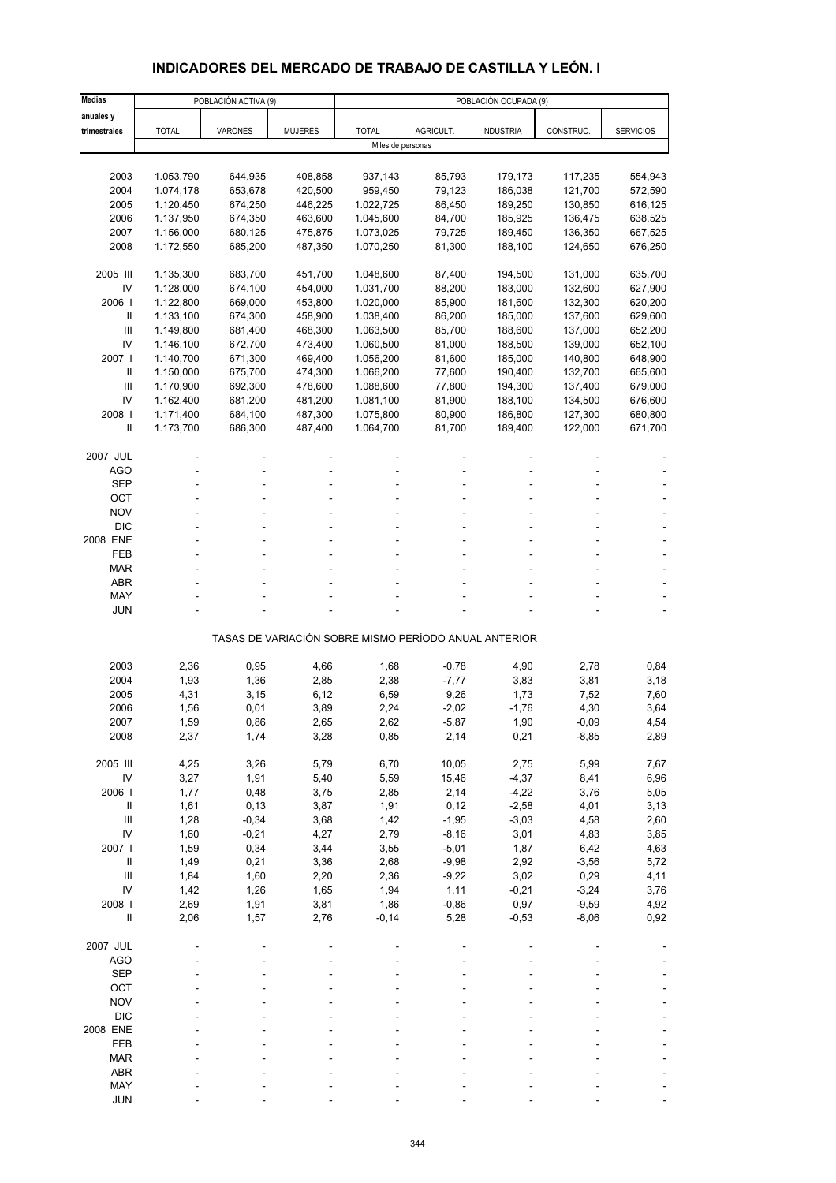# **INDICADORES DEL MERCADO DE TRABAJO DE CASTILLA Y LEÓN. I**

| <b>Medias</b>              |              | POBLACIÓN ACTIVA (9) |                |                   |                 | POBLACIÓN OCUPADA (9)                                 |              |                  |
|----------------------------|--------------|----------------------|----------------|-------------------|-----------------|-------------------------------------------------------|--------------|------------------|
| anuales y                  |              |                      |                |                   |                 |                                                       |              |                  |
| trimestrales               | <b>TOTAL</b> | VARONES              | <b>MUJERES</b> | <b>TOTAL</b>      | AGRICULT.       | <b>INDUSTRIA</b>                                      | CONSTRUC.    | <b>SERVICIOS</b> |
|                            |              |                      |                | Miles de personas |                 |                                                       |              |                  |
|                            |              |                      |                |                   |                 |                                                       |              |                  |
| 2003                       | 1.053,790    | 644,935              | 408,858        | 937,143           | 85,793          | 179,173                                               | 117,235      | 554,943          |
| 2004                       | 1.074,178    | 653,678              | 420,500        | 959,450           | 79,123          | 186,038                                               | 121,700      | 572,590          |
| 2005                       | 1.120,450    | 674,250              | 446,225        | 1.022,725         | 86,450          | 189,250                                               | 130,850      | 616,125          |
| 2006                       | 1.137,950    | 674,350              | 463,600        | 1.045,600         | 84,700          | 185,925                                               | 136,475      | 638,525          |
| 2007                       | 1.156,000    | 680,125              | 475,875        | 1.073,025         | 79,725          | 189,450                                               | 136,350      | 667,525          |
| 2008                       | 1.172,550    | 685,200              | 487,350        | 1.070,250         | 81,300          | 188,100                                               | 124,650      | 676,250          |
| 2005 III                   | 1.135,300    | 683,700              | 451,700        | 1.048,600         | 87,400          | 194,500                                               | 131,000      | 635,700          |
| IV                         | 1.128,000    | 674,100              | 454,000        | 1.031,700         | 88,200          | 183,000                                               | 132,600      | 627,900          |
| 2006                       | 1.122,800    | 669,000              | 453,800        | 1.020,000         | 85,900          | 181,600                                               | 132,300      | 620,200          |
| Ш                          | 1.133,100    | 674,300              | 458,900        | 1.038,400         | 86,200          | 185,000                                               | 137,600      | 629,600          |
| Ш                          | 1.149,800    | 681,400              | 468,300        | 1.063,500         | 85,700          | 188,600                                               | 137,000      | 652,200          |
| IV                         | 1.146,100    | 672,700              | 473,400        | 1.060,500         | 81,000          | 188,500                                               | 139,000      | 652,100          |
| 2007 l                     | 1.140,700    | 671,300              | 469,400        | 1.056,200         | 81,600          | 185,000                                               | 140,800      | 648,900          |
| Ш                          | 1.150,000    | 675,700              | 474,300        | 1.066,200         | 77,600          | 190,400                                               | 132,700      | 665,600          |
| III                        | 1.170,900    | 692,300              | 478,600        | 1.088,600         | 77,800          | 194,300                                               | 137,400      | 679,000          |
| IV                         | 1.162,400    | 681,200              | 481,200        | 1.081,100         | 81,900          | 188,100                                               | 134,500      | 676,600          |
| 2008                       | 1.171,400    | 684,100              | 487,300        | 1.075,800         | 80,900          | 186,800                                               | 127,300      | 680,800          |
| $\mathbf{I}$               | 1.173,700    | 686,300              | 487,400        | 1.064,700         | 81,700          | 189,400                                               | 122,000      | 671,700          |
|                            |              |                      |                |                   |                 |                                                       |              |                  |
| 2007 JUL                   |              |                      |                |                   |                 |                                                       |              |                  |
| <b>AGO</b>                 |              |                      |                |                   |                 |                                                       | ۰            |                  |
| <b>SEP</b>                 |              |                      |                |                   |                 |                                                       |              |                  |
| OCT                        |              |                      |                |                   |                 |                                                       |              |                  |
| <b>NOV</b>                 |              |                      |                |                   |                 |                                                       |              |                  |
| <b>DIC</b>                 |              |                      |                |                   |                 |                                                       |              |                  |
| 2008 ENE                   |              |                      |                |                   |                 |                                                       |              |                  |
| FEB                        |              |                      |                |                   |                 |                                                       |              |                  |
| <b>MAR</b>                 |              |                      |                |                   |                 |                                                       |              |                  |
| ABR<br>MAY                 |              |                      |                |                   |                 |                                                       |              |                  |
| JUN                        |              |                      |                |                   |                 |                                                       |              |                  |
|                            |              |                      |                |                   |                 |                                                       |              |                  |
|                            |              |                      |                |                   |                 | TASAS DE VARIACIÓN SOBRE MISMO PERÍODO ANUAL ANTERIOR |              |                  |
|                            |              |                      |                |                   |                 |                                                       |              |                  |
| 2003                       | 2,36         | 0,95                 | 4,66           | 1,68              | $-0,78$         | 4,90                                                  | 2,78         | 0,84             |
| 2004<br>2005               | 1,93<br>4,31 | 1,36                 | 2,85           | 2,38              | $-7,77$<br>9,26 | 3,83<br>1,73                                          | 3,81<br>7,52 | 3,18<br>7,60     |
| 2006                       | 1,56         | 3,15<br>0,01         | 6,12<br>3,89   | 6,59<br>2,24      | $-2,02$         | $-1,76$                                               | 4,30         | 3,64             |
| 2007                       | 1,59         | 0,86                 | 2,65           | 2,62              | $-5,87$         | 1,90                                                  | $-0,09$      | 4,54             |
| 2008                       | 2,37         | 1,74                 | 3,28           | 0,85              | 2,14            | 0,21                                                  | $-8,85$      | 2,89             |
|                            |              |                      |                |                   |                 |                                                       |              |                  |
| 2005 III                   | 4,25         | 3,26                 | 5,79           | 6,70              | 10,05           | 2,75                                                  | 5,99         | 7,67             |
| IV                         | 3,27         | 1,91                 | 5,40           | 5,59              | 15,46           | $-4,37$                                               | 8,41         | 6,96             |
| 2006                       | 1,77         | 0,48                 | 3,75           | 2,85              | 2,14            | $-4,22$                                               | 3,76         | 5,05             |
| $\ensuremath{\mathsf{II}}$ | 1,61         | 0, 13                | 3,87           | 1,91              | 0,12            | $-2,58$                                               | 4,01         | 3,13             |
| $\mathbf{III}$             | 1,28         | $-0,34$              | 3,68           | 1,42              | $-1,95$         | $-3,03$                                               | 4,58         | 2,60             |
| IV                         | 1,60         | $-0,21$              | 4,27           | 2,79              | $-8,16$         | 3,01                                                  | 4,83         | 3,85             |
| 2007 l                     | 1,59         | 0,34                 | 3,44           | 3,55              | $-5,01$         | 1,87                                                  | 6,42         | 4,63             |
| $\ensuremath{\mathsf{II}}$ | 1,49         | 0,21                 | 3,36           | 2,68              | $-9,98$         | 2,92                                                  | $-3,56$      | 5,72             |
| $\mathbf{III}$             | 1,84         | 1,60                 | 2,20           | 2,36              | $-9,22$         | 3,02                                                  | 0,29         | 4,11             |
| IV                         | 1,42         | 1,26                 | 1,65           | 1,94              | 1,11            | $-0,21$                                               | $-3,24$      | 3,76             |
| 2008 l                     | 2,69         | 1,91                 | 3,81           | 1,86              | $-0,86$         | 0,97                                                  | $-9,59$      | 4,92             |
| $\sf II$                   | 2,06         | 1,57                 | 2,76           | $-0,14$           | 5,28            | $-0,53$                                               | $-8,06$      | 0,92             |
|                            |              |                      |                |                   |                 |                                                       |              |                  |
| 2007 JUL<br><b>AGO</b>     |              |                      |                |                   |                 |                                                       |              |                  |
| <b>SEP</b>                 |              |                      |                |                   |                 |                                                       |              |                  |
| OCT                        |              |                      |                |                   |                 |                                                       |              |                  |
| <b>NOV</b>                 |              |                      |                |                   |                 |                                                       |              |                  |
| <b>DIC</b>                 |              |                      |                |                   |                 |                                                       |              |                  |
| 2008 ENE                   |              |                      |                |                   |                 |                                                       |              |                  |
| FEB                        |              |                      |                |                   |                 |                                                       |              |                  |
| <b>MAR</b>                 |              |                      |                |                   |                 |                                                       |              |                  |
| ABR                        |              |                      |                |                   |                 |                                                       |              |                  |
| MAY                        |              |                      |                |                   |                 |                                                       |              |                  |
| <b>JUN</b>                 |              |                      |                |                   |                 |                                                       |              |                  |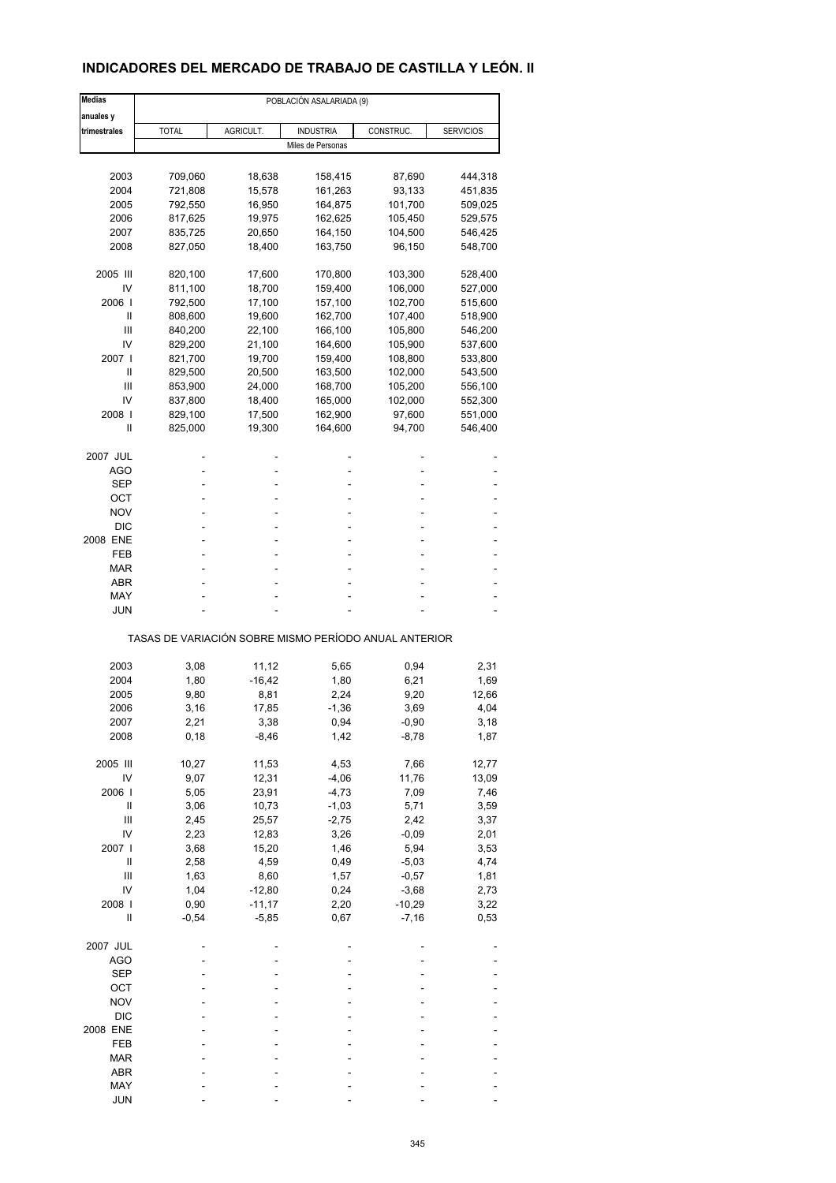# **INDICADORES DEL MERCADO DE TRABAJO DE CASTILLA Y LEÓN. II**

| <b>Medias</b> |              |                   | POBLACIÓN ASALARIADA (9)                              |              |                  |
|---------------|--------------|-------------------|-------------------------------------------------------|--------------|------------------|
| anuales y     |              |                   |                                                       |              |                  |
| trimestrales  | <b>TOTAL</b> | AGRICULT.         | <b>INDUSTRIA</b>                                      | CONSTRUC.    | <b>SERVICIOS</b> |
|               |              |                   | Miles de Personas                                     |              |                  |
| 2003          | 709,060      | 18,638            | 158,415                                               | 87,690       | 444,318          |
| 2004          | 721,808      | 15,578            | 161,263                                               | 93,133       | 451,835          |
| 2005          | 792,550      | 16,950            | 164,875                                               | 101,700      | 509,025          |
| 2006          | 817,625      | 19,975            | 162,625                                               | 105,450      | 529,575          |
| 2007          | 835,725      | 20,650            | 164,150                                               | 104,500      | 546,425          |
| 2008          | 827,050      | 18,400            | 163,750                                               | 96,150       | 548,700          |
|               |              |                   |                                                       |              |                  |
| 2005 III      | 820,100      | 17,600            | 170,800                                               | 103,300      | 528,400          |
| IV            | 811,100      | 18,700            | 159,400                                               | 106,000      | 527,000          |
| 2006          | 792,500      | 17,100            | 157,100                                               | 102,700      | 515,600          |
| Ш             | 808,600      | 19,600            | 162,700                                               | 107,400      | 518,900          |
| Ш             | 840,200      | 22,100            | 166,100                                               | 105,800      | 546,200          |
| IV            | 829,200      | 21,100            | 164,600                                               | 105,900      | 537,600          |
| 2007 l        | 821,700      | 19,700            | 159,400                                               | 108,800      | 533,800          |
| Ш             | 829,500      | 20,500            | 163,500                                               | 102,000      | 543,500          |
| Ш             | 853,900      | 24,000            | 168,700                                               | 105,200      | 556,100          |
| IV            | 837,800      | 18,400            | 165,000                                               | 102,000      | 552,300          |
| 2008          | 829,100      | 17,500            | 162,900                                               | 97,600       | 551,000          |
| Ш             | 825,000      | 19,300            | 164,600                                               | 94,700       | 546,400          |
| 2007 JUL      |              |                   |                                                       |              |                  |
| AGO           |              |                   |                                                       |              |                  |
| SEP           |              |                   | ٠                                                     |              |                  |
| ОСТ           |              |                   |                                                       |              |                  |
| <b>NOV</b>    |              |                   |                                                       |              |                  |
| <b>DIC</b>    |              |                   |                                                       |              |                  |
| 2008 ENE      |              |                   |                                                       |              |                  |
| FEB           |              |                   |                                                       |              |                  |
| MAR           |              |                   |                                                       |              |                  |
| ABR           |              |                   |                                                       |              |                  |
| MAY           |              |                   |                                                       |              |                  |
| JUN           |              |                   |                                                       |              |                  |
|               |              |                   | TASAS DE VARIACIÓN SOBRE MISMO PERÍODO ANUAL ANTERIOR |              |                  |
| 2003          | 3,08         |                   |                                                       |              |                  |
| 2004          | 1,80         | 11,12<br>$-16,42$ | 5,65<br>1,80                                          | 0,94<br>6,21 | 2,31<br>1,69     |
| 2005          | 9,80         | 8,81              | 2,24                                                  | 9,20         | 12,66            |
| 2006          | 3,16         | 17,85             | $-1,36$                                               | 3,69         | 4,04             |
| 2007          | 2,21         | 3,38              | 0,94                                                  | $-0,90$      | 3,18             |
| 2008          | 0, 18        | -8,46             | 1,42                                                  | $-8,78$      | 1,87             |
|               |              |                   |                                                       |              |                  |
| 2005 III      | 10,27        | 11,53             | 4,53                                                  | 7,66         | 12,77            |
| IV            | 9,07         | 12,31             | $-4,06$                                               | 11,76        | 13,09            |
| 2006          | 5,05         | 23,91             | $-4,73$                                               | 7,09         | 7,46             |
| Ш             | 3,06         | 10,73             | $-1,03$                                               | 5,71         | 3,59             |
| Ш             | 2,45         | 25,57             | $-2,75$                                               | 2,42         | 3,37             |
| IV            | 2,23         | 12,83             | 3,26                                                  | $-0,09$      | 2,01             |
| 2007 l        | 3,68         | 15,20             | 1,46                                                  | 5,94         | 3,53             |
| Ш             | 2,58         | 4,59              | 0,49                                                  | $-5,03$      | 4,74             |
| Ш             | 1,63         | 8,60              | 1,57                                                  | $-0,57$      | 1,81             |
| IV            | 1,04         | $-12,80$          | 0,24                                                  | $-3,68$      | 2,73             |
| 2008          | 0,90         | $-11,17$          | 2,20                                                  | $-10,29$     | 3,22             |
| $\mathsf{I}$  | $-0,54$      | $-5,85$           | 0,67                                                  | $-7,16$      | 0,53             |
| 2007 JUL      |              |                   |                                                       |              |                  |
| AGO           |              |                   |                                                       |              |                  |
| <b>SEP</b>    |              |                   |                                                       |              |                  |
| OCT           |              |                   |                                                       |              |                  |
| <b>NOV</b>    |              |                   |                                                       |              |                  |
| $DIC$         |              |                   |                                                       |              |                  |
| 2008 ENE      |              |                   |                                                       |              |                  |
| FEB           |              |                   |                                                       |              |                  |
| <b>MAR</b>    |              |                   |                                                       |              |                  |
| ABR           |              |                   |                                                       |              |                  |
| MAY           |              |                   |                                                       |              |                  |
| <b>JUN</b>    |              |                   |                                                       |              |                  |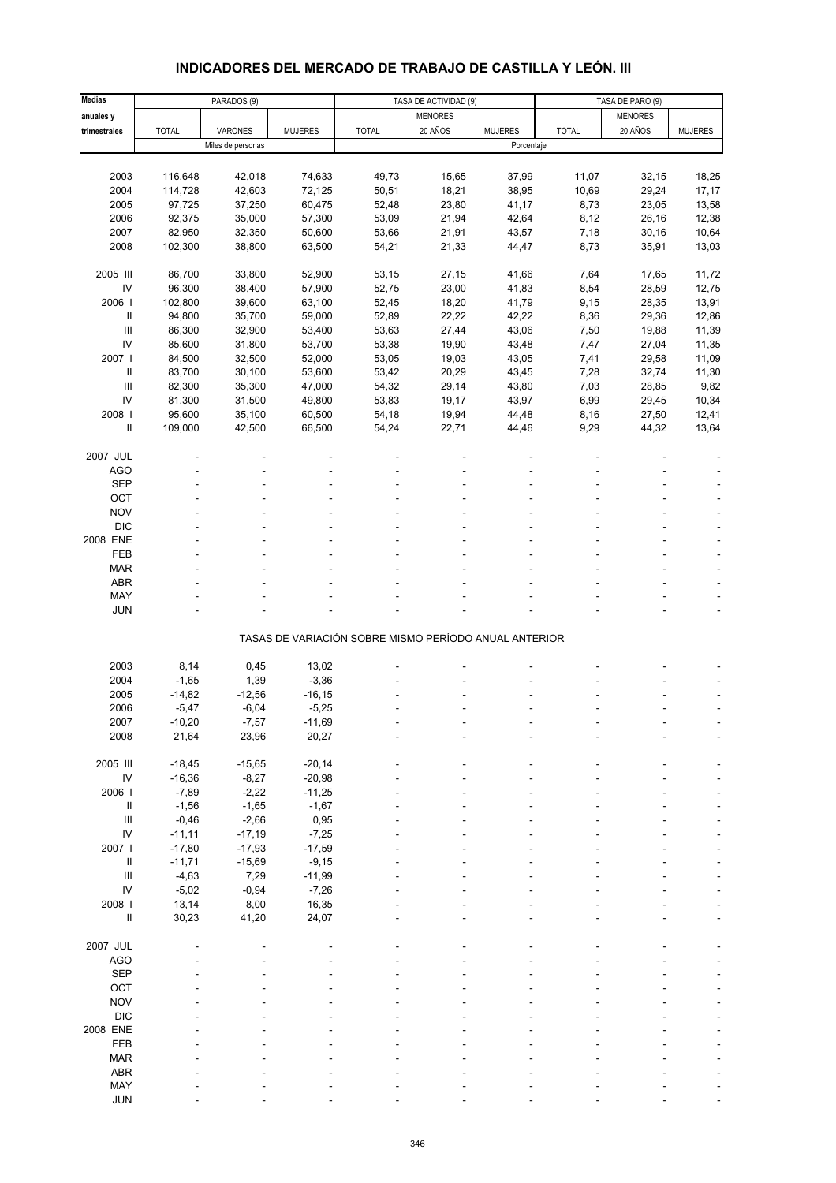# **INDICADORES DEL MERCADO DE TRABAJO DE CASTILLA Y LEÓN. III**

| <b>Medias</b>              |              | PARADOS (9)       |                |                                                       | TASA DE ACTIVIDAD (9) |                |              | TASA DE PARO (9) |                |
|----------------------------|--------------|-------------------|----------------|-------------------------------------------------------|-----------------------|----------------|--------------|------------------|----------------|
| anuales y                  |              |                   |                |                                                       | <b>MENORES</b>        |                |              | <b>MENORES</b>   |                |
| trimestrales               | <b>TOTAL</b> | VARONES           | <b>MUJERES</b> | <b>TOTAL</b>                                          | 20 AÑOS               | <b>MUJERES</b> | <b>TOTAL</b> | 20 AÑOS          | <b>MUJERES</b> |
|                            |              | Miles de personas |                |                                                       |                       | Porcentaje     |              |                  |                |
|                            |              |                   |                |                                                       |                       |                |              |                  |                |
| 2003                       | 116,648      | 42,018            | 74,633         | 49,73                                                 | 15,65                 |                | 11,07        | 32,15            |                |
|                            | 114,728      |                   | 72,125         |                                                       |                       | 37,99          |              |                  | 18,25          |
| 2004                       |              | 42,603            |                | 50,51                                                 | 18,21                 | 38,95          | 10,69        | 29,24            | 17,17          |
| 2005                       | 97,725       | 37,250            | 60,475         | 52,48                                                 | 23,80                 | 41,17          | 8,73         | 23,05            | 13,58          |
| 2006                       | 92,375       | 35,000            | 57,300         | 53,09                                                 | 21,94                 | 42,64          | 8,12         | 26,16            | 12,38          |
| 2007                       | 82,950       | 32,350            | 50,600         | 53,66                                                 | 21,91                 | 43,57          | 7,18         | 30,16            | 10,64          |
| 2008                       | 102,300      | 38,800            | 63,500         | 54,21                                                 | 21,33                 | 44,47          | 8,73         | 35,91            | 13,03          |
|                            |              |                   |                |                                                       |                       |                |              |                  |                |
| 2005 III                   | 86,700       | 33,800            | 52,900         | 53,15                                                 | 27,15                 | 41,66          | 7,64         | 17,65            | 11,72          |
| IV                         | 96,300       | 38,400            | 57,900         | 52,75                                                 | 23,00                 | 41,83          | 8,54         | 28,59            | 12,75          |
| 2006                       | 102,800      | 39,600            | 63,100         | 52,45                                                 | 18,20                 | 41,79          | 9,15         | 28,35            | 13,91          |
| Ш                          | 94,800       | 35,700            | 59,000         | 52,89                                                 | 22,22                 | 42,22          | 8,36         | 29,36            | 12,86          |
| $\mathbf{III}$             | 86,300       | 32,900            | 53,400         | 53,63                                                 | 27,44                 | 43,06          | 7,50         | 19,88            | 11,39          |
| IV                         | 85,600       | 31,800            | 53,700         | 53,38                                                 | 19,90                 | 43,48          | 7,47         | 27,04            | 11,35          |
| 2007 l                     | 84,500       | 32,500            | 52,000         | 53,05                                                 | 19,03                 | 43,05          | 7,41         | 29,58            | 11,09          |
| $\ensuremath{\mathsf{II}}$ | 83,700       | 30,100            | 53,600         | 53,42                                                 | 20,29                 | 43,45          | 7,28         | 32,74            | 11,30          |
| $\mathbf{III}$             | 82,300       | 35,300            | 47,000         | 54,32                                                 | 29,14                 | 43,80          | 7,03         | 28,85            | 9,82           |
| IV                         | 81,300       | 31,500            | 49,800         | 53,83                                                 | 19,17                 | 43,97          | 6,99         | 29,45            | 10,34          |
| 2008                       | 95,600       |                   |                | 54,18                                                 |                       |                |              |                  |                |
|                            |              | 35,100            | 60,500         |                                                       | 19,94                 | 44,48          | 8,16         | 27,50            | 12,41          |
| $\sf II$                   | 109,000      | 42,500            | 66,500         | 54,24                                                 | 22,71                 | 44,46          | 9,29         | 44,32            | 13,64          |
|                            |              |                   |                |                                                       |                       |                |              |                  |                |
| 2007 JUL                   |              |                   |                |                                                       |                       |                |              |                  |                |
| <b>AGO</b>                 |              |                   |                |                                                       |                       |                |              |                  |                |
| <b>SEP</b>                 |              |                   |                |                                                       |                       |                |              |                  |                |
| OCT                        |              |                   |                |                                                       |                       |                |              |                  |                |
| <b>NOV</b>                 |              |                   |                |                                                       |                       |                |              |                  |                |
| <b>DIC</b>                 |              |                   |                |                                                       |                       |                |              |                  |                |
| 2008 ENE                   |              |                   |                |                                                       |                       |                |              |                  |                |
| FEB                        |              |                   |                |                                                       |                       |                |              |                  |                |
| <b>MAR</b>                 |              |                   |                |                                                       |                       |                |              |                  |                |
| <b>ABR</b>                 |              |                   |                |                                                       |                       |                |              |                  |                |
| MAY                        |              |                   |                |                                                       |                       |                |              |                  |                |
| <b>JUN</b>                 |              |                   |                |                                                       |                       |                |              |                  |                |
|                            |              |                   |                |                                                       |                       |                |              |                  |                |
|                            |              |                   |                | TASAS DE VARIACIÓN SOBRE MISMO PERÍODO ANUAL ANTERIOR |                       |                |              |                  |                |
|                            |              |                   |                |                                                       |                       |                |              |                  |                |
| 2003                       | 8,14         | 0,45              | 13,02          |                                                       |                       |                |              |                  |                |
| 2004                       | $-1,65$      | 1,39              | $-3,36$        |                                                       |                       |                |              |                  |                |
| 2005                       | $-14,82$     | $-12,56$          | $-16, 15$      |                                                       |                       |                |              |                  |                |
|                            |              |                   |                |                                                       |                       |                |              |                  |                |
| 2006                       | $-5,47$      | $-6,04$           | $-5,25$        |                                                       |                       |                |              |                  |                |
| 2007                       | $-10,20$     | $-7,57$           | $-11,69$       |                                                       |                       |                |              |                  |                |
| 2008                       | 21,64        | 23,96             | 20,27          |                                                       |                       |                |              |                  |                |
|                            |              |                   |                |                                                       |                       |                |              |                  |                |
| 2005 III                   | $-18,45$     | $-15,65$          | $-20,14$       |                                                       |                       |                |              |                  |                |
| ${\sf IV}$                 | $-16,36$     | $-8,27$           | $-20,98$       |                                                       |                       |                |              |                  |                |
| 2006                       | $-7,89$      | $-2,22$           | $-11,25$       |                                                       |                       |                |              |                  |                |
| Ш                          | $-1,56$      | $-1,65$           | $-1,67$        |                                                       |                       |                |              |                  |                |
| $\mathbf{III}$             | $-0,46$      | $-2,66$           | 0,95           |                                                       |                       |                |              |                  |                |
| IV                         | $-11,11$     | $-17,19$          | $-7,25$        |                                                       |                       |                |              |                  |                |
| 2007 l                     | $-17,80$     | $-17,93$          | $-17,59$       |                                                       |                       |                |              |                  |                |
| $\ensuremath{\mathsf{II}}$ | $-11,71$     | $-15,69$          | $-9,15$        |                                                       |                       |                |              |                  |                |
| $\mathbf{III}$             | $-4,63$      | 7,29              | $-11,99$       |                                                       |                       |                |              |                  |                |
| IV                         | $-5,02$      | $-0,94$           | $-7,26$        |                                                       |                       |                |              |                  |                |
| 2008 l                     | 13,14        | 8,00              | 16,35          |                                                       |                       |                |              |                  |                |
| Ш                          | 30,23        | 41,20             | 24,07          |                                                       |                       |                |              |                  |                |
|                            |              |                   |                |                                                       |                       |                |              |                  |                |
| 2007 JUL                   |              |                   |                |                                                       |                       |                |              |                  |                |
| <b>AGO</b>                 |              |                   |                |                                                       |                       |                |              |                  |                |
| <b>SEP</b>                 |              |                   |                |                                                       |                       |                |              |                  |                |
| OCT                        |              |                   |                |                                                       |                       |                |              |                  |                |
|                            |              |                   |                |                                                       |                       |                |              |                  |                |
| <b>NOV</b>                 |              |                   |                |                                                       |                       |                |              |                  |                |
| <b>DIC</b>                 |              |                   |                |                                                       |                       |                |              |                  |                |
| 2008 ENE                   |              |                   |                |                                                       |                       |                |              |                  |                |
| FEB                        |              |                   |                |                                                       |                       |                |              |                  |                |
| <b>MAR</b>                 |              |                   |                |                                                       |                       |                |              |                  |                |
| <b>ABR</b>                 |              |                   |                |                                                       |                       |                |              |                  |                |
| MAY                        |              |                   |                |                                                       |                       |                |              |                  |                |
| <b>JUN</b>                 |              |                   |                |                                                       |                       |                |              |                  |                |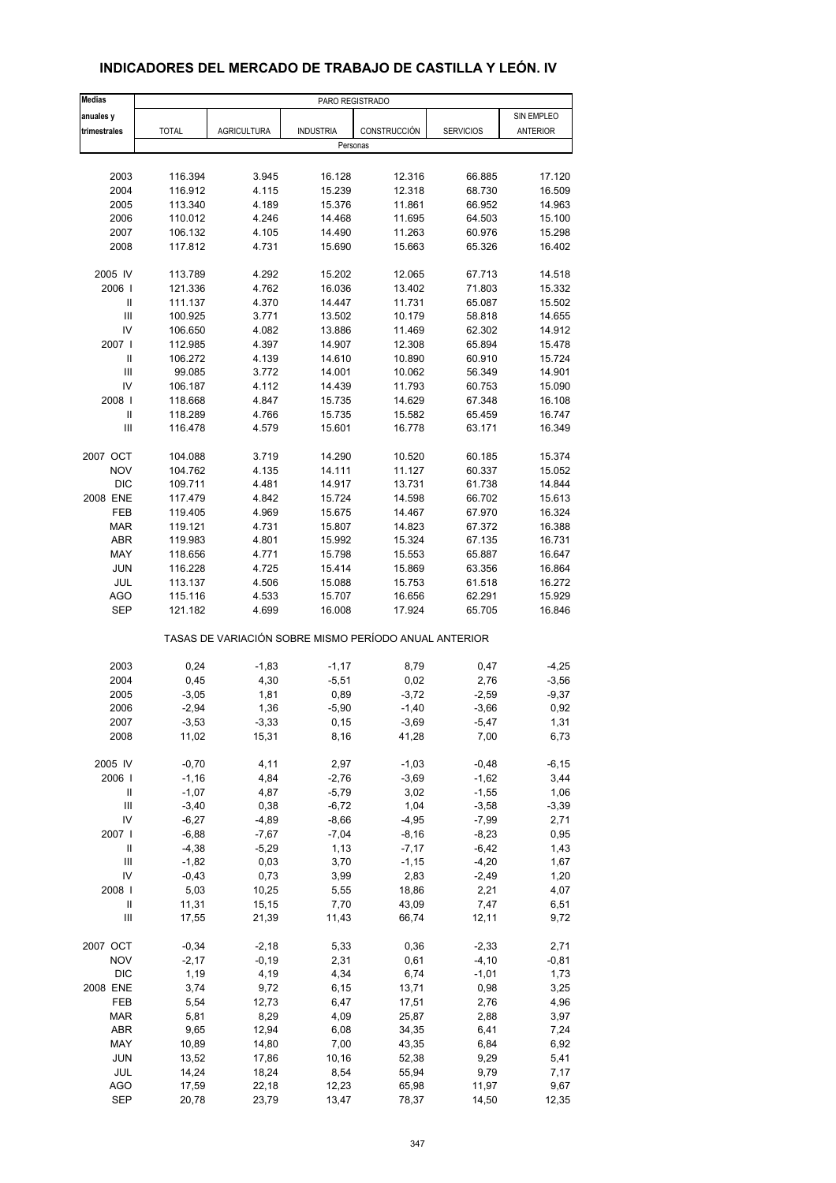| <b>Medias</b>                      | PARO REGISTRADO                                       |                    |                  |                     |                  |                 |  |  |  |  |
|------------------------------------|-------------------------------------------------------|--------------------|------------------|---------------------|------------------|-----------------|--|--|--|--|
| anuales y                          |                                                       |                    |                  |                     |                  | SIN EMPLEO      |  |  |  |  |
| trimestrales                       | <b>TOTAL</b>                                          | <b>AGRICULTURA</b> | <b>INDUSTRIA</b> | <b>CONSTRUCCIÓN</b> | <b>SERVICIOS</b> | <b>ANTERIOR</b> |  |  |  |  |
|                                    |                                                       |                    | Personas         |                     |                  |                 |  |  |  |  |
|                                    |                                                       |                    |                  |                     |                  |                 |  |  |  |  |
| 2003                               | 116.394                                               | 3.945              | 16.128           | 12.316              | 66.885           | 17.120          |  |  |  |  |
| 2004                               | 116.912                                               | 4.115              | 15.239           | 12.318              | 68.730           | 16.509          |  |  |  |  |
| 2005                               | 113.340                                               | 4.189              | 15.376           | 11.861              | 66.952           | 14.963          |  |  |  |  |
| 2006                               | 110.012                                               | 4.246              | 14.468           | 11.695              | 64.503           | 15.100          |  |  |  |  |
| 2007                               | 106.132                                               | 4.105              | 14.490           | 11.263              | 60.976           | 15.298          |  |  |  |  |
| 2008                               | 117.812                                               | 4.731              | 15.690           | 15.663              | 65.326           | 16.402          |  |  |  |  |
| 2005 IV                            | 113.789                                               | 4.292              | 15.202           | 12.065              | 67.713           | 14.518          |  |  |  |  |
| 2006                               | 121.336                                               | 4.762              | 16.036           | 13.402              | 71.803           | 15.332          |  |  |  |  |
| Ш                                  | 111.137                                               | 4.370              | 14.447           | 11.731              | 65.087           | 15.502          |  |  |  |  |
| $\ensuremath{\mathsf{III}}\xspace$ | 100.925                                               | 3.771              | 13.502           | 10.179              | 58.818           | 14.655          |  |  |  |  |
| IV                                 | 106.650                                               | 4.082              | 13.886           | 11.469              | 62.302           | 14.912          |  |  |  |  |
| 2007                               | 112.985                                               | 4.397              | 14.907           | 12.308              | 65.894           | 15.478          |  |  |  |  |
| $\mathbf{II}$                      | 106.272                                               | 4.139              | 14.610           | 10.890              | 60.910           | 15.724          |  |  |  |  |
| Ш                                  | 99.085                                                | 3.772              | 14.001           | 10.062              | 56.349           | 14.901          |  |  |  |  |
| IV                                 | 106.187                                               | 4.112              | 14.439           | 11.793              | 60.753           | 15.090          |  |  |  |  |
| 2008                               |                                                       | 4.847              |                  | 14.629              | 67.348           | 16.108          |  |  |  |  |
|                                    | 118.668                                               |                    | 15.735           |                     |                  |                 |  |  |  |  |
| $\ensuremath{\mathsf{II}}$         | 118.289                                               | 4.766              | 15.735           | 15.582              | 65.459           | 16.747          |  |  |  |  |
| Ш                                  | 116.478                                               | 4.579              | 15.601           | 16.778              | 63.171           | 16.349          |  |  |  |  |
| 2007 OCT                           | 104.088                                               | 3.719              | 14.290           | 10.520              | 60.185           | 15.374          |  |  |  |  |
| <b>NOV</b>                         | 104.762                                               | 4.135              | 14.111           | 11.127              | 60.337           | 15.052          |  |  |  |  |
| <b>DIC</b>                         | 109.711                                               | 4.481              | 14.917           | 13.731              | 61.738           | 14.844          |  |  |  |  |
| 2008 ENE                           | 117.479                                               | 4.842              | 15.724           | 14.598              | 66.702           | 15.613          |  |  |  |  |
| FEB                                | 119.405                                               | 4.969              | 15.675           | 14.467              | 67.970           | 16.324          |  |  |  |  |
| <b>MAR</b>                         | 119.121                                               | 4.731              | 15.807           | 14.823              | 67.372           | 16.388          |  |  |  |  |
| <b>ABR</b>                         | 119.983                                               | 4.801              | 15.992           | 15.324              | 67.135           | 16.731          |  |  |  |  |
| MAY                                | 118.656                                               | 4.771              | 15.798           | 15.553              | 65.887           | 16.647          |  |  |  |  |
| <b>JUN</b>                         | 116.228                                               | 4.725              | 15.414           | 15.869              | 63.356           | 16.864          |  |  |  |  |
| <b>JUL</b>                         | 113.137                                               | 4.506              | 15.088           | 15.753              | 61.518           | 16.272          |  |  |  |  |
| <b>AGO</b>                         | 115.116                                               | 4.533              | 15.707           | 16.656              | 62.291           | 15.929          |  |  |  |  |
| <b>SEP</b>                         | 121.182                                               | 4.699              | 16.008           | 17.924              | 65.705           | 16.846          |  |  |  |  |
|                                    | TASAS DE VARIACIÓN SOBRE MISMO PERÍODO ANUAL ANTERIOR |                    |                  |                     |                  |                 |  |  |  |  |
| 2003                               | 0,24                                                  | $-1,83$            | $-1,17$          | 8,79                | 0,47             | $-4,25$         |  |  |  |  |
| 2004                               | 0,45                                                  | 4,30               | $-5,51$          | 0,02                | 2,76             | $-3,56$         |  |  |  |  |
| 2005                               | $-3,05$                                               | 1,81               | 0,89             | $-3,72$             | $-2,59$          | $-9,37$         |  |  |  |  |
| 2006                               | $-2,94$                                               | 1,36               | $-5,90$          | $-1,40$             | $-3,66$          | 0,92            |  |  |  |  |
|                                    |                                                       |                    |                  |                     |                  |                 |  |  |  |  |
| 2007<br>2008                       | -3,53<br>11,02                                        | -3,33<br>15,31     | 0,15<br>8,16     | -3,69<br>41,28      | -5,47<br>7,00    | 1,31<br>6,73    |  |  |  |  |
|                                    |                                                       |                    |                  |                     |                  |                 |  |  |  |  |
| 2005 IV                            | $-0,70$                                               | 4,11               | 2,97             | $-1,03$             | $-0,48$          | $-6, 15$        |  |  |  |  |
| 2006                               | $-1,16$                                               | 4,84               | $-2,76$          | $-3,69$             | $-1,62$          | 3,44            |  |  |  |  |
| Ш                                  | $-1,07$                                               | 4,87               | $-5,79$          | 3,02                | $-1,55$          | 1,06            |  |  |  |  |
| Ш                                  | $-3,40$                                               | 0,38               | $-6,72$          | 1,04                | $-3,58$          | $-3,39$         |  |  |  |  |
| IV                                 | $-6,27$                                               | $-4,89$            | $-8,66$          | $-4,95$             | $-7,99$          | 2,71            |  |  |  |  |
| 2007 l                             | $-6,88$                                               | $-7,67$            | $-7,04$          | $-8,16$             | $-8,23$          | 0,95            |  |  |  |  |
| $\sf II$                           | $-4,38$                                               | $-5,29$            | 1,13             | $-7,17$             | $-6,42$          | 1,43            |  |  |  |  |
| $\ensuremath{\mathsf{III}}\xspace$ | $-1,82$                                               | 0,03               | 3,70             | $-1,15$             | $-4,20$          | 1,67            |  |  |  |  |
| IV                                 | $-0,43$                                               | 0,73               | 3,99             | 2,83                | $-2,49$          | 1,20            |  |  |  |  |
| 2008                               | 5,03                                                  | 10,25              | 5,55             | 18,86               | 2,21             | 4,07            |  |  |  |  |
| $\ensuremath{\mathsf{II}}$         | 11,31                                                 | 15,15              | 7,70             | 43,09               | 7,47             | 6,51            |  |  |  |  |
| Ш                                  | 17,55                                                 | 21,39              | 11,43            | 66,74               | 12,11            | 9,72            |  |  |  |  |
| 2007 OCT                           | $-0,34$                                               | $-2,18$            | 5,33             | 0,36                | $-2,33$          | 2,71            |  |  |  |  |
| <b>NOV</b>                         | $-2,17$                                               | $-0,19$            | 2,31             | 0,61                | $-4, 10$         | $-0,81$         |  |  |  |  |
| <b>DIC</b>                         | 1,19                                                  | 4,19               | 4,34             | 6,74                | $-1,01$          | 1,73            |  |  |  |  |
| 2008 ENE                           | 3,74                                                  | 9,72               | 6,15             | 13,71               | 0,98             | 3,25            |  |  |  |  |
| FEB                                | 5,54                                                  | 12,73              | 6,47             | 17,51               | 2,76             | 4,96            |  |  |  |  |
|                                    |                                                       |                    |                  |                     |                  |                 |  |  |  |  |
| <b>MAR</b>                         | 5,81                                                  | 8,29               | 4,09             | 25,87               | 2,88             | 3,97            |  |  |  |  |
| ABR                                | 9,65                                                  | 12,94              | 6,08             | 34,35               | 6,41             | 7,24            |  |  |  |  |
| MAY                                | 10,89                                                 | 14,80              | 7,00             | 43,35               | 6,84             | 6,92            |  |  |  |  |
| <b>JUN</b>                         | 13,52                                                 | 17,86              | 10,16            | 52,38               | 9,29             | 5,41            |  |  |  |  |
| JUL                                | 14,24                                                 | 18,24              | 8,54             | 55,94               | 9,79             | 7,17            |  |  |  |  |
| <b>AGO</b>                         | 17,59                                                 | 22,18              | 12,23            | 65,98               | 11,97            | 9,67            |  |  |  |  |
| <b>SEP</b>                         | 20,78                                                 | 23,79              | 13,47            | 78,37               | 14,50            | 12,35           |  |  |  |  |

### **INDICADORES DEL MERCADO DE TRABAJO DE CASTILLA Y LEÓN. IV**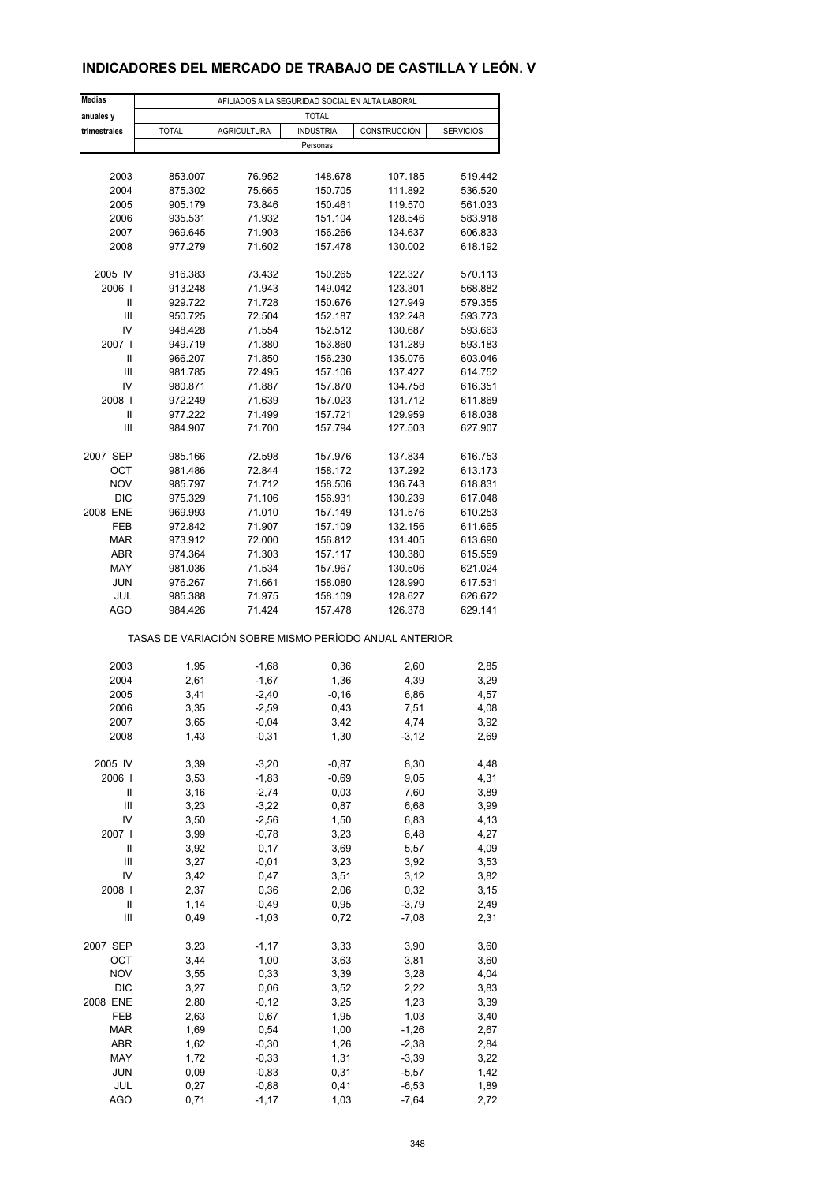# **INDICADORES DEL MERCADO DE TRABAJO DE CASTILLA Y LEÓN. V**

| <b>Medias</b> |                                                       |                    | AFILIADOS A LA SEGURIDAD SOCIAL EN ALTA LABORAL |              |                  |  |  |
|---------------|-------------------------------------------------------|--------------------|-------------------------------------------------|--------------|------------------|--|--|
| anuales y     | <b>TOTAL</b>                                          |                    |                                                 |              |                  |  |  |
| trimestrales  | <b>TOTAL</b>                                          | <b>AGRICULTURA</b> | <b>INDUSTRIA</b>                                | CONSTRUCCIÓN | <b>SERVICIOS</b> |  |  |
|               |                                                       |                    | Personas                                        |              |                  |  |  |
|               |                                                       |                    |                                                 |              |                  |  |  |
| 2003          | 853.007                                               | 76.952             | 148.678                                         | 107.185      | 519.442          |  |  |
| 2004          | 875.302                                               | 75.665             | 150.705                                         | 111.892      | 536.520          |  |  |
| 2005          | 905.179                                               | 73.846             | 150.461                                         | 119.570      | 561.033          |  |  |
| 2006          | 935.531                                               | 71.932             | 151.104                                         | 128.546      | 583.918          |  |  |
| 2007          | 969.645                                               | 71.903             | 156.266                                         | 134.637      | 606.833          |  |  |
| 2008          | 977.279                                               | 71.602             | 157.478                                         | 130.002      | 618.192          |  |  |
|               |                                                       |                    |                                                 |              |                  |  |  |
| 2005 IV       | 916.383                                               | 73.432             | 150.265                                         | 122.327      | 570.113          |  |  |
| 2006          | 913.248                                               | 71.943             | 149.042                                         | 123.301      | 568.882          |  |  |
| Ш             | 929.722                                               | 71.728             | 150.676                                         | 127.949      | 579.355          |  |  |
| Ш             | 950.725                                               | 72.504             | 152.187                                         | 132.248      | 593.773          |  |  |
| IV            | 948.428                                               | 71.554             | 152.512                                         | 130.687      | 593.663          |  |  |
| 2007 l        | 949.719                                               | 71.380             | 153.860                                         | 131.289      | 593.183          |  |  |
| Ш             | 966.207                                               | 71.850             | 156.230                                         | 135.076      | 603.046          |  |  |
| Ш             | 981.785                                               | 72.495             | 157.106                                         | 137.427      | 614.752          |  |  |
| IV            | 980.871                                               | 71.887             | 157.870                                         | 134.758      | 616.351          |  |  |
| 2008          | 972.249                                               | 71.639             | 157.023                                         | 131.712      | 611.869          |  |  |
| $\mathbf{I}$  | 977.222                                               | 71.499             | 157.721                                         | 129.959      | 618.038          |  |  |
| Ш             | 984.907                                               | 71.700             | 157.794                                         | 127.503      | 627.907          |  |  |
|               |                                                       |                    |                                                 |              |                  |  |  |
| 2007 SEP      | 985.166                                               | 72.598             | 157.976                                         | 137.834      | 616.753          |  |  |
| OCT           | 981.486                                               | 72.844             | 158.172                                         | 137.292      | 613.173          |  |  |
| <b>NOV</b>    | 985.797                                               | 71.712             | 158.506                                         | 136.743      | 618.831          |  |  |
| <b>DIC</b>    | 975.329                                               | 71.106             | 156.931                                         | 130.239      | 617.048          |  |  |
| 2008 ENE      | 969.993                                               | 71.010             | 157.149                                         | 131.576      | 610.253          |  |  |
| FEB           | 972.842                                               | 71.907             | 157.109                                         | 132.156      | 611.665          |  |  |
| <b>MAR</b>    | 973.912                                               | 72.000             | 156.812                                         | 131.405      | 613.690          |  |  |
| ABR           | 974.364                                               | 71.303             | 157.117                                         | 130.380      | 615.559          |  |  |
| MAY           | 981.036                                               | 71.534             | 157.967                                         | 130.506      | 621.024          |  |  |
| <b>JUN</b>    | 976.267                                               | 71.661             | 158.080                                         | 128.990      | 617.531          |  |  |
| JUL           | 985.388                                               | 71.975             | 158.109                                         | 128.627      | 626.672          |  |  |
| <b>AGO</b>    | 984.426                                               | 71.424             | 157.478                                         | 126.378      | 629.141          |  |  |
|               | TASAS DE VARIACIÓN SOBRE MISMO PERÍODO ANUAL ANTERIOR |                    |                                                 |              |                  |  |  |
| 2003          | 1,95                                                  | $-1,68$            | 0,36                                            | 2,60         | 2,85             |  |  |
| 2004          | 2,61                                                  | $-1,67$            | 1,36                                            | 4,39         | 3,29             |  |  |
| 2005          | 3,41                                                  | $-2,40$            | $-0,16$                                         | 6,86         | 4,57             |  |  |
| 2006          | 3,35                                                  | $-2,59$            | 0,43                                            | 7,51         | 4,08             |  |  |
| 2007          | 3,65                                                  | -0,04              | 3,42                                            | 4,74         | 3,92             |  |  |
| 2008          | 1,43                                                  | $-0,31$            | 1,30                                            | $-3, 12$     | 2,69             |  |  |
|               |                                                       |                    |                                                 |              |                  |  |  |
| 2005 IV       | 3,39                                                  | $-3,20$            | $-0,87$                                         | 8,30         | 4,48             |  |  |
| 2006          | 3,53                                                  | $-1,83$            | $-0,69$                                         | 9,05         | 4,31             |  |  |
| Ш             | 3,16                                                  | $-2,74$            | 0,03                                            | 7,60         | 3,89             |  |  |
| Ш             | 3,23                                                  | $-3,22$            | 0,87                                            | 6,68         | 3,99             |  |  |
| IV            | 3,50                                                  | $-2,56$            | 1,50                                            | 6,83         | 4,13             |  |  |
| 2007          | 3,99                                                  | $-0,78$            | 3,23                                            | 6,48         | 4,27             |  |  |
| Ш             | 3,92                                                  | 0,17               | 3,69                                            | 5,57         | 4,09             |  |  |
| Ш             | 3,27                                                  | $-0,01$            | 3,23                                            | 3,92         | 3,53             |  |  |
| IV            | 3,42                                                  | 0,47               | 3,51                                            | 3,12         | 3,82             |  |  |
| 2008          | 2,37                                                  | 0,36               | 2,06                                            | 0,32         | 3,15             |  |  |
| Ш             | 1,14                                                  | $-0,49$            | 0,95                                            | $-3,79$      | 2,49             |  |  |
| Ш             | 0,49                                                  | $-1,03$            | 0,72                                            | $-7,08$      | 2,31             |  |  |
|               |                                                       |                    |                                                 |              |                  |  |  |
| 2007 SEP      | 3,23                                                  | $-1,17$            | 3,33                                            | 3,90         | 3,60             |  |  |
| OCT           | 3,44                                                  | 1,00               | 3,63                                            | 3,81         | 3,60             |  |  |
| <b>NOV</b>    | 3,55                                                  | 0,33               | 3,39                                            | 3,28         | 4,04             |  |  |
| DIC           | 3,27                                                  | 0,06               | 3,52                                            | 2,22         | 3,83             |  |  |
| 2008 ENE      | 2,80                                                  | $-0, 12$           | 3,25                                            | 1,23         | 3,39             |  |  |
| FEB           | 2,63                                                  | 0,67               | 1,95                                            | 1,03         | 3,40             |  |  |
| <b>MAR</b>    | 1,69                                                  | 0,54               | 1,00                                            | $-1,26$      | 2,67             |  |  |
| ABR           | 1,62                                                  | $-0,30$            | 1,26                                            | $-2,38$      | 2,84             |  |  |
| MAY           | 1,72                                                  | $-0,33$            | 1,31                                            | $-3,39$      | 3,22             |  |  |
| <b>JUN</b>    | 0,09                                                  | $-0,83$            | 0,31                                            | $-5,57$      | 1,42             |  |  |
| JUL           | 0,27                                                  | $-0,88$            | 0,41                                            | $-6,53$      | 1,89             |  |  |
| AGO           | 0,71                                                  | $-1, 17$           | 1,03                                            | $-7,64$      | 2,72             |  |  |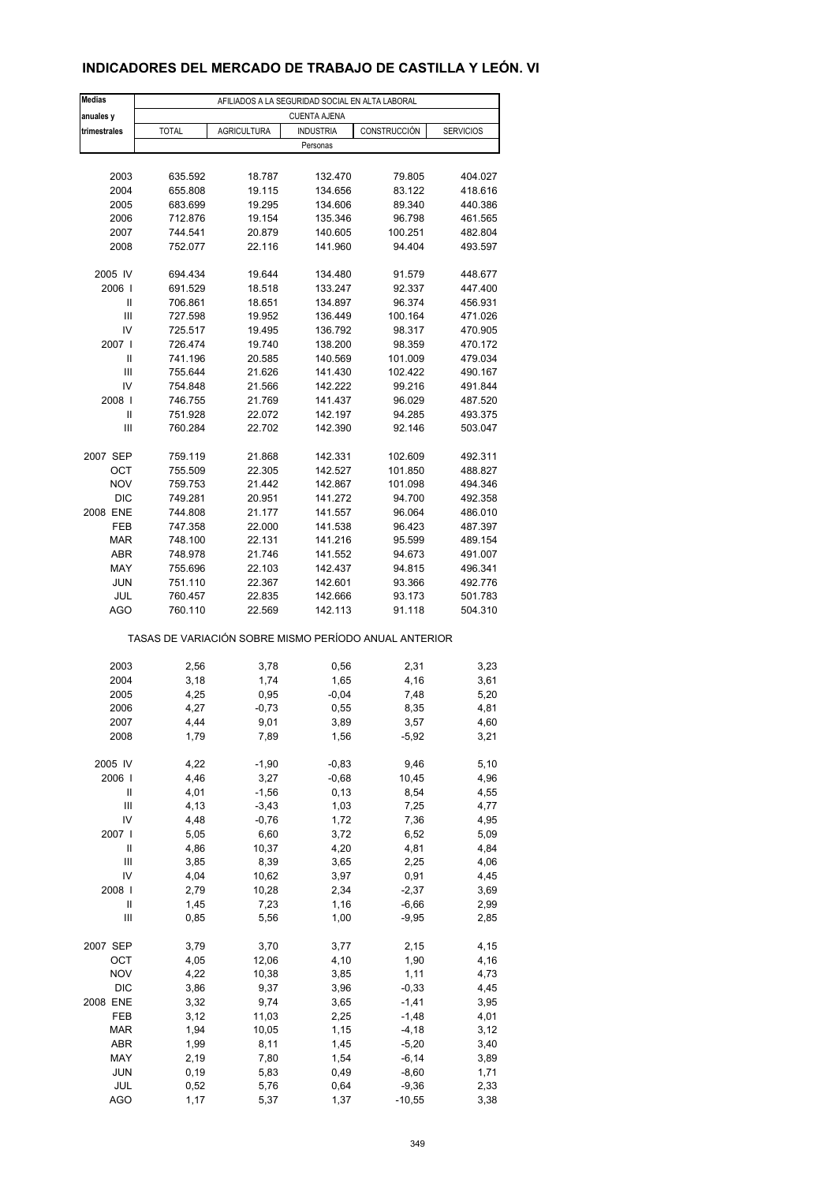# **INDICADORES DEL MERCADO DE TRABAJO DE CASTILLA Y LEÓN. VI**

| <b>Medias</b>  |                                                       | AFILIADOS A LA SEGURIDAD SOCIAL EN ALTA LABORAL |                     |              |                  |
|----------------|-------------------------------------------------------|-------------------------------------------------|---------------------|--------------|------------------|
| anuales y      |                                                       |                                                 | <b>CUENTA AJENA</b> |              |                  |
| trimestrales   | <b>TOTAL</b>                                          | <b>AGRICULTURA</b>                              | <b>INDUSTRIA</b>    | CONSTRUCCIÓN | <b>SERVICIOS</b> |
|                |                                                       |                                                 | Personas            |              |                  |
|                |                                                       |                                                 |                     |              |                  |
| 2003           | 635.592                                               | 18.787                                          | 132.470             | 79.805       | 404.027          |
| 2004           | 655.808                                               | 19.115                                          | 134.656             | 83.122       | 418.616          |
| 2005           | 683.699                                               | 19.295                                          | 134.606             | 89.340       | 440.386          |
| 2006           | 712.876                                               | 19.154                                          | 135.346             | 96.798       | 461.565          |
| 2007           | 744.541                                               | 20.879                                          | 140.605             | 100.251      | 482.804          |
| 2008           | 752.077                                               | 22.116                                          | 141.960             | 94.404       | 493.597          |
|                |                                                       |                                                 |                     |              |                  |
| 2005 IV        | 694.434                                               | 19.644                                          | 134.480             | 91.579       | 448.677          |
| 2006           | 691.529                                               | 18.518                                          | 133.247             | 92.337       | 447.400          |
| Ш              | 706.861                                               | 18.651                                          | 134.897             | 96.374       | 456.931          |
| $\mathsf{III}$ | 727.598                                               | 19.952                                          | 136.449             | 100.164      | 471.026          |
| IV             | 725.517                                               | 19.495                                          | 136.792             | 98.317       | 470.905          |
| 2007 l         | 726.474                                               | 19.740                                          | 138.200             | 98.359       | 470.172          |
| Ш              | 741.196                                               | 20.585                                          | 140.569             | 101.009      | 479.034          |
| Ш              | 755.644                                               | 21.626                                          | 141.430             | 102.422      | 490.167          |
| IV             | 754.848                                               | 21.566                                          | 142.222             | 99.216       | 491.844          |
| 2008           | 746.755                                               | 21.769                                          | 141.437             | 96.029       | 487.520          |
| Ш              | 751.928                                               | 22.072                                          | 142.197             | 94.285       | 493.375          |
| Ш              | 760.284                                               | 22.702                                          | 142.390             | 92.146       | 503.047          |
|                |                                                       |                                                 |                     |              |                  |
| 2007 SEP       | 759.119                                               | 21.868                                          | 142.331             | 102.609      | 492.311          |
| OCT            | 755.509                                               | 22.305                                          | 142.527             | 101.850      | 488.827          |
| <b>NOV</b>     | 759.753                                               | 21.442                                          | 142.867             | 101.098      | 494.346          |
| <b>DIC</b>     | 749.281                                               | 20.951                                          | 141.272             | 94.700       | 492.358          |
| 2008 ENE       | 744.808                                               | 21.177                                          | 141.557             | 96.064       | 486.010          |
| <b>FEB</b>     | 747.358                                               | 22.000                                          | 141.538             | 96.423       | 487.397          |
| <b>MAR</b>     | 748.100                                               | 22.131                                          | 141.216             | 95.599       | 489.154          |
| ABR            | 748.978                                               | 21.746                                          | 141.552             | 94.673       | 491.007          |
| MAY            | 755.696                                               | 22.103                                          | 142.437             | 94.815       | 496.341          |
| <b>JUN</b>     | 751.110                                               | 22.367                                          | 142.601             | 93.366       | 492.776          |
| JUL            | 760.457                                               | 22.835                                          | 142.666             | 93.173       | 501.783          |
| <b>AGO</b>     | 760.110                                               | 22.569                                          | 142.113             | 91.118       | 504.310          |
|                |                                                       |                                                 |                     |              |                  |
|                | TASAS DE VARIACIÓN SOBRE MISMO PERÍODO ANUAL ANTERIOR |                                                 |                     |              |                  |
|                |                                                       |                                                 |                     |              |                  |
| 2003           | 2,56                                                  | 3,78                                            | 0,56                | 2,31         | 3,23             |
| 2004           | 3,18                                                  | 1,74                                            | 1,65                | 4,16         | 3,61             |
| 2005           | 4,25                                                  | 0,95                                            | $-0,04$             | 7,48         | 5,20             |
| 2006           | 4,27                                                  | $-0,73$                                         | 0,55                | 8,35         | 4,81             |
| 2007           | 4,44                                                  | 9,01                                            | 3,89                | 3,57         | 4,60             |
| 2008           | 1,79                                                  | 7,89                                            | 1,56                | $-5,92$      | 3,21             |
|                |                                                       |                                                 |                     |              |                  |
| 2005 IV        | 4,22                                                  | $-1,90$                                         | $-0,83$             | 9,46         | 5,10             |
| 2006           | 4,46                                                  | 3,27                                            | $-0,68$             | 10,45        | 4,96             |
| Ш              | 4,01                                                  | $-1,56$                                         | 0, 13               | 8,54         | 4,55             |
| Ш              | 4,13                                                  | $-3,43$                                         | 1,03                | 7,25         | 4,77             |
| IV             | 4,48                                                  | $-0,76$                                         | 1,72                | 7,36         | 4,95             |
| 2007 l         | 5,05                                                  | 6,60                                            | 3,72                | 6,52         | 5,09             |
| Ш              | 4,86                                                  | 10,37                                           | 4,20                | 4,81         | 4,84             |
| $\mathsf{III}$ | 3,85                                                  | 8,39                                            | 3,65                | 2,25         | 4,06             |
| IV             | 4,04                                                  | 10,62                                           | 3,97                | 0,91         | 4,45             |
| 2008           | 2,79                                                  | 10,28                                           | 2,34                | $-2,37$      | 3,69             |
| $\mathsf{II}$  | 1,45                                                  | 7,23                                            | 1,16                | $-6,66$      | 2,99             |
| Ш              | 0,85                                                  | 5,56                                            | 1,00                | $-9,95$      | 2,85             |
|                |                                                       |                                                 |                     |              |                  |
| 2007 SEP       | 3,79                                                  | 3,70                                            | 3,77                | 2,15         | 4,15             |
| OCT            | 4,05                                                  | 12,06                                           | 4,10                | 1,90         | 4,16             |
| <b>NOV</b>     | 4,22                                                  | 10,38                                           | 3,85                | 1,11         | 4,73             |
| DIC            | 3,86                                                  | 9,37                                            | 3,96                | $-0,33$      | 4,45             |
| 2008 ENE       | 3,32                                                  | 9,74                                            | 3,65                | $-1,41$      | 3,95             |
| FEB            | 3,12                                                  | 11,03                                           | 2,25                | $-1,48$      | 4,01             |
| <b>MAR</b>     | 1,94                                                  | 10,05                                           | 1,15                | $-4,18$      | 3,12             |
| ABR            | 1,99                                                  | 8,11                                            | 1,45                | $-5,20$      | 3,40             |
| MAY            | 2,19                                                  | 7,80                                            | 1,54                | $-6, 14$     | 3,89             |
| <b>JUN</b>     | 0, 19                                                 | 5,83                                            | 0,49                | $-8,60$      | 1,71             |
| JUL            | 0,52                                                  | 5,76                                            | 0,64                | $-9,36$      | 2,33             |
| <b>AGO</b>     | 1,17                                                  | 5,37                                            | 1,37                | $-10,55$     | 3,38             |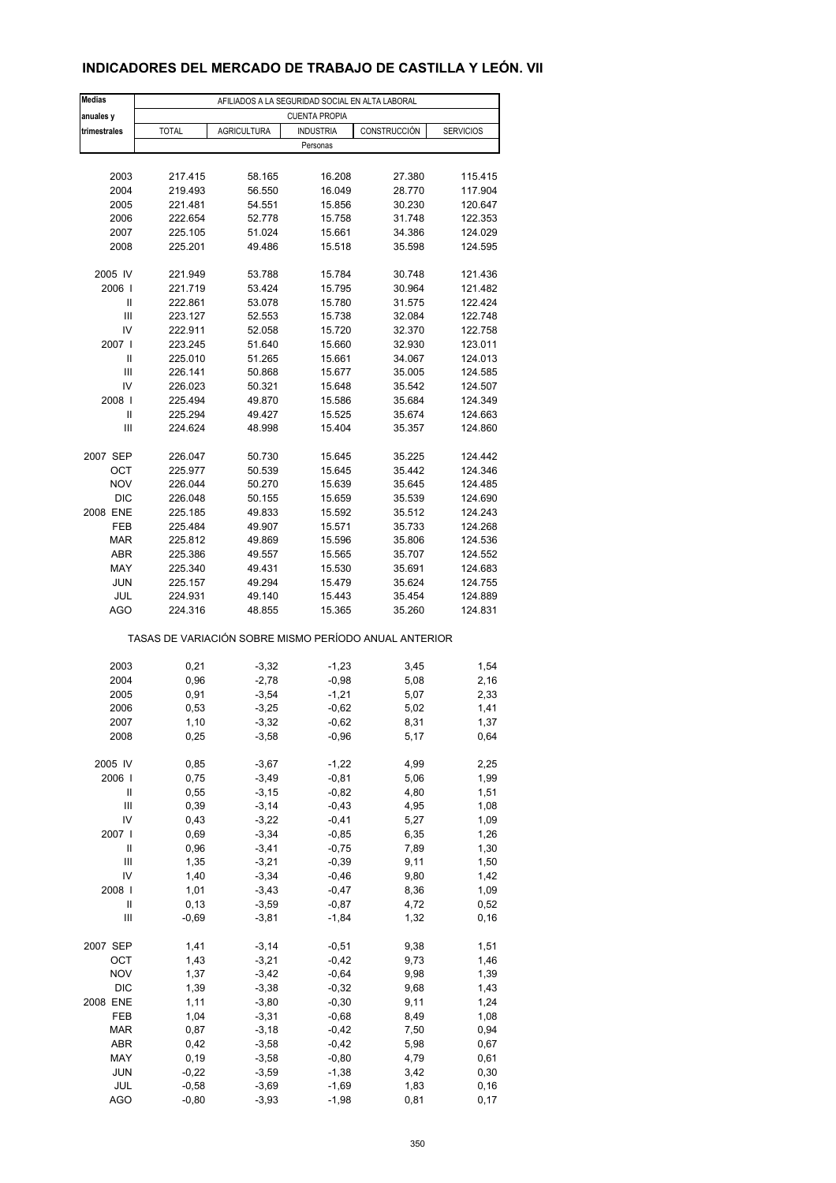# **INDICADORES DEL MERCADO DE TRABAJO DE CASTILLA Y LEÓN. VII**

| <b>Medias</b> | AFILIADOS A LA SEGURIDAD SOCIAL EN ALTA LABORAL       |                    |                      |              |                  |  |  |  |
|---------------|-------------------------------------------------------|--------------------|----------------------|--------------|------------------|--|--|--|
| anuales y     |                                                       |                    | <b>CUENTA PROPIA</b> |              |                  |  |  |  |
| trimestrales  | <b>TOTAL</b>                                          | <b>AGRICULTURA</b> | <b>INDUSTRIA</b>     | CONSTRUCCIÓN | <b>SERVICIOS</b> |  |  |  |
|               |                                                       |                    | Personas             |              |                  |  |  |  |
|               |                                                       |                    |                      |              |                  |  |  |  |
|               |                                                       |                    |                      |              |                  |  |  |  |
| 2003          | 217.415                                               | 58.165             | 16.208               | 27.380       | 115.415          |  |  |  |
| 2004          | 219.493                                               | 56.550             | 16.049               | 28.770       | 117.904          |  |  |  |
| 2005          | 221.481                                               | 54.551             | 15.856               | 30.230       | 120.647          |  |  |  |
| 2006          | 222.654                                               | 52.778             | 15.758               | 31.748       | 122.353          |  |  |  |
| 2007          | 225.105                                               | 51.024             | 15.661               | 34.386       | 124.029          |  |  |  |
| 2008          | 225.201                                               | 49.486             | 15.518               | 35.598       | 124.595          |  |  |  |
|               |                                                       |                    |                      |              |                  |  |  |  |
| 2005 IV       | 221.949                                               | 53.788             | 15.784               | 30.748       | 121.436          |  |  |  |
|               |                                                       |                    |                      |              |                  |  |  |  |
| 2006          | 221.719                                               | 53.424             | 15.795               | 30.964       | 121.482          |  |  |  |
| Ш             | 222.861                                               | 53.078             | 15.780               | 31.575       | 122.424          |  |  |  |
| Ш             | 223.127                                               | 52.553             | 15.738               | 32.084       | 122.748          |  |  |  |
| IV            | 222.911                                               | 52.058             | 15.720               | 32.370       | 122.758          |  |  |  |
| 2007 l        | 223.245                                               | 51.640             | 15.660               | 32.930       | 123.011          |  |  |  |
| $\mathbf{I}$  | 225.010                                               | 51.265             | 15.661               | 34.067       | 124.013          |  |  |  |
| Ш             | 226.141                                               | 50.868             | 15.677               | 35.005       | 124.585          |  |  |  |
| IV            | 226.023                                               | 50.321             | 15.648               | 35.542       | 124.507          |  |  |  |
| 2008          |                                                       |                    |                      |              |                  |  |  |  |
|               | 225.494                                               | 49.870             | 15.586               | 35.684       | 124.349          |  |  |  |
| Ш             | 225.294                                               | 49.427             | 15.525               | 35.674       | 124.663          |  |  |  |
| Ш             | 224.624                                               | 48.998             | 15.404               | 35.357       | 124.860          |  |  |  |
|               |                                                       |                    |                      |              |                  |  |  |  |
| 2007 SEP      | 226.047                                               | 50.730             | 15.645               | 35.225       | 124.442          |  |  |  |
| ОСТ           | 225.977                                               | 50.539             | 15.645               | 35.442       | 124.346          |  |  |  |
| <b>NOV</b>    | 226.044                                               | 50.270             | 15.639               | 35.645       | 124.485          |  |  |  |
| <b>DIC</b>    | 226.048                                               | 50.155             | 15.659               | 35.539       | 124.690          |  |  |  |
| 2008 ENE      | 225.185                                               | 49.833             | 15.592               | 35.512       | 124.243          |  |  |  |
|               |                                                       |                    |                      |              |                  |  |  |  |
| FEB           | 225.484                                               | 49.907             | 15.571               | 35.733       | 124.268          |  |  |  |
| <b>MAR</b>    | 225.812                                               | 49.869             | 15.596               | 35.806       | 124.536          |  |  |  |
| <b>ABR</b>    | 225.386                                               | 49.557             | 15.565               | 35.707       | 124.552          |  |  |  |
| MAY           | 225.340                                               | 49.431             | 15.530               | 35.691       | 124.683          |  |  |  |
| <b>JUN</b>    | 225.157                                               | 49.294             | 15.479               | 35.624       | 124.755          |  |  |  |
| JUL           | 224.931                                               | 49.140             | 15.443               | 35.454       | 124.889          |  |  |  |
| <b>AGO</b>    | 224.316                                               | 48.855             | 15.365               | 35.260       | 124.831          |  |  |  |
|               |                                                       |                    |                      |              |                  |  |  |  |
|               | TASAS DE VARIACIÓN SOBRE MISMO PERÍODO ANUAL ANTERIOR |                    |                      |              |                  |  |  |  |
|               |                                                       |                    |                      |              |                  |  |  |  |
| 2003          | 0,21                                                  | $-3,32$            | $-1,23$              | 3,45         | 1,54             |  |  |  |
| 2004          | 0,96                                                  | $-2,78$            | $-0,98$              | 5,08         | 2,16             |  |  |  |
| 2005          | 0,91                                                  | $-3,54$            | $-1,21$              | 5,07         | 2,33             |  |  |  |
|               |                                                       |                    |                      |              |                  |  |  |  |
| 2006          | 0,53                                                  | $-3,25$            | $-0,62$              | 5,02         | 1,41             |  |  |  |
| 2007          | 1,10                                                  | -3,32              | -0,62                | 8,31         | 1,37             |  |  |  |
| 2008          | 0,25                                                  | $-3,58$            | $-0,96$              | 5,17         | 0,64             |  |  |  |
|               |                                                       |                    |                      |              |                  |  |  |  |
| 2005 IV       | 0,85                                                  | $-3,67$            | $-1,22$              | 4,99         | 2,25             |  |  |  |
| 2006          | 0,75                                                  | $-3,49$            | $-0,81$              | 5,06         | 1,99             |  |  |  |
| Ш             | 0,55                                                  | $-3, 15$           | $-0,82$              | 4,80         | 1,51             |  |  |  |
| Ш             | 0,39                                                  | $-3, 14$           | $-0,43$              | 4,95         | 1,08             |  |  |  |
| IV            | 0,43                                                  | $-3,22$            | $-0,41$              | 5,27         | 1,09             |  |  |  |
| 2007 l        | 0,69                                                  | $-3,34$            | $-0,85$              | 6,35         | 1,26             |  |  |  |
| $\mathsf{II}$ |                                                       |                    |                      |              |                  |  |  |  |
|               | 0,96                                                  | $-3,41$            | $-0,75$              | 7,89         | 1,30             |  |  |  |
| Ш             | 1,35                                                  | $-3,21$            | $-0,39$              | 9,11         | 1,50             |  |  |  |
| IV            | 1,40                                                  | $-3,34$            | $-0,46$              | 9,80         | 1,42             |  |  |  |
| 2008          | 1,01                                                  | $-3,43$            | $-0,47$              | 8,36         | 1,09             |  |  |  |
| $\mathsf{II}$ | 0, 13                                                 | $-3,59$            | $-0,87$              | 4,72         | 0,52             |  |  |  |
| Ш             | $-0,69$                                               | $-3,81$            | $-1,84$              | 1,32         | 0, 16            |  |  |  |
|               |                                                       |                    |                      |              |                  |  |  |  |
| 2007 SEP      | 1,41                                                  | $-3, 14$           | $-0,51$              | 9,38         | 1,51             |  |  |  |
| OCT           | 1,43                                                  | $-3,21$            | $-0,42$              | 9,73         | 1,46             |  |  |  |
|               |                                                       |                    |                      |              |                  |  |  |  |
| <b>NOV</b>    | 1,37                                                  | $-3,42$            | $-0,64$              | 9,98         | 1,39             |  |  |  |
| DIC           | 1,39                                                  | $-3,38$            | $-0,32$              | 9,68         | 1,43             |  |  |  |
| 2008 ENE      | 1,11                                                  | $-3,80$            | $-0,30$              | 9,11         | 1,24             |  |  |  |
| FEB           | 1,04                                                  | $-3,31$            | $-0,68$              | 8,49         | 1,08             |  |  |  |
| <b>MAR</b>    | 0,87                                                  | $-3,18$            | $-0,42$              | 7,50         | 0,94             |  |  |  |
| ABR           | 0,42                                                  | $-3,58$            | $-0,42$              | 5,98         | 0,67             |  |  |  |
| MAY           | 0, 19                                                 | $-3,58$            | $-0,80$              | 4,79         | 0,61             |  |  |  |
| <b>JUN</b>    | $-0,22$                                               | $-3,59$            | $-1,38$              | 3,42         | 0,30             |  |  |  |
|               |                                                       |                    |                      |              |                  |  |  |  |
| JUL           | $-0,58$                                               | $-3,69$            | $-1,69$              | 1,83         | 0, 16            |  |  |  |
| <b>AGO</b>    | $-0,80$                                               | $-3,93$            | $-1,98$              | 0,81         | 0,17             |  |  |  |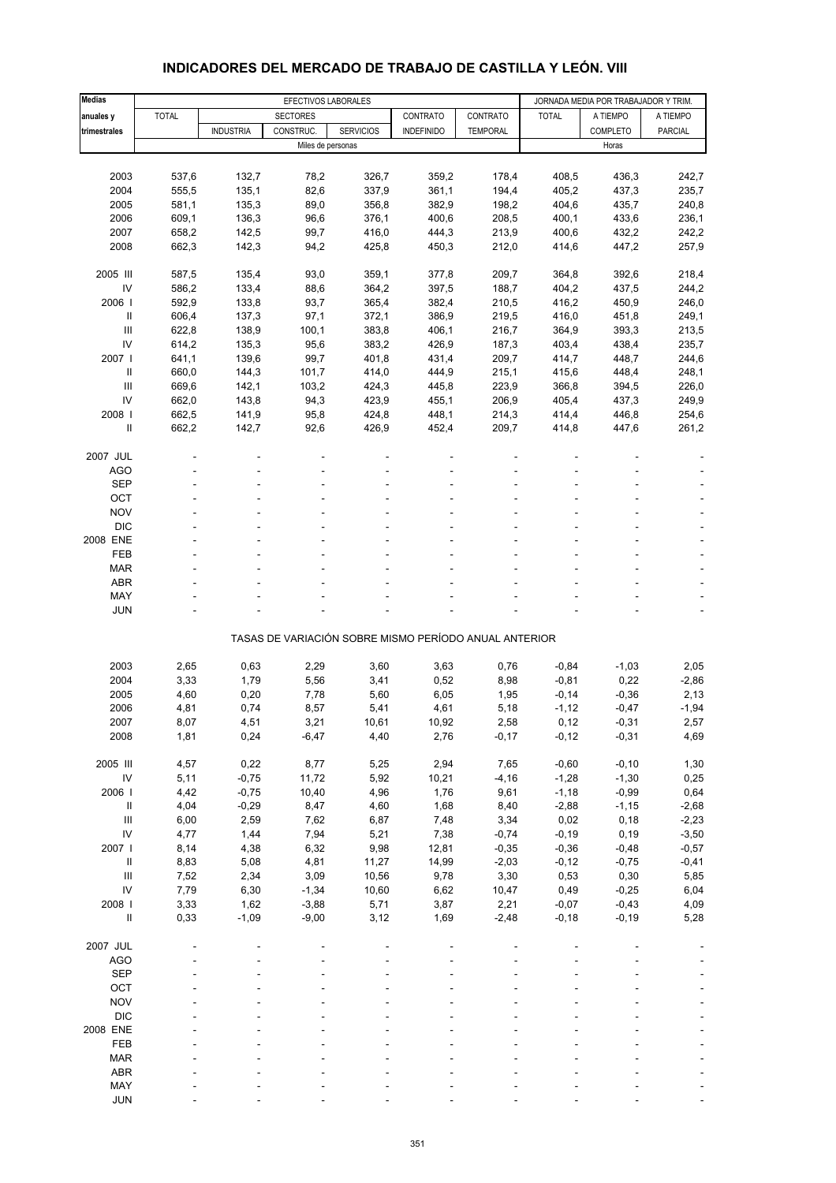| <b>Medias</b>                      |              |                  | EFECTIVOS LABORALES |                  | JORNADA MEDIA POR TRABAJADOR Y TRIM.                  |                 |              |                 |                |
|------------------------------------|--------------|------------------|---------------------|------------------|-------------------------------------------------------|-----------------|--------------|-----------------|----------------|
| anuales y                          | <b>TOTAL</b> |                  | <b>SECTORES</b>     |                  | CONTRATO                                              | CONTRATO        | <b>TOTAL</b> | A TIEMPO        | A TIEMPO       |
| trimestrales                       |              | <b>INDUSTRIA</b> | CONSTRUC.           | <b>SERVICIOS</b> | <b>INDEFINIDO</b>                                     | <b>TEMPORAL</b> |              | <b>COMPLETO</b> | <b>PARCIAL</b> |
|                                    |              |                  | Miles de personas   |                  |                                                       |                 |              | Horas           |                |
|                                    |              |                  |                     |                  |                                                       |                 |              |                 |                |
| 2003                               | 537,6        | 132,7            | 78,2                | 326,7            | 359,2                                                 | 178,4           | 408,5        | 436,3           | 242,7          |
| 2004                               | 555,5        | 135,1            | 82,6                | 337,9            | 361,1                                                 | 194,4           | 405,2        | 437,3           | 235,7          |
| 2005                               | 581,1        | 135,3            | 89,0                | 356,8            | 382,9                                                 | 198,2           | 404,6        | 435,7           | 240,8          |
| 2006                               | 609,1        | 136,3            | 96,6                | 376,1            | 400,6                                                 | 208,5           | 400,1        | 433,6           | 236,1          |
| 2007                               | 658,2        | 142,5            | 99,7                | 416,0            | 444,3                                                 | 213,9           | 400,6        | 432,2           | 242,2          |
| 2008                               | 662,3        | 142,3            | 94,2                | 425,8            | 450,3                                                 | 212,0           | 414,6        | 447,2           | 257,9          |
|                                    |              |                  |                     |                  |                                                       |                 |              |                 |                |
| 2005 III                           | 587,5        | 135,4            | 93,0                | 359,1            | 377,8                                                 | 209,7           | 364,8        | 392,6           | 218,4          |
| IV                                 | 586,2        | 133,4            | 88,6                | 364,2            | 397,5                                                 | 188,7           | 404,2        | 437,5           | 244,2          |
| 2006                               | 592,9        | 133,8            | 93,7                | 365,4            | 382,4                                                 | 210,5           | 416,2        | 450,9           | 246,0          |
| Ш                                  | 606,4        | 137,3            | 97,1                | 372,1            | 386,9                                                 | 219,5           | 416,0        | 451,8           | 249,1          |
| Ш                                  | 622,8        | 138,9            | 100,1               | 383,8            | 406,1                                                 | 216,7           | 364,9        | 393,3           | 213,5          |
| IV                                 | 614,2        | 135,3            | 95,6                | 383,2            | 426,9                                                 | 187,3           | 403,4        | 438,4           | 235,7          |
| 2007 l                             | 641,1        | 139,6            | 99,7                | 401,8            | 431,4                                                 | 209,7           | 414,7        | 448,7           | 244,6          |
| Ш                                  | 660,0        | 144,3            | 101,7               | 414,0            | 444,9                                                 | 215,1           | 415,6        | 448,4           | 248,1          |
| Ш                                  | 669,6        | 142,1            | 103,2               | 424,3            | 445,8                                                 | 223,9           | 366,8        | 394,5           | 226,0          |
| IV                                 | 662,0        | 143,8            | 94,3                | 423,9            | 455,1                                                 | 206,9           | 405,4        | 437,3           | 249,9          |
| 2008                               | 662,5        | 141,9            | 95,8                | 424,8            | 448,1                                                 | 214,3           | 414,4        | 446,8           | 254,6          |
| Ш                                  | 662,2        | 142,7            | 92,6                | 426,9            | 452,4                                                 | 209,7           | 414,8        | 447,6           | 261,2          |
|                                    |              |                  |                     |                  |                                                       |                 |              |                 |                |
| 2007 JUL                           |              |                  |                     |                  |                                                       |                 |              |                 |                |
| AGO                                |              |                  |                     |                  |                                                       |                 |              |                 |                |
| <b>SEP</b>                         |              |                  |                     |                  |                                                       |                 |              |                 |                |
| OCT                                |              |                  |                     |                  |                                                       |                 |              |                 |                |
| <b>NOV</b>                         |              |                  |                     |                  |                                                       |                 |              |                 |                |
| <b>DIC</b>                         |              |                  |                     |                  |                                                       |                 |              |                 |                |
| 2008 ENE                           |              |                  |                     |                  |                                                       |                 |              |                 |                |
| <b>FEB</b>                         |              |                  |                     |                  |                                                       |                 |              |                 |                |
| <b>MAR</b>                         |              |                  |                     |                  |                                                       |                 |              |                 |                |
| ABR                                |              |                  |                     |                  |                                                       |                 |              |                 |                |
| MAY                                |              |                  |                     |                  |                                                       |                 |              |                 |                |
| <b>JUN</b>                         |              |                  |                     |                  |                                                       |                 |              |                 |                |
|                                    |              |                  |                     |                  |                                                       |                 |              |                 |                |
|                                    |              |                  |                     |                  | TASAS DE VARIACIÓN SOBRE MISMO PERÍODO ANUAL ANTERIOR |                 |              |                 |                |
|                                    |              |                  |                     |                  |                                                       |                 |              |                 |                |
| 2003                               | 2,65         | 0,63             | 2,29                | 3,60             | 3,63                                                  | 0,76            | $-0,84$      | $-1,03$         | 2,05           |
| 2004                               | 3,33         | 1,79             | 5,56                | 3,41             | 0,52                                                  | 8,98            | $-0,81$      | 0,22            | $-2,86$        |
| 2005                               | 4,60         | 0,20             | 7,78                | 5,60             | 6,05                                                  | 1,95            | $-0,14$      | $-0,36$         | 2,13           |
| 2006                               | 4,81         | 0,74             | 8,57                | 5,41             | 4,61                                                  | 5,18            | $-1,12$      | $-0,47$         | $-1,94$        |
| 2007                               | 8,07         | 4,51             | 3,21                | 10,61            | 10,92                                                 | 2,58            | 0,12         | $-0,31$         | 2,57           |
| 2008                               | 1,81         | 0,24             | $-6,47$             | 4,40             | 2,76                                                  | $-0,17$         | $-0,12$      | $-0,31$         | 4,69           |
|                                    |              |                  |                     |                  |                                                       |                 |              |                 |                |
| 2005 III                           | 4,57         | 0,22             | 8,77                | 5,25             | 2,94                                                  | 7,65            | $-0,60$      | $-0, 10$        | 1,30           |
| ${\sf IV}$                         | 5,11         | $-0,75$          | 11,72               | 5,92             | 10,21                                                 | $-4, 16$        | $-1,28$      | $-1,30$         | 0,25           |
| 2006                               | 4,42         | $-0,75$          | 10,40               | 4,96             | 1,76                                                  | 9,61            | $-1,18$      | $-0,99$         | 0,64           |
| $\sf II$                           | 4,04         | $-0,29$          | 8,47                | 4,60             | 1,68                                                  | 8,40            | $-2,88$      | $-1, 15$        | $-2,68$        |
| $\ensuremath{\mathsf{III}}\xspace$ | 6,00         | 2,59             | 7,62                | 6,87             | 7,48                                                  | 3,34            | 0,02         | 0,18            | $-2,23$        |
| IV                                 | 4,77         | 1,44             | 7,94                | 5,21             | 7,38                                                  | $-0,74$         | $-0,19$      | 0, 19           | $-3,50$        |
| 2007 l                             | 8,14         | 4,38             | 6,32                | 9,98             | 12,81                                                 | $-0,35$         | $-0,36$      | $-0,48$         | $-0,57$        |
| $\ensuremath{\mathsf{II}}$         | 8,83         | 5,08             | 4,81                | 11,27            | 14,99                                                 | $-2,03$         | $-0,12$      | $-0,75$         | $-0,41$        |
| $\ensuremath{\mathsf{III}}\xspace$ | 7,52         | 2,34             | 3,09                | 10,56            | 9,78                                                  | 3,30            | 0,53         | 0,30            | 5,85           |
| IV                                 | 7,79         | 6,30             | $-1,34$             | 10,60            | 6,62                                                  | 10,47           | 0,49         | $-0,25$         | 6,04           |
| 2008 l                             | 3,33         | 1,62             | $-3,88$             | 5,71             | 3,87                                                  | 2,21            | $-0,07$      | $-0,43$         | 4,09           |
| $\sf II$                           | 0,33         | $-1,09$          | $-9,00$             | 3,12             | 1,69                                                  | $-2,48$         | $-0,18$      | $-0,19$         | 5,28           |
|                                    |              |                  |                     |                  |                                                       |                 |              |                 |                |
| 2007 JUL                           |              |                  |                     |                  |                                                       |                 |              |                 |                |
| <b>AGO</b>                         |              |                  |                     |                  |                                                       |                 |              |                 |                |
| <b>SEP</b>                         |              |                  |                     |                  |                                                       |                 |              |                 |                |
| OCT                                |              |                  |                     |                  |                                                       |                 |              |                 |                |
| <b>NOV</b>                         |              |                  |                     |                  |                                                       |                 |              |                 |                |
| <b>DIC</b>                         |              |                  |                     |                  |                                                       |                 |              |                 |                |
| 2008 ENE                           |              |                  |                     |                  |                                                       |                 |              |                 |                |
| FEB                                |              |                  |                     |                  |                                                       |                 |              |                 |                |
| <b>MAR</b>                         |              |                  |                     |                  |                                                       |                 |              |                 |                |
| ABR                                |              |                  |                     |                  |                                                       |                 |              |                 |                |
| MAY                                |              |                  |                     |                  |                                                       |                 |              |                 |                |
| <b>JUN</b>                         |              |                  |                     |                  |                                                       |                 |              |                 |                |

#### **INDICADORES DEL MERCADO DE TRABAJO DE CASTILLA Y LEÓN. VIII**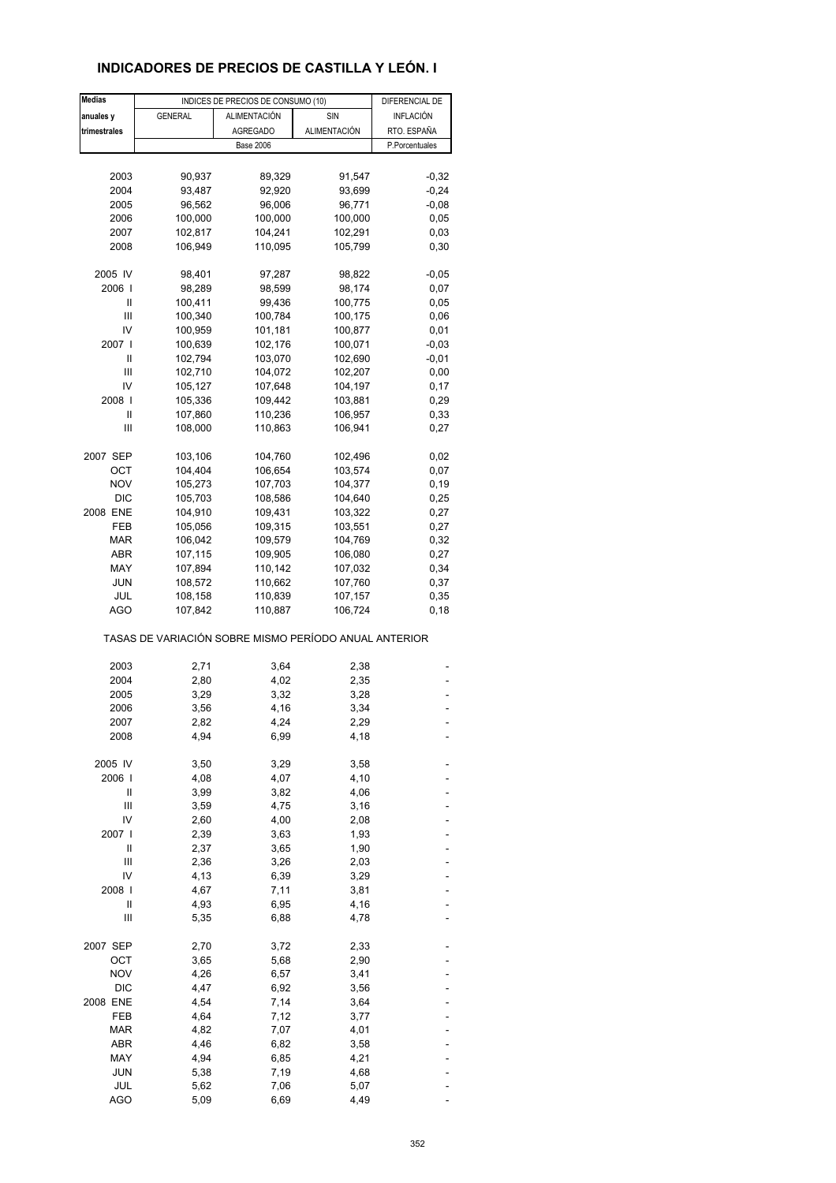# **INDICADORES DE PRECIOS DE CASTILLA Y LEÓN. I**

| <b>Medias</b> |                                                       | INDICES DE PRECIOS DE CONSUMO (10) |                    | DIFERENCIAL DE   |
|---------------|-------------------------------------------------------|------------------------------------|--------------------|------------------|
| anuales y     | <b>GENERAL</b>                                        | ALIMENTACIÓN                       | SIN                | <b>INFLACIÓN</b> |
| trimestrales  |                                                       | <b>AGREGADO</b>                    | ALIMENTACIÓN       | RTO. ESPAÑA      |
|               |                                                       | <b>Base 2006</b>                   |                    | P.Porcentuales   |
|               |                                                       |                                    |                    |                  |
|               |                                                       |                                    |                    |                  |
| 2003          | 90,937                                                | 89,329                             | 91,547             | $-0,32$          |
| 2004          | 93,487                                                | 92,920                             | 93,699             | $-0,24$          |
| 2005          | 96,562                                                | 96,006                             | 96,771             | $-0,08$          |
| 2006          | 100,000                                               | 100,000                            | 100,000            | 0,05             |
| 2007          | 102,817                                               | 104,241                            | 102,291            | 0,03             |
| 2008          | 106,949                                               | 110,095                            | 105,799            | 0,30             |
| 2005 IV       | 98,401                                                | 97,287                             | 98,822             | $-0,05$          |
| 2006          | 98,289                                                | 98,599                             | 98,174             | 0,07             |
| Ш             | 100,411                                               | 99,436                             | 100,775            | 0,05             |
| Ш             | 100,340                                               | 100,784                            | 100,175            | 0,06             |
| IV            | 100,959                                               | 101,181                            | 100,877            | 0,01             |
| 2007 l        | 100,639                                               | 102,176                            | 100,071            | $-0,03$          |
| Ш             | 102,794                                               | 103,070                            | 102,690            | $-0,01$          |
| Ш             | 102,710                                               | 104,072                            | 102,207            | 0,00             |
| IV            | 105,127                                               | 107,648                            | 104,197            | 0,17             |
|               |                                                       |                                    |                    |                  |
| 2008  <br>Ш   | 105,336<br>107,860                                    | 109,442                            | 103,881            | 0,29             |
|               |                                                       | 110,236                            | 106,957            | 0,33             |
| Ш             | 108,000                                               | 110,863                            | 106,941            | 0,27             |
| 2007 SEP      | 103,106                                               | 104,760                            | 102,496            | 0,02             |
| ОСТ           | 104,404                                               | 106,654                            | 103,574            | 0,07             |
| <b>NOV</b>    | 105,273                                               | 107,703                            | 104,377            | 0,19             |
| <b>DIC</b>    | 105,703                                               | 108,586                            | 104,640            | 0,25             |
| 2008 ENE      | 104,910                                               | 109,431                            | 103,322            | 0,27             |
| FEB           | 105,056                                               | 109,315                            | 103,551            | 0,27             |
| MAR           | 106,042                                               | 109,579                            | 104,769            | 0,32             |
| ABR           | 107,115                                               | 109,905                            | 106,080            | 0,27             |
| MAY           | 107,894                                               | 110,142                            | 107,032            | 0,34             |
| <b>JUN</b>    |                                                       |                                    |                    |                  |
| JUL           | 108,572                                               | 110,662                            | 107,760<br>107,157 | 0,37<br>0,35     |
| <b>AGO</b>    | 108,158<br>107,842                                    | 110,839<br>110,887                 | 106,724            | 0,18             |
|               | TASAS DE VARIACIÓN SOBRE MISMO PERÍODO ANUAL ANTERIOR |                                    |                    |                  |
|               |                                                       |                                    |                    |                  |
| 2003          | 2,71                                                  | 3,64                               | 2,38               |                  |
| 2004          | 2,80                                                  | 4,02                               | 2,35               |                  |
| 2005          | 3,29                                                  | 3,32                               | 3,28               |                  |
| 2006          | 3,56                                                  | 4,16                               | 3,34               |                  |
| 2007          | 2,82                                                  | 4,24                               | 2,29               |                  |
| 2008          | 4,94                                                  | 6,99                               | 4,18               |                  |
| 2005 IV       | 3,50                                                  | 3,29                               | 3,58               |                  |
| 2006          | 4,08                                                  | 4,07                               | 4,10               |                  |
| Ш             | 3,99                                                  | 3,82                               | 4,06               |                  |
| Ш             | 3,59                                                  | 4,75                               | 3,16               |                  |
| IV            | 2,60                                                  | 4,00                               | 2,08               |                  |
| 2007 l        | 2,39                                                  | 3,63                               | 1,93               |                  |
| Ш             | 2,37                                                  | 3,65                               | 1,90               |                  |
| Ш             | 2,36                                                  | 3,26                               | 2,03               |                  |
| IV            | 4,13                                                  | 6,39                               | 3,29               |                  |
|               |                                                       |                                    |                    |                  |
| 2008 l        | 4,67                                                  | 7,11                               | 3,81               |                  |
| Ш<br>Ш        | 4,93<br>5,35                                          | 6,95<br>6,88                       | 4,16<br>4,78       |                  |
|               |                                                       |                                    |                    |                  |
| 2007 SEP      | 2,70                                                  | 3,72                               | 2,33               |                  |
| OCT           | 3,65                                                  | 5,68                               | 2,90               |                  |
| <b>NOV</b>    | 4,26                                                  | 6,57                               | 3,41               |                  |
| <b>DIC</b>    | 4,47                                                  | 6,92                               | 3,56               |                  |
| 2008 ENE      | 4,54                                                  | 7,14                               | 3,64               |                  |
| FEB           | 4,64                                                  | 7,12                               | 3,77               |                  |
| <b>MAR</b>    | 4,82                                                  | 7,07                               | 4,01               |                  |
| ABR           | 4,46                                                  | 6,82                               | 3,58               |                  |
| MAY           | 4,94                                                  | 6,85                               | 4,21               |                  |
| <b>JUN</b>    | 5,38                                                  | 7,19                               | 4,68               |                  |
| JUL           | 5,62                                                  | 7,06                               | 5,07               |                  |
| <b>AGO</b>    | 5,09                                                  | 6,69                               | 4,49               |                  |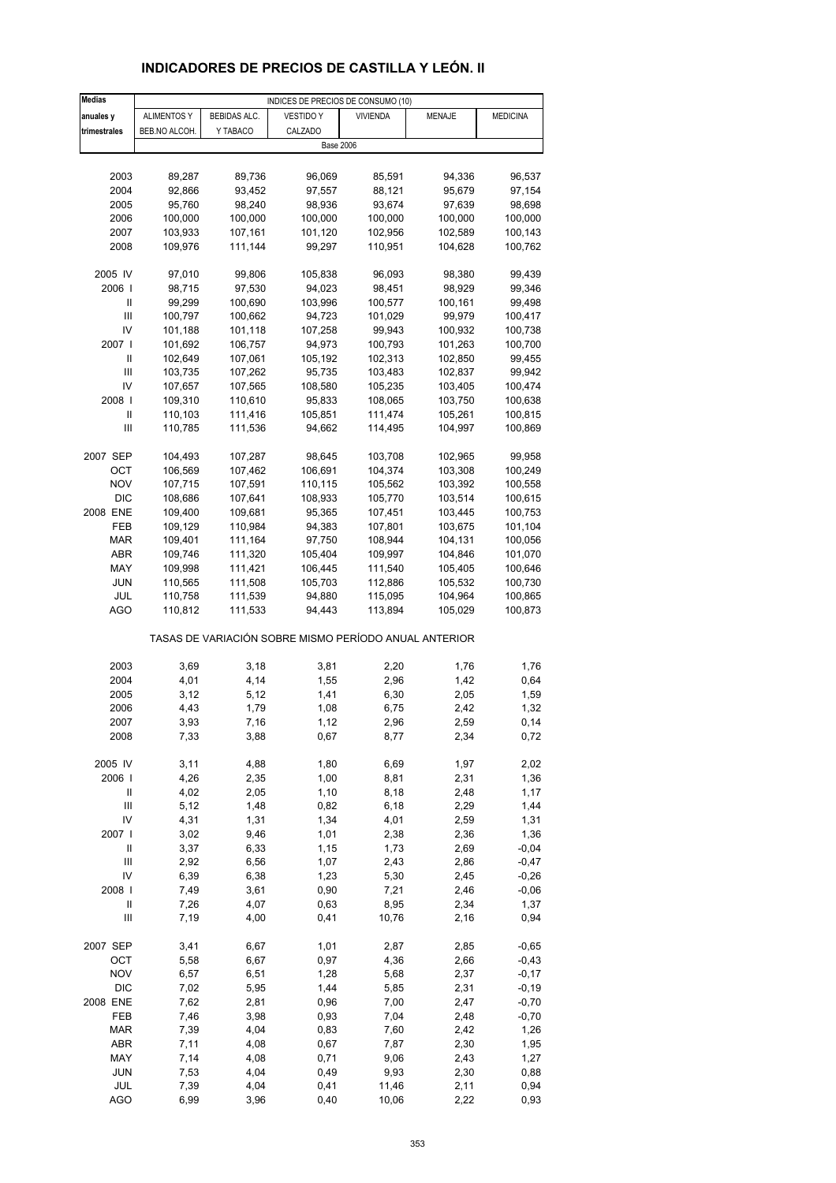# **INDICADORES DE PRECIOS DE CASTILLA Y LEÓN. II**

| <b>Medias</b>                      |                    |              | INDICES DE PRECIOS DE CONSUMO (10)                    |                 |               |                    |
|------------------------------------|--------------------|--------------|-------------------------------------------------------|-----------------|---------------|--------------------|
| anuales y                          | <b>ALIMENTOS Y</b> | BEBIDAS ALC. | <b>VESTIDO Y</b>                                      | <b>VIVIENDA</b> | <b>MENAJE</b> | <b>MEDICINA</b>    |
| trimestrales                       | BEB.NO ALCOH.      | Y TABACO     | CALZADO                                               |                 |               |                    |
|                                    |                    |              | <b>Base 2006</b>                                      |                 |               |                    |
|                                    |                    |              |                                                       |                 |               |                    |
| 2003                               | 89,287             | 89,736       | 96,069                                                | 85,591          | 94,336        | 96,537             |
| 2004                               | 92,866             | 93,452       | 97,557                                                | 88,121          | 95,679        | 97,154             |
| 2005                               | 95,760             | 98,240       | 98,936                                                | 93,674          | 97,639        | 98,698             |
| 2006                               | 100,000            | 100,000      | 100,000                                               | 100,000         | 100,000       | 100,000            |
| 2007                               | 103,933            | 107,161      | 101,120                                               | 102,956         | 102,589       | 100,143            |
|                                    |                    |              |                                                       |                 |               |                    |
| 2008                               | 109,976            | 111,144      | 99,297                                                | 110,951         | 104,628       | 100,762            |
| 2005 IV                            | 97,010             | 99,806       | 105,838                                               | 96,093          | 98,380        | 99,439             |
| 2006                               | 98,715             | 97,530       | 94,023                                                | 98,451          | 98,929        | 99,346             |
| Ш                                  | 99,299             | 100,690      | 103,996                                               | 100,577         | 100,161       | 99,498             |
| Ш                                  | 100,797            | 100,662      | 94,723                                                | 101,029         | 99,979        |                    |
| IV                                 | 101,188            | 101,118      | 107,258                                               | 99,943          | 100,932       | 100,417<br>100,738 |
|                                    |                    |              |                                                       |                 |               |                    |
| 2007                               | 101,692            | 106,757      | 94,973                                                | 100,793         | 101,263       | 100,700            |
| Ш                                  | 102,649            | 107,061      | 105,192                                               | 102,313         | 102,850       | 99,455             |
| Ш                                  | 103,735            | 107,262      | 95,735                                                | 103,483         | 102,837       | 99,942             |
| IV                                 | 107,657            | 107,565      | 108,580                                               | 105,235         | 103,405       | 100,474            |
| 2008                               | 109,310            | 110,610      | 95,833                                                | 108,065         | 103,750       | 100,638            |
| Ш                                  | 110,103            | 111,416      | 105,851                                               | 111,474         | 105,261       | 100,815            |
| Ш                                  | 110,785            | 111,536      | 94,662                                                | 114,495         | 104,997       | 100,869            |
|                                    |                    |              |                                                       |                 |               |                    |
| 2007 SEP                           | 104,493            | 107,287      | 98,645                                                | 103,708         | 102,965       | 99,958             |
| ОСТ                                | 106,569            | 107,462      | 106,691                                               | 104,374         | 103,308       | 100,249            |
| <b>NOV</b>                         | 107,715            | 107,591      | 110,115                                               | 105,562         | 103,392       | 100,558            |
| <b>DIC</b>                         | 108,686            | 107,641      | 108,933                                               | 105,770         | 103,514       | 100,615            |
| 2008 ENE                           | 109,400            | 109,681      | 95,365                                                | 107,451         | 103,445       | 100,753            |
| FEB                                | 109,129            | 110,984      | 94,383                                                | 107,801         | 103,675       | 101,104            |
| <b>MAR</b>                         | 109,401            | 111,164      | 97,750                                                | 108,944         | 104,131       | 100,056            |
| ABR                                | 109,746            | 111,320      | 105,404                                               | 109,997         | 104,846       | 101,070            |
| MAY                                | 109,998            | 111,421      | 106,445                                               | 111,540         | 105,405       | 100,646            |
| JUN                                | 110,565            | 111,508      | 105,703                                               | 112,886         | 105,532       | 100,730            |
| JUL                                | 110,758            | 111,539      | 94,880                                                | 115,095         | 104,964       | 100,865            |
| AGO                                | 110,812            | 111,533      | 94,443                                                | 113,894         | 105,029       | 100,873            |
|                                    |                    |              | TASAS DE VARIACIÓN SOBRE MISMO PERÍODO ANUAL ANTERIOR |                 |               |                    |
|                                    |                    |              |                                                       |                 |               |                    |
| 2003                               | 3,69               | 3,18         | 3,81                                                  | 2,20            | 1,76          | 1,76               |
| 2004<br>2005                       | 4,01               | 4,14         | 1,55                                                  | 2,96            | 1,42          | 0,64               |
|                                    | 3,12               | 5,12         | 1,41                                                  | 6,30            | 2,05          | 1,59               |
| 2006                               | 4,43               | 1,79         | 1,08                                                  | 6,75            | 2,42          | 1,32               |
| 2007                               | 3,93               | 7,16         | 1,12                                                  | 2,96            | 2,59          | 0,14               |
| 2008                               | 7,33               | 3,88         | 0,67                                                  | 8,77            | 2,34          | 0,72               |
| 2005 IV                            | 3,11               | 4,88         | 1,80                                                  | 6,69            | 1,97          | 2,02               |
| 2006                               | 4,26               | 2,35         | 1,00                                                  | 8,81            | 2,31          | 1,36               |
| Ш                                  | 4,02               | 2,05         | 1,10                                                  | 8,18            | 2,48          | 1,17               |
| $\ensuremath{\mathsf{III}}\xspace$ | 5,12               | 1,48         | 0,82                                                  | 6,18            | 2,29          | 1,44               |
| IV                                 | 4,31               | 1,31         | 1,34                                                  | 4,01            | 2,59          | 1,31               |
| 2007 l                             | 3,02               | 9,46         | 1,01                                                  | 2,38            | 2,36          | 1,36               |
| $\ensuremath{\mathsf{II}}$         | 3,37               | 6,33         | 1,15                                                  | 1,73            | 2,69          | $-0,04$            |
| Ш                                  | 2,92               | 6,56         | 1,07                                                  | 2,43            | 2,86          | $-0,47$            |
| IV                                 | 6,39               | 6,38         | 1,23                                                  | 5,30            | 2,45          | $-0,26$            |
| 2008                               | 7,49               | 3,61         | 0,90                                                  | 7,21            | 2,46          | $-0,06$            |
| Ш                                  | 7,26               | 4,07         | 0,63                                                  | 8,95            | 2,34          | 1,37               |
| Ш                                  | 7,19               | 4,00         | 0,41                                                  | 10,76           | 2,16          | 0,94               |
|                                    |                    |              |                                                       |                 |               |                    |
| 2007 SEP                           | 3,41               | 6,67         | 1,01                                                  | 2,87            | 2,85          | $-0,65$            |
| OCT                                | 5,58               | 6,67         | 0,97                                                  | 4,36            | 2,66          | $-0,43$            |
| <b>NOV</b>                         | 6,57               | 6,51         | 1,28                                                  | 5,68            | 2,37          | $-0,17$            |
| $DIC$                              | 7,02               | 5,95         | 1,44                                                  | 5,85            | 2,31          | $-0,19$            |
| 2008 ENE                           | 7,62               | 2,81         | 0,96                                                  | 7,00            | 2,47          | $-0,70$            |
| FEB                                | 7,46               | 3,98         | 0,93                                                  | 7,04            | 2,48          | $-0,70$            |
| <b>MAR</b>                         | 7,39               | 4,04         | 0,83                                                  | 7,60            | 2,42          | 1,26               |
| ABR                                | 7,11               | 4,08         | 0,67                                                  | 7,87            | 2,30          | 1,95               |
| MAY                                | 7,14               | 4,08         | 0,71                                                  | 9,06            | 2,43          | 1,27               |
| <b>JUN</b>                         | 7,53               | 4,04         | 0,49                                                  | 9,93            | 2,30          | 0,88               |
| JUL                                | 7,39               | 4,04         | 0,41                                                  | 11,46           | 2,11          | 0,94               |
| <b>AGO</b>                         | 6,99               | 3,96         | 0,40                                                  | 10,06           | 2,22          | 0,93               |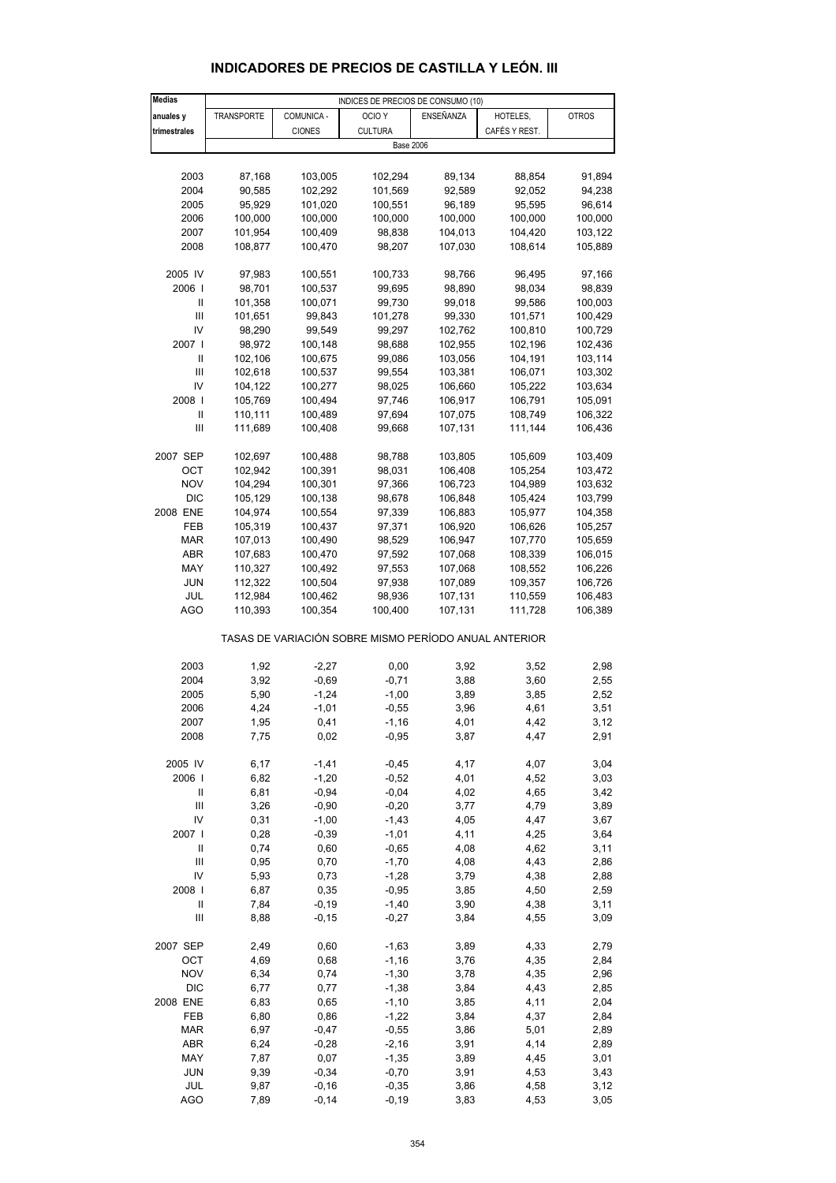| <b>Medias</b>  |                    |                    | INDICES DE PRECIOS DE CONSUMO (10)                    |                    |                    |                    |
|----------------|--------------------|--------------------|-------------------------------------------------------|--------------------|--------------------|--------------------|
| anuales y      | TRANSPORTE         | COMUNICA -         | OCIO <sub>Y</sub>                                     | ENSEÑANZA          | HOTELES,           | <b>OTROS</b>       |
| trimestrales   |                    | <b>CIONES</b>      | <b>CULTURA</b>                                        |                    | CAFÉS Y REST.      |                    |
|                |                    |                    | <b>Base 2006</b>                                      |                    |                    |                    |
|                |                    |                    |                                                       |                    |                    |                    |
| 2003           | 87,168             | 103,005            | 102,294                                               | 89,134             | 88,854             | 91,894             |
| 2004           | 90,585             | 102,292            | 101,569                                               | 92,589             | 92,052             | 94,238             |
| 2005           | 95,929             | 101,020            | 100,551                                               | 96,189             | 95,595             | 96,614             |
| 2006           | 100,000            | 100,000            | 100,000                                               | 100,000            | 100,000            | 100,000            |
| 2007           | 101,954            | 100,409            | 98,838                                                | 104,013            | 104,420            | 103,122            |
| 2008           | 108,877            | 100,470            | 98,207                                                | 107,030            | 108,614            | 105,889            |
|                |                    |                    |                                                       |                    |                    |                    |
| 2005 IV        | 97,983             | 100,551            | 100,733                                               | 98,766             | 96,495             | 97,166             |
| 2006           | 98,701             | 100,537            | 99,695                                                | 98,890             | 98,034             | 98,839             |
| Ш              | 101,358            | 100,071            | 99,730                                                | 99,018             | 99,586             | 100,003            |
| Ш              | 101,651            | 99,843             | 101,278                                               | 99,330             | 101,571            | 100,429            |
| IV             | 98,290             | 99,549             | 99,297                                                | 102,762            | 100,810            | 100,729            |
| 2007           | 98,972             | 100,148            | 98,688                                                | 102,955            | 102,196            | 102,436            |
| Ш              | 102,106            | 100,675            | 99,086                                                | 103,056            | 104,191            | 103,114            |
| $\mathbf{III}$ | 102,618            | 100,537            | 99,554                                                | 103,381            | 106,071            | 103,302            |
| IV             | 104,122            | 100,277            | 98,025                                                | 106,660            | 105,222            | 103,634            |
| 2008           | 105,769            | 100,494            | 97,746                                                | 106,917            | 106,791            | 105,091            |
| Ш              | 110,111            | 100,489            | 97,694                                                | 107,075            | 108,749            | 106,322            |
| $\mathbf{III}$ | 111,689            | 100,408            | 99,668                                                | 107,131            | 111,144            | 106,436            |
|                |                    |                    |                                                       |                    |                    |                    |
| 2007 SEP       | 102,697            | 100,488            | 98,788                                                | 103,805            | 105,609            | 103,409            |
| ОСТ            | 102,942            | 100,391            | 98,031                                                | 106,408            | 105,254            | 103,472            |
| <b>NOV</b>     | 104,294            | 100,301            | 97,366                                                | 106,723            | 104,989            | 103,632            |
| <b>DIC</b>     | 105,129            | 100,138            | 98,678                                                | 106,848            | 105,424            | 103,799            |
| 2008 ENE       | 104,974            | 100,554            | 97,339                                                | 106,883            | 105,977            | 104,358            |
| FEB            | 105,319            | 100,437            | 97,371                                                | 106,920            | 106,626            | 105,257            |
| MAR            | 107,013            | 100,490            | 98,529                                                | 106,947            | 107,770            | 105,659            |
| <b>ABR</b>     | 107,683            | 100,470            | 97,592                                                | 107,068            | 108,339            | 106,015            |
| MAY            | 110,327            | 100,492            | 97,553                                                | 107,068            | 108,552            | 106,226            |
| JUN<br>JUL     | 112,322            | 100,504            | 97,938                                                | 107,089            | 109,357            | 106,726            |
| AGO            | 112,984<br>110,393 | 100,462<br>100,354 | 98,936<br>100,400                                     | 107,131<br>107,131 | 110,559<br>111,728 | 106,483<br>106,389 |
|                |                    |                    |                                                       |                    |                    |                    |
|                |                    |                    | TASAS DE VARIACIÓN SOBRE MISMO PERÍODO ANUAL ANTERIOR |                    |                    |                    |
|                |                    |                    |                                                       |                    |                    |                    |
| 2003           | 1,92               | $-2,27$            | 0,00                                                  | 3,92               | 3,52               | 2,98               |
| 2004           | 3,92               | $-0,69$            | $-0,71$                                               | 3,88               | 3,60               | 2,55               |
| 2005           | 5,90               | $-1,24$            | $-1,00$                                               | 3,89               | 3,85               | 2,52               |
| 2006           | 4,24               | $-1,01$            | $-0,55$                                               | 3,96               | 4,61               | 3,51               |
| 2007           | 1,95               | 0,41               | $-1,16$                                               | 4,01               | 4,42               | 3,12               |
| 2008           | 7,75               | 0,02               | $-0,95$                                               | 3,87               | 4,47               | 2,91               |
|                |                    |                    |                                                       |                    |                    |                    |
| 2005 IV        | 6,17               | $-1,41$            | $-0,45$                                               | 4,17               | 4,07               | 3,04               |
| 2006           | 6,82               | $-1,20$            | $-0,52$                                               | 4,01               | 4,52               | 3,03               |
| Ш              | 6,81               | $-0,94$            | $-0,04$                                               | 4,02               | 4,65               | 3,42               |
| $\mathbf{III}$ | 3,26               | $-0,90$            | $-0,20$                                               | 3,77               | 4,79               | 3,89               |
| IV             | 0,31               | $-1,00$            | $-1,43$                                               | 4,05               | 4,47               | 3,67               |
| 2007 l         | 0,28               | $-0,39$            | $-1,01$                                               | 4,11               | 4,25               | 3,64               |
| $\mathbf{I}$   | 0,74               | 0,60               | $-0,65$                                               | 4,08               | 4,62               | 3,11               |
| $\mathbf{III}$ | 0,95               | 0,70               | $-1,70$                                               | 4,08               | 4,43               | 2,86               |
| IV             | 5,93               | 0,73               | $-1,28$                                               | 3,79               | 4,38               | 2,88               |
| 2008           | 6,87               | 0,35               | $-0,95$                                               | 3,85               | 4,50               | 2,59               |
| Ш              | 7,84               | $-0,19$            | $-1,40$                                               | 3,90               | 4,38               | 3,11               |
| Ш              | 8,88               | $-0,15$            | $-0,27$                                               | 3,84               | 4,55               | 3,09               |
| 2007 SEP       | 2,49               | 0,60               | $-1,63$                                               | 3,89               | 4,33               | 2,79               |
| OCT            | 4,69               | 0,68               | $-1,16$                                               | 3,76               | 4,35               | 2,84               |
| <b>NOV</b>     | 6,34               | 0,74               | $-1,30$                                               | 3,78               | 4,35               | 2,96               |
| <b>DIC</b>     | 6,77               | 0,77               | $-1,38$                                               | 3,84               | 4,43               | 2,85               |
| 2008 ENE       | 6,83               | 0,65               | $-1,10$                                               | 3,85               | 4,11               | 2,04               |
| FEB            | 6,80               | 0,86               | $-1,22$                                               | 3,84               | 4,37               | 2,84               |
| <b>MAR</b>     | 6,97               | $-0,47$            | $-0,55$                                               | 3,86               | 5,01               | 2,89               |
| ABR            | 6,24               | $-0,28$            | $-2,16$                                               | 3,91               | 4,14               | 2,89               |
| MAY            | 7,87               | 0,07               | $-1,35$                                               | 3,89               | 4,45               | 3,01               |
| <b>JUN</b>     | 9,39               | $-0,34$            | $-0,70$                                               | 3,91               | 4,53               | 3,43               |
| JUL            | 9,87               | $-0,16$            | $-0,35$                                               | 3,86               | 4,58               | 3,12               |

# **INDICADORES DE PRECIOS DE CASTILLA Y LEÓN. III**

AGO 7,89 -0,14 -0,19 3,83 4,53 3,05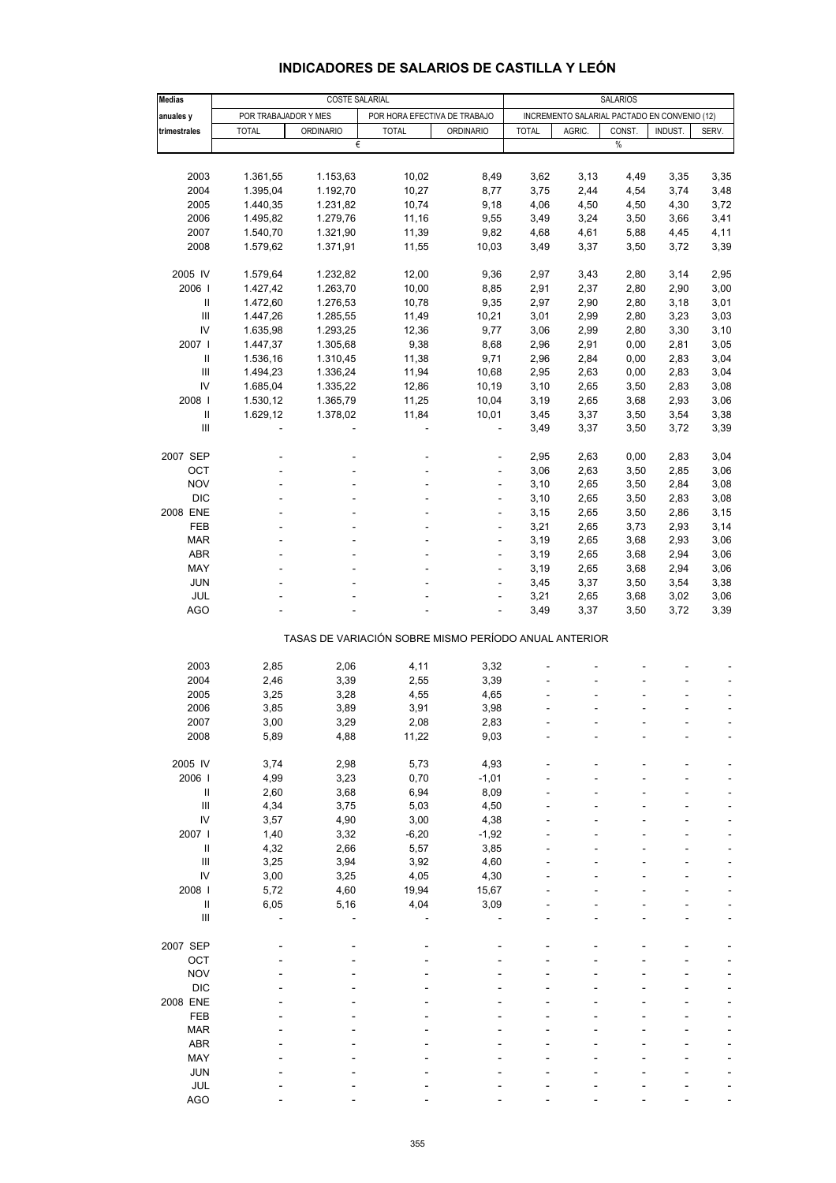| <b>Medias</b>              |                      | COSTE SALARIAL   |                                                       |                  |              |                                              | <b>SALARIOS</b> |         |       |
|----------------------------|----------------------|------------------|-------------------------------------------------------|------------------|--------------|----------------------------------------------|-----------------|---------|-------|
| anuales y                  | POR TRABAJADOR Y MES |                  | POR HORA EFECTIVA DE TRABAJO                          |                  |              | INCREMENTO SALARIAL PACTADO EN CONVENIO (12) |                 |         |       |
| trimestrales               | <b>TOTAL</b>         | <b>ORDINARIO</b> | <b>TOTAL</b>                                          | <b>ORDINARIO</b> | <b>TOTAL</b> | AGRIC.                                       | CONST.          | INDUST. | SERV. |
|                            |                      | €                |                                                       |                  |              |                                              | $\%$            |         |       |
|                            |                      |                  |                                                       |                  |              |                                              |                 |         |       |
|                            |                      |                  |                                                       |                  |              |                                              |                 |         |       |
| 2003                       | 1.361,55             | 1.153,63         | 10,02                                                 | 8,49             | 3,62         | 3,13                                         | 4,49            | 3,35    | 3,35  |
| 2004                       | 1.395,04             | 1.192,70         | 10,27                                                 | 8,77             | 3,75         | 2,44                                         | 4,54            | 3,74    | 3,48  |
| 2005                       | 1.440,35             | 1.231,82         | 10,74                                                 | 9,18             | 4,06         | 4,50                                         | 4,50            | 4,30    | 3,72  |
| 2006                       | 1.495,82             | 1.279,76         | 11,16                                                 | 9,55             | 3,49         | 3,24                                         | 3,50            | 3,66    | 3,41  |
| 2007                       | 1.540,70             | 1.321,90         | 11,39                                                 | 9,82             | 4,68         | 4,61                                         | 5,88            | 4,45    | 4,11  |
| 2008                       | 1.579,62             | 1.371,91         | 11,55                                                 | 10,03            | 3,49         | 3,37                                         | 3,50            | 3,72    | 3,39  |
|                            |                      |                  |                                                       |                  |              |                                              |                 |         |       |
| 2005 IV                    | 1.579,64             | 1.232,82         | 12,00                                                 | 9,36             | 2,97         | 3,43                                         | 2,80            | 3,14    | 2,95  |
|                            |                      |                  |                                                       |                  |              |                                              |                 |         |       |
| 2006                       | 1.427,42             | 1.263,70         | 10,00                                                 | 8,85             | 2,91         | 2,37                                         | 2,80            | 2,90    | 3,00  |
| Ш                          | 1.472,60             | 1.276,53         | 10,78                                                 | 9,35             | 2,97         | 2,90                                         | 2,80            | 3,18    | 3,01  |
| III                        | 1.447,26             | 1.285,55         | 11,49                                                 | 10,21            | 3,01         | 2,99                                         | 2,80            | 3,23    | 3,03  |
| IV                         | 1.635,98             | 1.293,25         | 12,36                                                 | 9,77             | 3,06         | 2,99                                         | 2,80            | 3,30    | 3,10  |
| 2007 l                     | 1.447,37             | 1.305,68         | 9,38                                                  | 8,68             | 2,96         | 2,91                                         | 0,00            | 2,81    | 3,05  |
| $\mathbf{I}$               | 1.536,16             | 1.310,45         | 11,38                                                 | 9,71             | 2,96         | 2,84                                         | 0,00            | 2,83    | 3,04  |
| Ш                          | 1.494,23             | 1.336,24         | 11,94                                                 | 10,68            | 2,95         | 2,63                                         | 0,00            | 2,83    | 3,04  |
|                            |                      |                  |                                                       |                  |              |                                              |                 |         |       |
| IV                         | 1.685,04             | 1.335,22         | 12,86                                                 | 10,19            | 3,10         | 2,65                                         | 3,50            | 2,83    | 3,08  |
| 2008                       | 1.530,12             | 1.365,79         | 11,25                                                 | 10,04            | 3,19         | 2,65                                         | 3,68            | 2,93    | 3,06  |
| $\mathsf{II}$              | 1.629,12             | 1.378,02         | 11,84                                                 | 10,01            | 3,45         | 3,37                                         | 3,50            | 3,54    | 3,38  |
| III                        |                      |                  |                                                       | ä,               | 3,49         | 3,37                                         | 3,50            | 3,72    | 3,39  |
|                            |                      |                  |                                                       |                  |              |                                              |                 |         |       |
| 2007 SEP                   |                      |                  |                                                       |                  | 2,95         | 2,63                                         | 0,00            | 2,83    | 3,04  |
| OCT                        |                      |                  |                                                       | ä,               | 3,06         | 2,63                                         | 3,50            | 2,85    | 3,06  |
| <b>NOV</b>                 |                      |                  |                                                       |                  |              |                                              |                 |         |       |
|                            |                      |                  |                                                       | ۰                | 3,10         | 2,65                                         | 3,50            | 2,84    | 3,08  |
| <b>DIC</b>                 |                      |                  |                                                       |                  | 3,10         | 2,65                                         | 3,50            | 2,83    | 3,08  |
| 2008 ENE                   |                      |                  |                                                       | ä,               | 3,15         | 2,65                                         | 3,50            | 2,86    | 3,15  |
| <b>FEB</b>                 |                      |                  |                                                       | ÷,               | 3,21         | 2,65                                         | 3,73            | 2,93    | 3,14  |
| <b>MAR</b>                 |                      |                  |                                                       |                  | 3,19         | 2,65                                         | 3,68            | 2,93    | 3,06  |
| <b>ABR</b>                 |                      |                  |                                                       | ä,               | 3,19         | 2,65                                         | 3,68            | 2,94    | 3,06  |
| MAY                        |                      |                  |                                                       | ٠                | 3,19         | 2,65                                         | 3,68            | 2,94    | 3,06  |
| <b>JUN</b>                 |                      |                  |                                                       |                  | 3,45         | 3,37                                         | 3,50            | 3,54    | 3,38  |
|                            |                      |                  |                                                       |                  |              |                                              |                 |         |       |
| JUL                        |                      |                  |                                                       | ä,               | 3,21         | 2,65                                         | 3,68            | 3,02    | 3,06  |
| <b>AGO</b>                 |                      |                  |                                                       | ä,               | 3,49         | 3,37                                         | 3,50            | 3,72    | 3,39  |
|                            |                      |                  |                                                       |                  |              |                                              |                 |         |       |
|                            |                      |                  | TASAS DE VARIACIÓN SOBRE MISMO PERÍODO ANUAL ANTERIOR |                  |              |                                              |                 |         |       |
|                            |                      |                  |                                                       |                  |              |                                              |                 |         |       |
| 2003                       | 2,85                 | 2,06             | 4,11                                                  | 3,32             |              |                                              |                 |         |       |
| 2004                       | 2,46                 | 3,39             | 2,55                                                  | 3,39             |              |                                              |                 |         |       |
| 2005                       | 3,25                 | 3,28             | 4,55                                                  | 4,65             |              |                                              |                 |         |       |
| 2006                       | 3,85                 | 3,89             | 3,91                                                  | 3,98             |              |                                              |                 |         |       |
|                            |                      |                  |                                                       |                  |              |                                              |                 |         |       |
| 2007                       | 3,00                 | 3,29             | 2,08                                                  | 2,83             |              |                                              |                 |         |       |
| 2008                       | 5,89                 | 4,88             | 11,22                                                 | 9,03             |              |                                              |                 |         |       |
|                            |                      |                  |                                                       |                  |              |                                              |                 |         |       |
| 2005 IV                    | 3,74                 | 2,98             | 5,73                                                  | 4,93             |              |                                              |                 |         |       |
| 2006                       | 4,99                 | 3,23             | 0,70                                                  | $-1,01$          |              |                                              |                 |         |       |
| $\ensuremath{\mathsf{II}}$ | 2,60                 | 3,68             | 6,94                                                  | 8,09             |              |                                              |                 |         |       |
| $\mathbf{III}$             | 4,34                 | 3,75             | 5,03                                                  | 4,50             |              |                                              |                 |         |       |
| IV                         | 3,57                 | 4,90             | 3,00                                                  | 4,38             |              |                                              |                 |         |       |
| 2007 l                     |                      |                  |                                                       |                  |              |                                              |                 |         |       |
|                            | 1,40                 | 3,32             | $-6,20$                                               | $-1,92$          |              |                                              |                 |         |       |
| $\mathsf{II}$              | 4,32                 | 2,66             | 5,57                                                  | 3,85             |              |                                              |                 |         |       |
| Ш                          | 3,25                 | 3,94             | 3,92                                                  | 4,60             |              |                                              |                 |         |       |
| IV                         | 3,00                 | 3,25             | 4,05                                                  | 4,30             |              |                                              |                 |         |       |
| 2008                       | 5,72                 | 4,60             | 19,94                                                 | 15,67            |              |                                              |                 |         |       |
| Ш                          | 6,05                 | 5,16             | 4,04                                                  | 3,09             |              |                                              |                 |         |       |
| $\mathsf{III}$             |                      |                  |                                                       |                  |              |                                              |                 |         |       |
|                            |                      |                  |                                                       |                  |              |                                              |                 |         |       |
| 2007 SEP                   |                      |                  |                                                       |                  |              |                                              |                 |         |       |
|                            |                      |                  |                                                       |                  |              |                                              |                 |         |       |
| OCT                        |                      |                  |                                                       |                  |              |                                              |                 |         |       |
| <b>NOV</b>                 |                      |                  |                                                       |                  |              |                                              |                 |         |       |
| <b>DIC</b>                 |                      |                  |                                                       |                  |              |                                              |                 |         |       |
| 2008 ENE                   |                      |                  |                                                       |                  |              |                                              |                 |         |       |
| FEB                        |                      |                  |                                                       |                  |              |                                              |                 |         |       |
| <b>MAR</b>                 |                      |                  |                                                       |                  |              |                                              |                 |         |       |
| <b>ABR</b>                 |                      |                  |                                                       |                  |              |                                              |                 |         |       |
| MAY                        |                      |                  |                                                       |                  |              |                                              |                 |         |       |
|                            |                      |                  |                                                       |                  |              |                                              |                 |         |       |
| <b>JUN</b>                 |                      |                  |                                                       |                  |              |                                              |                 |         |       |
| JUL                        |                      |                  |                                                       |                  |              |                                              |                 |         |       |

### **INDICADORES DE SALARIOS DE CASTILLA Y LEÓN**

AGO - - - - - - ---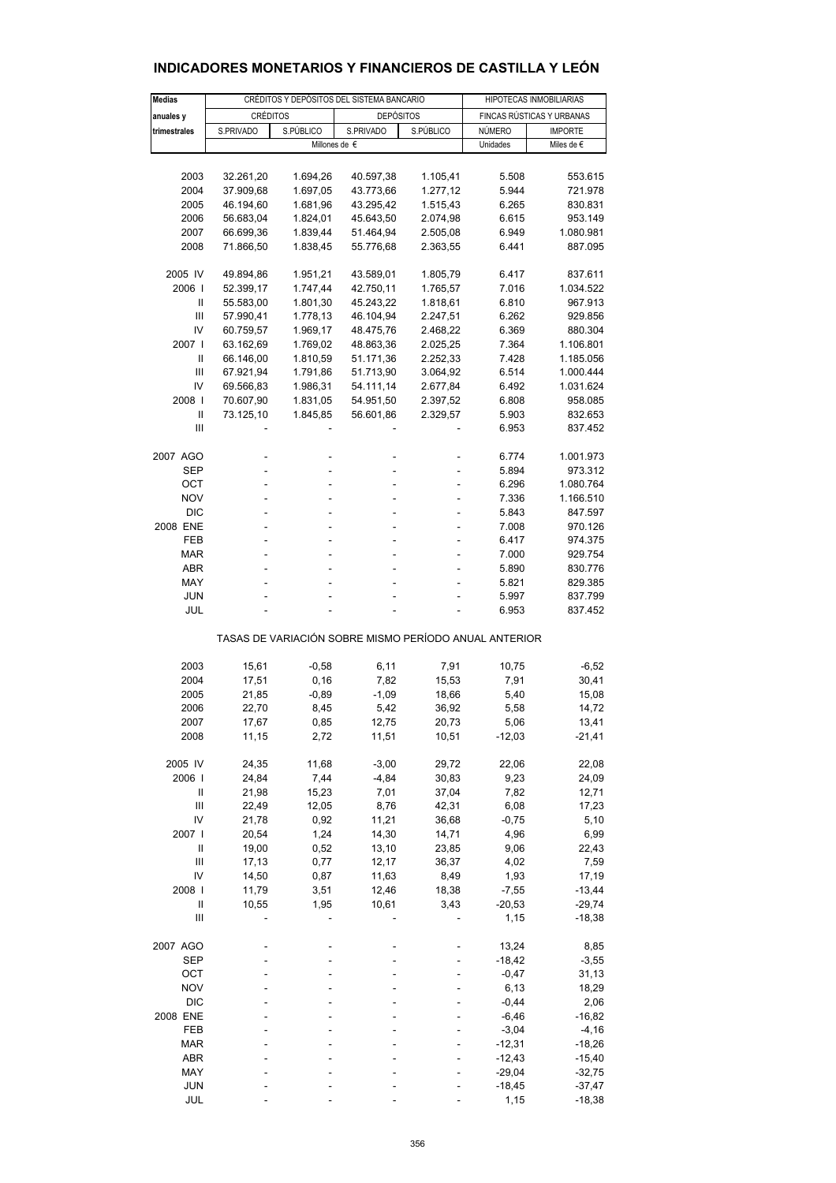| <b>Medias</b>                         |                 | CRÉDITOS Y DEPÓSITOS DEL SISTEMA BANCARIO |                                                       | HIPOTECAS INMOBILIARIAS |          |                           |
|---------------------------------------|-----------------|-------------------------------------------|-------------------------------------------------------|-------------------------|----------|---------------------------|
| anuales y                             | <b>CRÉDITOS</b> |                                           | <b>DEPÓSITOS</b>                                      |                         |          | FINCAS RÚSTICAS Y URBANAS |
| trimestrales                          | S.PRIVADO       | S.PÚBLICO                                 | S.PRIVADO                                             | S.PÚBLICO               | NÚMERO   | <b>IMPORTE</b>            |
|                                       |                 |                                           | Millones de €                                         |                         | Unidades | Miles de €                |
|                                       |                 |                                           |                                                       |                         |          |                           |
| 2003                                  | 32.261,20       | 1.694,26                                  | 40.597,38                                             | 1.105,41                | 5.508    | 553.615                   |
| 2004                                  | 37.909,68       | 1.697,05                                  | 43.773,66                                             | 1.277,12                | 5.944    | 721.978                   |
| 2005                                  | 46.194,60       | 1.681,96                                  | 43.295,42                                             | 1.515,43                | 6.265    | 830.831                   |
| 2006                                  | 56.683,04       | 1.824,01                                  | 45.643,50                                             | 2.074,98                | 6.615    | 953.149                   |
| 2007                                  | 66.699,36       | 1.839,44                                  | 51.464,94                                             | 2.505,08                | 6.949    | 1.080.981                 |
| 2008                                  | 71.866,50       |                                           |                                                       | 2.363,55                | 6.441    | 887.095                   |
|                                       |                 | 1.838,45                                  | 55.776,68                                             |                         |          |                           |
| 2005 IV                               | 49.894,86       | 1.951,21                                  | 43.589,01                                             | 1.805,79                | 6.417    | 837.611                   |
| 2006                                  | 52.399,17       | 1.747,44                                  | 42.750,11                                             | 1.765,57                | 7.016    | 1.034.522                 |
| Ш                                     | 55.583,00       | 1.801,30                                  | 45.243,22                                             | 1.818,61                | 6.810    | 967.913                   |
| $\mathbf{III}$                        | 57.990,41       | 1.778,13                                  | 46.104,94                                             | 2.247,51                | 6.262    | 929.856                   |
| IV                                    | 60.759,57       | 1.969,17                                  | 48.475,76                                             | 2.468,22                | 6.369    | 880.304                   |
| 2007 l                                | 63.162,69       | 1.769,02                                  | 48.863,36                                             | 2.025,25                | 7.364    | 1.106.801                 |
| Ш                                     | 66.146,00       | 1.810,59                                  | 51.171,36                                             | 2.252,33                | 7.428    | 1.185.056                 |
| Ш                                     | 67.921,94       | 1.791,86                                  | 51.713,90                                             | 3.064,92                | 6.514    | 1.000.444                 |
| IV                                    | 69.566,83       | 1.986,31                                  | 54.111,14                                             | 2.677,84                | 6.492    | 1.031.624                 |
| 2008                                  | 70.607,90       | 1.831,05                                  | 54.951,50                                             | 2.397,52                | 6.808    | 958.085                   |
| $\mathbf{I}$                          | 73.125,10       | 1.845,85                                  | 56.601,86                                             | 2.329,57                | 5.903    | 832.653                   |
| Ш                                     |                 |                                           |                                                       |                         | 6.953    | 837.452                   |
|                                       |                 |                                           |                                                       |                         |          |                           |
| 2007 AGO                              |                 |                                           |                                                       |                         | 6.774    | 1.001.973                 |
| SEP                                   |                 |                                           |                                                       |                         | 5.894    | 973.312                   |
| OCT                                   |                 |                                           |                                                       |                         | 6.296    | 1.080.764                 |
| <b>NOV</b>                            | ÷               |                                           |                                                       |                         | 7.336    | 1.166.510                 |
| <b>DIC</b>                            |                 |                                           |                                                       |                         | 5.843    | 847.597                   |
| 2008 ENE                              | ÷               |                                           |                                                       | ä,                      | 7.008    | 970.126                   |
| FEB                                   | ÷               |                                           |                                                       |                         | 6.417    | 974.375                   |
| MAR                                   |                 |                                           |                                                       |                         | 7.000    | 929.754                   |
| ABR                                   | ÷               |                                           |                                                       |                         | 5.890    | 830.776                   |
| MAY                                   |                 |                                           |                                                       |                         | 5.821    | 829.385                   |
| JUN                                   |                 |                                           |                                                       |                         | 5.997    | 837.799<br>837.452        |
| JUL                                   |                 |                                           |                                                       |                         | 6.953    |                           |
|                                       |                 |                                           | TASAS DE VARIACIÓN SOBRE MISMO PERÍODO ANUAL ANTERIOR |                         |          |                           |
| 2003                                  | 15,61           | $-0.58$                                   | 6,11                                                  | 7,91                    | 10,75    | $-6,52$                   |
| 2004                                  | 17,51           | 0, 16                                     | 7,82                                                  | 15,53                   | 7,91     | 30,41                     |
| 2005                                  | 21,85           | $-0,89$                                   | -1,09                                                 | 18,66                   | 5,40     | 15,08                     |
| 2006                                  | 22,70           | 8,45                                      | 5,42                                                  | 36,92                   | 5,58     | 14,72                     |
| 2007                                  | 17,67           | 0,85                                      | 12,75                                                 | 20,73                   | 5,06     | 13,41                     |
| 2008                                  | 11,15           | 2,72                                      | 11,51                                                 | 10,51                   | $-12,03$ | $-21,41$                  |
|                                       |                 |                                           |                                                       |                         |          |                           |
| 2005 IV                               | 24,35           | 11,68                                     | $-3,00$                                               | 29,72                   | 22,06    | 22,08                     |
| 2006                                  | 24,84           | 7,44                                      | -4,84                                                 | 30,83                   | 9,23     | 24,09                     |
| $\begin{array}{c} \hline \end{array}$ | 21,98           | 15,23                                     | 7,01                                                  | 37,04                   | 7,82     | 12,71                     |
| Ш                                     | 22,49           | 12,05                                     | 8,76                                                  | 42,31                   | 6,08     | 17,23                     |
| IV                                    | 21,78           | 0,92                                      | 11,21                                                 | 36,68                   | $-0,75$  | 5,10                      |
| 2007 l                                | 20,54           | 1,24                                      | 14,30                                                 | 14,71                   | 4,96     | 6,99                      |
| $\begin{array}{c} \hline \end{array}$ | 19,00           | 0,52                                      | 13,10                                                 | 23,85                   | 9,06     | 22,43                     |
| $\mathbf{III}$                        | 17,13           | 0,77                                      | 12,17                                                 | 36,37                   | 4,02     | 7,59                      |
| IV                                    | 14,50           | 0,87                                      | 11,63                                                 | 8,49                    | 1,93     | 17,19                     |
| 2008                                  | 11,79           | 3,51                                      | 12,46                                                 | 18,38                   | $-7,55$  | $-13,44$                  |
| Ш                                     | 10,55           | 1,95                                      | 10,61                                                 | 3,43                    | $-20,53$ | $-29,74$                  |
| $\mathbf{III}$                        |                 |                                           |                                                       |                         | 1,15     | $-18,38$                  |
| 2007 AGO                              |                 |                                           |                                                       |                         | 13,24    | 8,85                      |
| <b>SEP</b>                            |                 |                                           |                                                       |                         | $-18,42$ | $-3,55$                   |
| OCT                                   |                 |                                           |                                                       |                         | $-0,47$  | 31,13                     |
| <b>NOV</b>                            |                 |                                           |                                                       |                         | 6, 13    | 18,29                     |
| <b>DIC</b>                            |                 |                                           |                                                       |                         | $-0,44$  | 2,06                      |
| 2008 ENE                              |                 |                                           |                                                       |                         | $-6,46$  | $-16,82$                  |
| FEB                                   |                 |                                           |                                                       |                         | $-3,04$  | $-4,16$                   |
| MAR                                   |                 |                                           |                                                       |                         | $-12,31$ | $-18,26$                  |
| ABR                                   |                 |                                           |                                                       |                         | $-12,43$ | $-15,40$                  |
| MAY                                   |                 |                                           |                                                       |                         | $-29,04$ | $-32,75$                  |
| <b>JUN</b>                            |                 |                                           |                                                       |                         | -18,45   | $-37,47$                  |
| JUL                                   |                 |                                           |                                                       |                         | 1,15     | $-18,38$                  |

# **INDICADORES MONETARIOS Y FINANCIEROS DE CASTILLA Y LEÓN**